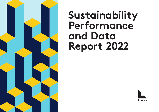

# **Sustainability Performance and Data Report 2022**

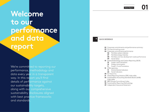## **Welcome to our performance and data report**

We're committed to reporting our performance, methodology and data every year in a transparent way. In this report you'll find details of performance against our sustainability targets, along with our comprehensive sustainability disclosures aligned with best practice frameworks and standards .

#### **→** QUICK REFERENCE

- **02** [Corporate commitments and performance summary](#page-2-0)
- **05** [Our benchmarking scores](#page-5-0)
- **06** [Corporate commitments performance](#page-6-0)
	- **06** [Portfolio carbon intensity](#page-6-0)
	- **07** [Portfolio energy intensity](#page-7-0)
	- **08** [Portfolio and new development waste performance](#page-8-0)
	- **09** [Social Value](#page-9-0)
- **10** [Streamlined Energy and Carbon Reporting \(SECR\)](#page-10-0)
	- **10** [Scope 1 and 2 emissions](#page-10-0)
	- **10** [Energy consumption](#page-10-0)
	- **11** [Scope 1, 2 and 3 emissions](#page-11-0)
- **13** [EPRA reporting](#page-13-0)
	- **13** [Environmental indicators](#page-13-0)
- **24** [Social indicators](#page-24-0)
- **30** [EU Taxonomy](#page-30-0)
- **31** [Global Reporting Initiative \(GRI\) index table](#page-31-0)
- **35** [Sustainability Accounting Standards Board \(SASB\)](#page-35-0)  [index table](#page-35-0)
- **37** [BBP Climate Commitment Index](#page-37-0)
- **38** [Sustainability Reporting Methodology](#page-38-0)
- **49** [Independent Assurance Statement](#page-49-0)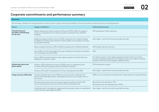## <span id="page-2-0"></span>**Corporate commitments and performance summary**

#### **Build well**

We will design, develop and manage places to tackle climate change, enhancing the health of the environment by achieving net zero and going beyond.

| <b>Theme</b>                                                       | <b>Targets and Metrics</b>                                                                                                                                                         | FY21/22 performance                                                                                                                                                                                         |
|--------------------------------------------------------------------|------------------------------------------------------------------------------------------------------------------------------------------------------------------------------------|-------------------------------------------------------------------------------------------------------------------------------------------------------------------------------------------------------------|
| <b>Decarbonising our</b><br>portfolio transitioning<br>to net zero | Reduce operational carbon emissions (tCO <sub>2</sub> e) by 70% by 2030, for property<br>under our management for at least two years (compared with a 2013/14<br>baseline).        | 52% operational carbon reduction.                                                                                                                                                                           |
|                                                                    | Reduce average embodied carbon by 50% compared with a typical building<br>by 2030 by prioritising asset retention where possible, smart design and using<br>sustainable materials. | New target – performance to be reported next year.                                                                                                                                                          |
|                                                                    | Reduce energy intensity by 45% by 2030 (compared with a 2013/14 baseline).                                                                                                         | 34% energy intensity reduction.                                                                                                                                                                             |
|                                                                    | Source 85% of total energy (electricity, gas, heating and cooling) consumption<br>from renewable sources by 2030.                                                                  | 66%                                                                                                                                                                                                         |
|                                                                    | Ensure 100% of assets located in areas highly exposed to climate risks have<br>adaptation measures in place.                                                                       | For assets located in areas highly exposed to physical risks we continue<br>to ensure adequate protection and mitigation plans are in place, including<br>Business Continuity and Emergency Response Plans. |
| <b>Enhancing nature and</b><br>green spaces                        | Achieve a 25% biodiversity net gain by 2030 across our operational sites<br>currently offering the greatest potential (2016/17 baseline).                                          | 13% biodiversity net gain.                                                                                                                                                                                  |
|                                                                    | Achieve a 15% uplift in biodiversity for all new developments by 2030.                                                                                                             | New target - performance to be reported next year.                                                                                                                                                          |
| Using resources efficiently                                        | For every development, source 100% of core construction materials from<br>ethical and sustainable sources, extending this across our full supply chain in<br>due course.           | 100% of core construction materials with a responsible sourcing certification.                                                                                                                              |
|                                                                    | Promote reuse and circular economy principles and achieve at least 75%<br>annual recycling rate across our portfolio and new developments.                                         | Recycling across operations: 71%<br>Recycling across new developments: 99.5%                                                                                                                                |
|                                                                    | Undertake water management assessment across assets under our operational<br>control and set water targets by 2023.                                                                | New target - performance to be reported next year.                                                                                                                                                          |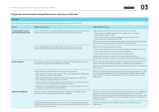## **Corporate commitments and performance summary continued**

#### **Live well**

We will create opportunities and inclusive places to change lives, supporting communities to thrive.

| <b>Theme</b>                                               | <b>Targets and Metrics</b>                                                                                                                                                                                                                                                                                                                                                                                                                                                                                                                                                                                                         | FY21/22 performance                                                                                                                                                                                                                                                                                                                                                                                                       |
|------------------------------------------------------------|------------------------------------------------------------------------------------------------------------------------------------------------------------------------------------------------------------------------------------------------------------------------------------------------------------------------------------------------------------------------------------------------------------------------------------------------------------------------------------------------------------------------------------------------------------------------------------------------------------------------------------|---------------------------------------------------------------------------------------------------------------------------------------------------------------------------------------------------------------------------------------------------------------------------------------------------------------------------------------------------------------------------------------------------------------------------|
| <b>Creating opportunities</b><br>and tackling local issues | From a 2020 baseline, empower 30,000 people facing barriers into employment<br>with the skills and opportunities to enter the world of work by 2030.                                                                                                                                                                                                                                                                                                                                                                                                                                                                               | 1,802 people empowered towards the world of work including:<br>> Total number of people supported into employment or received<br>employability support: 1,040<br>> Total number of young people engaged through our education<br>programmes and careers sessions: 762<br>Please note: this doesn't include people supported through our development<br>activities as this is a new target and will be included next year. |
|                                                            | From a 2020 baseline, deliver £200 million of social value in our local<br>communities by 2030, addressing social issues relevant to each area.                                                                                                                                                                                                                                                                                                                                                                                                                                                                                    | £5.1m of social value delivered including:<br>$\rightarrow$ Social value created through supporting people into employment: £2.4m<br>→ Social value created through volunteering: £195,000<br>→ Total value of support for charitable partnerships: £2.5m<br>Please note: this doesn't include social value created through our<br>development activities as this is a new target and will be included next year.         |
| <b>Inclusive places</b>                                    | We will design, develop and manage our assets and new developments to be<br>accessible ensuring everyone feels like they belong.                                                                                                                                                                                                                                                                                                                                                                                                                                                                                                   | This year we achieved Disability Confident certification at a number of our<br>assets, with five sites receiving Disability Confident Leader certification.<br>Received a Stonewall Bronze Employer Award and introduced a 'transitioning<br>at work' policy.                                                                                                                                                             |
|                                                            | Accelerate diverse representation across all levels at Landsec:<br>$\rightarrow$ 2025 target for female representation: 50% whole organisation; 50% Board,<br>Exec and Senior Leaders; 40% Leader.<br>$\rightarrow$ 2025 target BAME representation: >14% whole organisation; 14% Board,<br>Exec and Senior Leaders; 14% Senior leaders.<br>$\rightarrow$ Sexual orientation: achieve appropriate accreditation as a welcoming place<br>to work for everyone irrespective of sexual orientation.<br>> Disability: Achieve appropriate accreditation as a welcoming place to work<br>for everyone irrespective of physical ability. | 51% of our employees are female and ethnic minority representation is 17%.<br>Our female representation is 35% at leader level and 30% at senior leader<br>level. Our ethnic minority representation is 10% at leader and 3% at senior<br>leader level.                                                                                                                                                                   |
| <b>Improving wellbeing</b>                                 | Promote a culture which enhances Landsec colleagues' wellbeing, having<br>relevant policies and delivering impactful campaigns.                                                                                                                                                                                                                                                                                                                                                                                                                                                                                                    | This year we launched an information hub to provide access to all wellbeing<br>support including our employee assistance programme, our virtual GP,<br>documents and apps. We continue to encourage individuals to focus on their<br>physical and mental health and provide ongoing training to our 18 mental-<br>health first aiders.                                                                                    |
|                                                            | Achieve WELL portfolio programme annually for our directly managed office<br>portfolio and new developments setting a baseline score against which we will<br>aim for continual improvement.                                                                                                                                                                                                                                                                                                                                                                                                                                       | In 2021 we became the first UK REIT to sign up to the WELL Portfolio<br>Programme.                                                                                                                                                                                                                                                                                                                                        |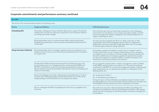## **Corporate commitments and performance summary continued**

| <b>Act well</b>              |                                                                                                                                                                                                                                                                                                                                          |                                                                                                                                                                                                                                                                                                                                                                                                                                          |
|------------------------------|------------------------------------------------------------------------------------------------------------------------------------------------------------------------------------------------------------------------------------------------------------------------------------------------------------------------------------------|------------------------------------------------------------------------------------------------------------------------------------------------------------------------------------------------------------------------------------------------------------------------------------------------------------------------------------------------------------------------------------------------------------------------------------------|
|                              | We will be a fair and responsible business in everything we do.                                                                                                                                                                                                                                                                          |                                                                                                                                                                                                                                                                                                                                                                                                                                          |
| <b>Theme</b>                 | <b>Targets and Metrics</b>                                                                                                                                                                                                                                                                                                               | FY21/22 performance                                                                                                                                                                                                                                                                                                                                                                                                                      |
| <b>Embedding ESG</b>         | All Landsec colleagues to have individual objectives to support the delivery<br>of Build well, Live well, Act well with a proportion of remuneration linked to<br>our energy and carbon targets.                                                                                                                                         | This is the first year that we have linked a proportion of all colleagues'<br>remuneration to the delivery of our energy and carbon targets. In 22/23,<br>we're encouraging all Landsec colleagues to set individual objectives to<br>support achieving our vision.                                                                                                                                                                      |
|                              | Build relationships with our customer base (office and brand partners),<br>establishing partnerships to drive improved sustainability performance for<br>mutual gain.                                                                                                                                                                    | This year we have engaged over 80 of our office customers on their<br>sustainability plans and investigated opportunities for collaboration.<br>Additionally, we have conducted 'energy deep dives' with 15 occupiers<br>to identify opportunities for energy reduction.                                                                                                                                                                 |
| Doing the basics brilliantly | Build relationships with our strategic suppliers ensuring compliance to our<br>Supplier Code of Conduct and enhancing sustainable practices throughout<br>our supply chain.                                                                                                                                                              | All strategic suppliers are asked to comply with our Supplier Code of<br>Conduct which sets out our minimum expectations on how we expect<br>our suppliers to act in relation to fairness, wages, diversity, equality and<br>inclusivity. Additionally, all strategic suppliers are expected to operate<br>our sites with respect to Landsec's policies on health and safety, anti-<br>harassment and bullying, diversity and inclusion. |
|                              | Provide safe, healthy and secure environments for those who work, visit,<br>live and relax across our managed portfolio, maintaining ISO 45001 and<br>BS 9997 certifications, as well as continually going beyond compliance<br>delivering data-led and risk-prioritised improvement actions and leading the<br>industry on fire safety. | All our properties operate within a safety-management system certified<br>to ISO 45001, and we continue to conform to it. This year we achieved<br>certification to BS 9997 for our fire risk management system, and produced<br>clear requirements for our development projects in anticipation of the<br>Building Safety Act.                                                                                                          |
|                              | Ensure all colleagues have read, understood and are following our Code of<br>Conduct and underlying policies and standards which set out how we do<br>things building on the foundations of our purpose and values.                                                                                                                      | No. of grievances raised: 2<br>No. of whistleblowing incidents: 0<br>During the year, we have refreshed our employee Code of Conduct which<br>provides guidance on how to do the right thing and behave in the right way<br>and highlights the key policies that all our employees must follow.                                                                                                                                          |
|                              | Pay our colleagues the Real Living Wage and work with our suppliers to do<br>the same.                                                                                                                                                                                                                                                   | We continue to pay all our direct employees the Real Living Wage and<br>will keep our accreditation with the Living Wage Foundation under regular<br>review over the coming year as the UK economy continues to emerge from<br>the pandemic.                                                                                                                                                                                             |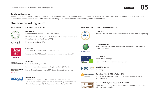#### <span id="page-5-0"></span>**Benchmarking scores**

Taking part in rigorous external benchmarking of our performance helps us to track and assess our progress. It also provides stakeholders with confidence that we're turning our commitments and targets into action, and that we're delivering on our ambition to be a sustainability leader in our industry.

## **Our benchmarking scores**

#### **BENCHMARK LATEST PERFORMANCE**



**GRESB 2021**

Real Estate Sector leader – 5-star rated entity



GRESB \*\*\* 2021 Developments: Score 93%



A-list (top 1.5%) for the fifth consecutive year

Inclusion on the 2021 Supplier engagement Leaderboard (top 8%)

Member of Dow Jones Sustainability Indices

Powered by the S&P Global CSA

#### **DJSI 2021**

**CDP 2021**

Score 85/top 99th percentile

European Real Estate leader, ranking 3rd globally (2020: 4th)

**Sustainability Award** Bronze Class 2022

S&P Global

Bronze Class distinction in the S&P Global Sustainability Awards



#### **Ecoact 2021**

Ranked 1st amongst FTSE 100 companies (2020: 3rd) for our sustainability reporting and climate-related strategy and 3rd across global indices analysed (FTSE 100, Euro STOXX 50 and DOW 30)

#### **BENCHMARK LATEST PERFORMANCE**

**EPRA 2021**



Received our 8th Gold Award for best practice sustainability reporting



**FTSE4Good 2021** 87th percentile. We continue to retain our established position in the FTSE4Good Index

FTSE4Good



#### **ISS ESG 2021**

Prime status. Rating B-

Decile rank 1/transparency level: very high

**MSCI ESG Rating 2021 MSCI** AA rating



#### **Sustainalytics ESG Risk Rating 2021**

8.5 (negligible risk)/ranking 13 out of 1,044 companies in the real estate industry



#### **Stonewall Workplace Equality Index 2022**

Bronze award for our 1st submission, acknowledging our efforts to advance LGBT+ equality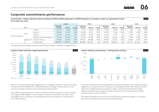Table 1

## <span id="page-6-0"></span>**Corporate commitments performance**

**Commitment – Reduce absolute carbon emissions by 70% by 2030 compared to a 2013/14 baseline, for property under our operational control for at least two years**

|                  |                    |                                                     |                              | Landsec   |             |                              | Office  |             |                              | Retail  |             |                              | Other   |             |
|------------------|--------------------|-----------------------------------------------------|------------------------------|-----------|-------------|------------------------------|---------|-------------|------------------------------|---------|-------------|------------------------------|---------|-------------|
|                  | Unit               |                                                     | 2013/2014<br><b>Baseline</b> | 2021/22   | %<br>change | 2013/2014<br><b>Baseline</b> | 2021/22 | %<br>change | 2013/2014<br><b>Baseline</b> | 2021/22 | %<br>change | 2013/2014<br><b>Baseline</b> | 2021/22 | ℅<br>change |
|                  |                    | Scope 1                                             | 11,178                       | 5,981     | $-46%$      | 7,112                        | 4,243   | $-40%$      | 3,765                        | ⊥,494   | $-60%$      | 302                          | 243     | $-19%$      |
|                  | tCO <sub>2</sub> e | Scope 2                                             | 39,062                       | 17,949    | $-54%$      | 22,460                       | 9,211   | -59%        | 15,270                       | 7,544   | $-51%$      | 1,332                        | 1,195   | $-10%$      |
|                  |                    | Scope 3                                             | 29,373                       | 14,174    | $-52%$      | 23,507                       | 8,736   | $-63%$      | 4,919                        | 5,178   | 5%          | 947                          | 261     | $-72%$      |
| Carbon Emissions |                    | Absolute Carbon Emissions                           | 79,614                       | 38,104    | $-52%$      | 53,079                       | 22,189  | $-58%$      | 23,953                       | 14,216  | $-41%$      | 2,581                        | ⊥,699   | $-34%$      |
|                  |                    | kgCO <sub>2</sub> e/m <sup>2</sup> Carbon intensity | 58,960                       | 22.025    | $-63%$      | 109.557                      | 48.688  | $-56%$      | 33.782                       | 15.017  | $-56%$      | 16.465                       | 5.185   | $-69%$      |
|                  | m <sup>2</sup>     | Portfolio Area                                      | 1,350,305                    | 1,730,061 | 28%         | 484,485                      | 455,746 | $-6\%$      | 709,047                      | 946,654 | 34%         | 156,773                      | 327,661 | 109%        |

The reporting methodology, including reporting boundaries, is detailed on pages 38-44.





We have a science-based target, aligned with a 1.5-degree scenario to reduce our carbon emissions by 70% by 2030 from a 2013/14 baseline. Our target includes scope 1, 2 and a portion of scope 3 emissions from downstream leased assets.

Since 2013/14, we've reduced our carbon emissions by 52% and we're on track to achieve our target by 2030 despite a small increase in emissions compared to last year, which was largely due to occupancy and footfall gains across our assets from the easing of Covid-19 restrictions.

Our carbon emissions have increased by 6% compared to last year. The increase has been largely due to occupancy levels increasing in our buildings and from the easing of Covid-19 restrictions. Despite expected increases in carbon, reductions achieved from energy efficiency initiatives and changes in carbon emissions factors have prevented a higher yearly increase in carbon emissions.

This waterfall diagram shows the main driving factors behind the changes in our carbon performance compared with the previous reporting year.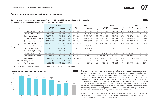<span id="page-7-0"></span>

Table 4

#### **Corporate commitments performance continued**

#### **Commitment – Reduce energy intensity (kWh/m2 ) by 45% by 2030 compared to a 2013/14 baseline, for property under our operational control for at least two years**

|        |                    |                              |                              | Landsec     |             |                              | Office      |             |                              | Retail                   |         |                              | Other                    |        |
|--------|--------------------|------------------------------|------------------------------|-------------|-------------|------------------------------|-------------|-------------|------------------------------|--------------------------|---------|------------------------------|--------------------------|--------|
|        | Unit               |                              | 2013/2014<br><b>Baseline</b> | 2021/22     | %<br>change | 2013/2014<br><b>Baseline</b> | 2021/22     | %<br>change | 2013/2014<br><b>Baseline</b> | 2021/22 change           | %       | 2013/2014<br><b>Baseline</b> | 2021/22 change           | %      |
|        |                    | for landlord shared services | 61,358,568                   | 32,653,306  | $-47%$      | 39,263,827                   | 23,166,432  | $-41%$      | 20,455,556                   | 8,158,665                | $-60\%$ |                              | 1,639,186 1,328,209      | $-19%$ |
|        |                    | (sub)metered to tenants      | 8,893,668                    | 17,627,638  | 98%         | 184,591                      | 8,728,293   | 4628%       | 8,709,077                    | 8,899,345                | 2%      | 0                            | $\circ$                  | 0%     |
|        |                    | Total <b>natural gas</b>     | 70,252,236                   | 50,280,944  | $-28%$      | 39,448,418                   | 31,894,725  | $-19%$      | 29,164,632                   | 17,058,010               | -42%    | 1,639,186                    | 1,328,209                | $-19%$ |
|        |                    | for landlord shared services | 87,685,776                   | 78,626,009  | $-10%$      | 50,418,211                   | 37,471,134  | $-26%$      | 34,611,707                   | 35,527,728               | 3%      | 2,655,858                    | 5,627,147                | 112%   |
|        |                    | (sub)metered to tenants      | 62,262,337                   | 48,003,535  | $-23%$      | 52,691,875                   | 30,066,981  | $-43%$      | 7,444,302                    | 16,708,804               | 124%    | 2,126,160                    | 1,227,750                | -42%   |
|        | kWh                | Total electricity            | 149,948,113                  | 126,629,545 | $-16%$      | 103,110,086                  | 67,538,115  | $-34\%$     | 42,056,008                   | 52,236,532               | 24%     | 4,782,018                    | 6,854,897                | 43%    |
|        |                    | for landlord shared services | $\qquad \qquad -$            | 5,551,710   |             | $\overline{\phantom{0}}$     | 5,551,710   |             |                              | $\overline{\phantom{0}}$ |         | $\overline{\phantom{0}}$     | $\overline{\phantom{0}}$ |        |
| Energy |                    | (sub)metered to tenants      | $-$                          | 4,170,874   |             | $-$                          | 4,170,874   |             |                              | $\overline{\phantom{0}}$ |         | $-$                          | -                        |        |
|        |                    | Total heating & cooling      | $\qquad \qquad -$            | 9,722,584   |             | $-$                          | 9,722,584   |             | $-$                          | $\overline{\phantom{0}}$ |         | $\overline{\phantom{0}}$     | <b>-</b>                 |        |
|        |                    | for landlord shared services | 149,044,344                  | 116,831,025 | $-22%$      | 89,682,038                   | 66,189,276  | $-26%$      | 55,067,263                   | 43,686,393               | $-21%$  | 4,295,044                    | 6,955,356                | 62%    |
|        |                    | (sub)metered to tenants      | 71,156,004                   | 69,802,047  | $-2\%$      | 52,876,466                   | 42,966,149  | $-19%$      | 16, 153, 378                 | 25,608,149               | 59%     | 2,126,160                    | 1,227,750                | $-42%$ |
|        |                    | Total energy                 | 220,200,348                  | 186,633,072 | $-15%$      | 142,558,503                  | 109,155,424 | $-23%$      | 71,220,641                   | 69,294,542               | $-3%$   | 6,421,204 8,183,105          |                          | 27%    |
|        | kWh/m <sup>2</sup> | Energy intensity             | 163                          | 108         | $-34%$      | 294                          | 240         | $-19\%$     | 100                          | 73                       | $-27%$  | 41                           | 25                       | $-39%$ |
|        | m <sup>2</sup>     | Portfolio Area               | 1,350,305                    | 1,730,061   | 28%         | 484,485                      | 455,746     | $-6\%$      | 709,047                      | 946,654                  | 34%     | 156,773                      | 327.661                  | 109%   |

The reporting methodology, including reporting boundaries, is detailed on pages 38-44.



This year, we have increased the ambition level of our energy reduction target to ensure we meet our science-based target. Our updated energy intensity target is to reduce our energy intensity by 45% by 2030 compared with a 2013/14 baseline. We have reduced portfolio energy intensity by 34% compared to our 2013/14 baseline. Energy intensity has increased compared to last year largely due to occupancy and footfall having increased from the easing of Covid-19 restrictions. While occupancy has increased, occupancy levels are still below levels before the start of the pandemic. Furthermore, action was taken to extend the run time of heating, ventilation, and air-conditioning services to minimise the risk of viral proliferation, leading to higher energy usage. Therefore, energy performance still does not reflect normal building operation before the pandemic.

This chart shows the energy intensity improvements we have made since 2013/14 and the target energy intensity in 2030. More information on our reporting methodology, including reporting boundaries, is detailed on pages 38-44.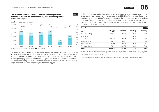<span id="page-8-0"></span>**Commitment – Promote reuse and circular economy principles and achieve at least 75% annual recycling rate across our portfolio and new developments**

**Landsec waste performance**



Chart 6

We continue to divert 100% of our waste from landfill throughout our operations and have achieved a recycling rate of 71%. The increase in our recycling rate has been driven mainly by the increase in recyclable materials produced by our brand partners, in particular F&B (such as packaging materials, cardboard and glass), as well as retail returning to normal operations and easing of Covid-19-related restrictions. We expect to see a continuation of progress towards 75% recycling throughout the coming year.

In line with our expanded waste management commitment, which includes construction waste associated with our new developments, since 2020/21 we've been reporting on the total volume of waste arising from the development, the recycling rates achieved and the diversion of waste from landfill. The tables below show the total waste generated since the beginning of each project, including excavation, demolition and construction waste, and associated waste streams.

| <b>Construction waste</b>   |                                     |               |                | Table 7         |
|-----------------------------|-------------------------------------|---------------|----------------|-----------------|
| Site                        | <b>Total waste</b><br><b>Tonnes</b> | Recycled<br>% | Recovered<br>% | Landfilled<br>% |
| Nova East (N2) <sup>1</sup> | 14,077                              | 100.00        | 0.00           | 0.00            |
| The Forge                   | 38,738                              | 99.87         | 0.02           | 0.11            |
| Lucent                      | 63,171                              | 99.94         | 0.04           | 0.02            |
| 21 Moorfields               | 4,835                               | 86.27         | 13.73          | 0.00            |
| Timber Square               | 14,856                              | 99.97         | 0.00           | 0.03            |
| Portland House              | 3,344                               | 100.00        | 0.00           | 0.00            |
| Total                       | 139,020                             | 99.46         | 0.01           | 0.04            |

1. Waste figures for the n2 development have decreased from those previously declared for 2020/2021. These changes were as a result of a review by Landsec of the demolition contractors' waste once the demolition and enabling work contract ended.

All figures above exclude hazardous waste, as the amount of hazardous waste produced is immaterial.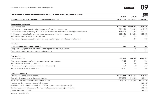<span id="page-9-0"></span>

| 2019/20<br>2020/21<br>Total social value created through our community programmes<br>£4,822,053<br>£6,552,911<br>Community employment<br>Social value created<br>£2,594,380<br>£1,686,082<br>Social value created by supporting offenders and ex-offenders into employment<br>£929,694<br>£475,095<br>Social value created by supporting 18-24 NEETS (not in education, employment or training) into employment<br>£648,697<br>£361,627<br>Social value created by helping people in supported accommodation into employment<br>£226,461<br>£387,266<br>Total number of people helped into employment<br>121<br>180<br>Total number of people engaged in training and employability support (who did not move into work)<br>852<br>Education<br>Total number of young people engaged<br>298<br>802<br>Young people engaged in formal mentoring, coaching and employability initiatives<br>92<br>Young people engaged in general careers insights sessions<br>710<br>Volunteering<br>Social value created<br>£402,256<br>£99,061<br>Total number of people benefited by Landsec volunteering programme<br>3,400<br>895<br>Total number of volunteer engagements<br>539<br>352<br>Total Landsec employees who have volunteered (at least once)<br>253<br>120<br>719<br>Total volunteering hours by Landsec staff<br>8,527<br><b>Charity partnerships</b><br>Total value of support given to charities<br>£4,767,767<br>£1,823,184 | Commitment - Create £25m of social value through our community programmes by 2025 |  | Table 8    |
|---------------------------------------------------------------------------------------------------------------------------------------------------------------------------------------------------------------------------------------------------------------------------------------------------------------------------------------------------------------------------------------------------------------------------------------------------------------------------------------------------------------------------------------------------------------------------------------------------------------------------------------------------------------------------------------------------------------------------------------------------------------------------------------------------------------------------------------------------------------------------------------------------------------------------------------------------------------------------------------------------------------------------------------------------------------------------------------------------------------------------------------------------------------------------------------------------------------------------------------------------------------------------------------------------------------------------------------------------------------------------------------------------------------------------------|-----------------------------------------------------------------------------------|--|------------|
|                                                                                                                                                                                                                                                                                                                                                                                                                                                                                                                                                                                                                                                                                                                                                                                                                                                                                                                                                                                                                                                                                                                                                                                                                                                                                                                                                                                                                                 |                                                                                   |  | 2021/22    |
|                                                                                                                                                                                                                                                                                                                                                                                                                                                                                                                                                                                                                                                                                                                                                                                                                                                                                                                                                                                                                                                                                                                                                                                                                                                                                                                                                                                                                                 |                                                                                   |  | £5,118,881 |
|                                                                                                                                                                                                                                                                                                                                                                                                                                                                                                                                                                                                                                                                                                                                                                                                                                                                                                                                                                                                                                                                                                                                                                                                                                                                                                                                                                                                                                 |                                                                                   |  |            |
|                                                                                                                                                                                                                                                                                                                                                                                                                                                                                                                                                                                                                                                                                                                                                                                                                                                                                                                                                                                                                                                                                                                                                                                                                                                                                                                                                                                                                                 |                                                                                   |  | £2,397,434 |
|                                                                                                                                                                                                                                                                                                                                                                                                                                                                                                                                                                                                                                                                                                                                                                                                                                                                                                                                                                                                                                                                                                                                                                                                                                                                                                                                                                                                                                 |                                                                                   |  | £842,747   |
|                                                                                                                                                                                                                                                                                                                                                                                                                                                                                                                                                                                                                                                                                                                                                                                                                                                                                                                                                                                                                                                                                                                                                                                                                                                                                                                                                                                                                                 |                                                                                   |  | £807,381   |
|                                                                                                                                                                                                                                                                                                                                                                                                                                                                                                                                                                                                                                                                                                                                                                                                                                                                                                                                                                                                                                                                                                                                                                                                                                                                                                                                                                                                                                 |                                                                                   |  | £221,195   |
|                                                                                                                                                                                                                                                                                                                                                                                                                                                                                                                                                                                                                                                                                                                                                                                                                                                                                                                                                                                                                                                                                                                                                                                                                                                                                                                                                                                                                                 |                                                                                   |  | 173        |
|                                                                                                                                                                                                                                                                                                                                                                                                                                                                                                                                                                                                                                                                                                                                                                                                                                                                                                                                                                                                                                                                                                                                                                                                                                                                                                                                                                                                                                 |                                                                                   |  | 867        |
|                                                                                                                                                                                                                                                                                                                                                                                                                                                                                                                                                                                                                                                                                                                                                                                                                                                                                                                                                                                                                                                                                                                                                                                                                                                                                                                                                                                                                                 |                                                                                   |  |            |
|                                                                                                                                                                                                                                                                                                                                                                                                                                                                                                                                                                                                                                                                                                                                                                                                                                                                                                                                                                                                                                                                                                                                                                                                                                                                                                                                                                                                                                 |                                                                                   |  | 762        |
|                                                                                                                                                                                                                                                                                                                                                                                                                                                                                                                                                                                                                                                                                                                                                                                                                                                                                                                                                                                                                                                                                                                                                                                                                                                                                                                                                                                                                                 |                                                                                   |  | 341        |
|                                                                                                                                                                                                                                                                                                                                                                                                                                                                                                                                                                                                                                                                                                                                                                                                                                                                                                                                                                                                                                                                                                                                                                                                                                                                                                                                                                                                                                 |                                                                                   |  | 421        |
|                                                                                                                                                                                                                                                                                                                                                                                                                                                                                                                                                                                                                                                                                                                                                                                                                                                                                                                                                                                                                                                                                                                                                                                                                                                                                                                                                                                                                                 |                                                                                   |  |            |
|                                                                                                                                                                                                                                                                                                                                                                                                                                                                                                                                                                                                                                                                                                                                                                                                                                                                                                                                                                                                                                                                                                                                                                                                                                                                                                                                                                                                                                 |                                                                                   |  | £195,193   |
|                                                                                                                                                                                                                                                                                                                                                                                                                                                                                                                                                                                                                                                                                                                                                                                                                                                                                                                                                                                                                                                                                                                                                                                                                                                                                                                                                                                                                                 |                                                                                   |  | 836        |
|                                                                                                                                                                                                                                                                                                                                                                                                                                                                                                                                                                                                                                                                                                                                                                                                                                                                                                                                                                                                                                                                                                                                                                                                                                                                                                                                                                                                                                 |                                                                                   |  | 508        |
|                                                                                                                                                                                                                                                                                                                                                                                                                                                                                                                                                                                                                                                                                                                                                                                                                                                                                                                                                                                                                                                                                                                                                                                                                                                                                                                                                                                                                                 |                                                                                   |  | 117        |
|                                                                                                                                                                                                                                                                                                                                                                                                                                                                                                                                                                                                                                                                                                                                                                                                                                                                                                                                                                                                                                                                                                                                                                                                                                                                                                                                                                                                                                 |                                                                                   |  | 848        |
|                                                                                                                                                                                                                                                                                                                                                                                                                                                                                                                                                                                                                                                                                                                                                                                                                                                                                                                                                                                                                                                                                                                                                                                                                                                                                                                                                                                                                                 |                                                                                   |  |            |
|                                                                                                                                                                                                                                                                                                                                                                                                                                                                                                                                                                                                                                                                                                                                                                                                                                                                                                                                                                                                                                                                                                                                                                                                                                                                                                                                                                                                                                 |                                                                                   |  | £2,526,253 |
| Total value directly donated to charities by Landsec<br>£293,255<br>£463,820                                                                                                                                                                                                                                                                                                                                                                                                                                                                                                                                                                                                                                                                                                                                                                                                                                                                                                                                                                                                                                                                                                                                                                                                                                                                                                                                                    |                                                                                   |  | £150,714   |
| Value of in-kind space donated to local charity partners<br>£1,110,262<br>£3,996,561                                                                                                                                                                                                                                                                                                                                                                                                                                                                                                                                                                                                                                                                                                                                                                                                                                                                                                                                                                                                                                                                                                                                                                                                                                                                                                                                            |                                                                                   |  | £1,729,339 |
| Non-financial donations (not including in-kind space)*                                                                                                                                                                                                                                                                                                                                                                                                                                                                                                                                                                                                                                                                                                                                                                                                                                                                                                                                                                                                                                                                                                                                                                                                                                                                                                                                                                          |                                                                                   |  | £121,612   |
| Guest donations to charities as a result of facilitated appeals or campaigns (financial)*                                                                                                                                                                                                                                                                                                                                                                                                                                                                                                                                                                                                                                                                                                                                                                                                                                                                                                                                                                                                                                                                                                                                                                                                                                                                                                                                       |                                                                                   |  | £328,155   |
| Guest donations to charities as a result of facilitated appeals or campaigns (non-financial)*                                                                                                                                                                                                                                                                                                                                                                                                                                                                                                                                                                                                                                                                                                                                                                                                                                                                                                                                                                                                                                                                                                                                                                                                                                                                                                                                   |                                                                                   |  | £151,577   |
| Landsec employee donations*                                                                                                                                                                                                                                                                                                                                                                                                                                                                                                                                                                                                                                                                                                                                                                                                                                                                                                                                                                                                                                                                                                                                                                                                                                                                                                                                                                                                     |                                                                                   |  | £44,857    |

\*Indicators added in 2020/21.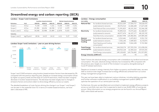## <span id="page-10-0"></span>**Streamlined energy and carbon reporting (SECR)**

| Landsec – Scope 1 and 2 emissions |                                    |         |                          |         |         |                        | Table 9 |
|-----------------------------------|------------------------------------|---------|--------------------------|---------|---------|------------------------|---------|
|                                   |                                    |         | Location-based emissions |         |         | Market-based emissions |         |
| <b>Emissions</b>                  | Unit                               | 2019/20 | 2020/21                  | 2021/22 | 2019/20 | 2020/21                | 2021/22 |
| Scope 1                           | tCO <sub>2</sub> e                 | 9.158   | 7.554                    | 7.151   | 9,158   | 7.554                  | 7,151   |
| Scope 2                           | tCO <sub>2</sub> e                 | 25,382  | 18,434                   | 18,338  | 3.719   | 2.079                  | 2,054   |
| Scope 1 and 2                     | tCO <sub>2</sub> e                 | 34,540  | 25,988                   | 25,489  | 12,878  | 9,633                  | 9,205   |
| Intensity                         |                                    |         |                          |         |         |                        |         |
| Scope 1 and 2                     | kqCO <sub>2</sub> e/m <sup>2</sup> | 18.56   | 14.23                    | 14.12   | 6.11    | 5.27                   | 5.10    |



Scope 1 and 2 GHG emissions using location-based emission factors have decreased by 2% compared with the previous reporting year. Despite an increase energy consumption driven by higher occupancy levels and the ease of Covid-19 restrictions, there has been marginal decrease in location-based emissions. The decrease has been largely due to changes in emissions factors and actions taken to drive energy efficiency across our assets.

The detailed breakdown of main factors driving the change in our Scope 1 and Scope 2 can be seen in the waterfall chart 10. In terms of market-based emissions, we have seen a decrease of 4%.

|                                | Landsec – Energy consumption             |             |               | Table 11    |
|--------------------------------|------------------------------------------|-------------|---------------|-------------|
| Unit (kWh)                     |                                          | 2019/20     | 2020/21       | 2021/22     |
| <b>Natural Gas</b>             | for landlord shared services             | 43,015,309  | 27,504,757    | 34,618,470  |
|                                | (sub)metered to tenants                  | 28,576,514  | 12,686,608    | 17,627,638  |
|                                | Total Natural Gas consumption            | 71,591,823  | 40,191,365    | 52,246,108  |
| Electricity                    | for landlord shared services             | 95,890,524  | 74,375,665    | 81,468,457  |
|                                | (sub)metered to tenants                  | 68,977,474  | 46,107,177    | 48,120,743  |
|                                | Total Electricity consumption            | 164,867,998 | 120,482,841   | 129,589,200 |
| <b>District</b>                | for landlord shared services             | 5,312,441   | 5,472,813     | 5,551,710   |
| Heating and<br>Cooling         | (sub)metered to tenants                  | 7,356,140   | 3,589,825     | 4,170,874   |
|                                | Total Heating and Cooling<br>consumption | 12,668,581  | 9,062,638     | 9,722,584   |
| <b>Total Energy</b>            | for landlord shared services             | 144,218,274 | 107, 353, 234 | 121,638,636 |
| consumption                    | (sub)metered to tenants                  | 104,910,128 | 62,383,610    | 69,919,255  |
|                                | Total Energy consumption                 | 249,128,402 | 169,736,845   | 191,557,892 |
| Energy intensity ( $kWh/m^2$ ) |                                          | 134         | 93            | 106         |

Table 11 shows the absolute energy consumption with a breakdown by landlord and tenant consumption. This year, absolute energy intensity has increased by 14% compared with the previous year, largely as a result of the increase in occupancy alongside easing of Covid-19 related restrictions.

Despite an increase in energy intensity from higher occupancy and footfall rates, we were able to avoid an even larger increase due to energy efficiencies achieved from our active energy management programme.

This year we have been able to implement various initiatives, including lighting upgrades and further software modifications in our building management systems (BMS) to optimise the operation of our central plant services.

Furthermore, this year we identified and committed to implement energy efficiency projects across our portfolio next year that is expected to lead to over 8,600 MWh of savings per annum. More information on our energy programme can be found in our Annual Report 2022, within Build well section.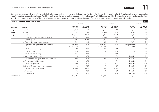<span id="page-11-0"></span>Every year we report our full carbon footprint, including indirect emissions from our value chain activities (i.e. Scope 3 emissions). By developing a full GHG emissions inventory, incorporating scope 1, scope 2, and scope 3 emissions, we're able to understand the total emissions associated with our business. The GHG Protocol identifies 15 categories for scope 3 emissions of which 8 are directly relevant to our business. The table below provides a breakdown of our entire emissions inventory. Our scope 3 reporting methodology is detailed on p.38-44.

|                        | Landsec – Scope 1, 2 and 3 emissions          |                                          |                           |                                          |                           |                                          | Table 12                  |
|------------------------|-----------------------------------------------|------------------------------------------|---------------------------|------------------------------------------|---------------------------|------------------------------------------|---------------------------|
|                        |                                               |                                          | 2019/20                   |                                          | 2020/21                   |                                          | 2021/22                   |
| GHG scope              | Category                                      | <b>Emissions</b><br>(tCO <sub>2</sub> e) | % of total<br>value chain | <b>Emissions</b><br>(tCO <sub>2</sub> e) | % of total<br>value chain | <b>Emissions</b><br>(tCO <sub>2</sub> e) | % of total<br>value chain |
| Scope 1                | Scope 1                                       | 9,158                                    | 3.4%                      | 7,554                                    | 3.3%                      | 7,151                                    | 3.2%                      |
| Scope 2                | Scope 2                                       | 25,382                                   | 9.4%                      | 18,434                                   | 8.0%                      | 18,338                                   | 8.3%                      |
| Scope 3                | Scope 3                                       | 235,031                                  | 87.2%                     | 205,235                                  | 88.8%                     | 195,875                                  | 88.5%                     |
|                        | 1. Purchased goods and services (PG&S)        | 48,787                                   | 18.1%                     | 34,004                                   | 14.7%                     | 21,623                                   | 9.8%                      |
|                        | 2. Capital goods                              | 69,123                                   | 25.6%                     | 84,261                                   | 36.4%                     | 76,397                                   | 34.5%                     |
|                        | 3. Fuel- and energy-related activities        | 6,919                                    | 2.6%                      | 5,052                                    | 2.2%                      | 7,765                                    | 3.5%                      |
|                        | 4. Upstream transportation and distribution   | Grouped<br>under PG&S                    | 0.0%                      | Grouped<br>under PG&S                    | $0.0\%$                   | Grouped under<br>PG&S                    | $0.0\%$                   |
|                        | 5. Waste generated in operations              | 770                                      | 0.3%                      | 284                                      | 0.1%                      | 516                                      | 0.2%                      |
|                        | 6. Business travel                            | 270                                      | 0.1%                      | 33                                       | 0.0%                      | 40                                       | 0.0%                      |
|                        | 7. Employee commuting                         | 166                                      | 0.1%                      | 168                                      | 0.1%                      | 159                                      | 0.1%                      |
|                        | 8. Upstream leased assets                     | n/a                                      | 0.0%                      | n/a                                      | 0.0%                      | Excluded                                 | $0.0\%$                   |
|                        | 9. Downstream transportation and distribution | n/a                                      | 0.0%                      | n/a                                      | 0.0%                      | Excluded                                 | 0.0%                      |
|                        | 10. Processing of sold products               | n/a                                      | 0.0%                      | n/a                                      | $0.0\%$                   | Excluded                                 | $0.0\%$                   |
|                        | 11. Use of sold products                      | n/a                                      | 0.0%                      | n/a                                      | 0.0%                      | Excluded                                 | $0.0\%$                   |
|                        | 12. End-of-life treatment of sold products    | n/a                                      | 0.0%                      | n/a                                      | 0.0%                      | Excluded                                 | 0.0%                      |
|                        | 13. Downstream leased assets                  | 108,996                                  | 40.4%                     | 81,433                                   | 35.2%                     | 89,374                                   | 40.4%                     |
|                        | 14. Franchises                                | n/a                                      | 0.0%                      | n/a                                      | 0.0%                      | Excluded                                 | $0.0\%$                   |
|                        | 15. Investments                               | n/a                                      | 0.0%                      | n/a                                      | $0.0\%$                   | Excluded                                 | $0.0\%$                   |
| <b>Total emissions</b> |                                               | 269,571                                  |                           | 231,223                                  |                           | 221,363                                  |                           |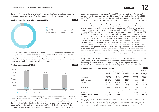Our scope 3 reporting allows us to identify the most significant areas in our value chain to focus on reducing emissions. The chart below shows the largest categories.



The two largest scope 3 categories are Capital goods and Downstream leased assets, making up 75% of our total emissions. Capital goods include the emissions associated with the manufacture and transport of materials used within our development activities and portfolio projects. Downstream leased assets are those emissions associated with energy consumed by our customers within our assets.



The emissions from Capital goods has slightly reduced due to the fact that 21 Moorfields had much less carbon-intensive material arriving on site compared to 2020-21 as it nears completion, whilst our other developments entered a more intensive phase of construction, during which material deliveries to site intensify. In the table below, we provide the amount of embodied carbon emissions reported for each development in 2021-22. In relation to Downstream leased assets, we continue to increase the share of primary

data relating to tenant energy usage (now at 57%, an increase from 44% last year), thereby increasing data accuracy, and this category's increase in emissions (from 35.2% to 40.4% of our total value chain) can be explained by occupancy increases following the lifting of Covid-related restrictions and the accompanying increase in tenant energy usage.

Because both categories represent a significant proportion of our total carbon footprint, we are committed to understanding the impacts of our buildings as much as we can to ensure that we build and run them as efficiently as possible. We therefore undertake lifecycle assessments on all of our development projects, following the RICS guidance document 'Whole life carbon assessment for the built environment' 1st Edition and BS EN 15978. The assessment considers both the embodied carbon emissions from our supply chain and construction activities (stages A1 to A5), as well as anticipated emissions from a building's operations and embodied carbon associated with maintenance and repairs over the lifetime of the building (stages B1 to C4). To minimise our construction impacts, we set targets on the embodied carbon emissions from supply chain (A1-A5) on a project-by-project basis, measured against design stage baseline (RIBA stage 3), and track these through to the completion of our buildings. The table below shows that we'll avoid over 50,000 tCO<sub>2</sub>e by targeting an overall reduction of 22.1% in the embodied carbon across five developments. We also carefully design our buildings to minimise the energy demand of our operations and meet the remaining demand through renewable electricity contracts.

This year, we have reviewed our embodied carbon targets for new developments. In next year's report, we will focus on the overall embodied carbon intensity rather than the percentage reduction from design stage as a way of ensuring that we encourage structural retention and material reuse as much as possible on our new schemes.

#### **Embodied carbon – Development pipeline** Table 15 **Development Total embodied carbon baseline (tCO2) Forecasted total embodied carbon (tCO2) Forecasted embodied carbon intensity (kgCO2/m2 ) Embodied carbon reduction % Embodied carbon emissions reported in 2021/22 (tCO2)** 21 Moorfields 120,871 91,120 1,217 -24.6% 15,364 Lucent 27,120 21,411 1,113 -21.1% 8,283 n2 24,780 20,517 996 -17.2% 6,575 The Forge 24,741 18,414 1,026 -25.6% 5,365 Portland House<sup>1</sup>  $S$ cope change – no data available

Timber Square2 32,390 27,676 535 -14.6% 543 **Landsec development pipeline 229,902 179,138 -22.1% 36,130** 

1. Portland House project has been paused during the year whilst a new design is being devised with no embodied carbon to be reported in the year.

2. Total embodied carbon baseline for Timber Square project has been reviewed to exclude sequestration in accordance with industry guidelines and the RICS guidance document on whole life carbon. If sequestration is taken into account, the forecasted embodied carbon intensity is  $448{\rm kgCO_2/m^2}$  (GIA).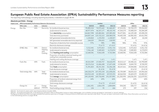## <span id="page-13-0"></span>**European Public Real Estate Association (EPRA) Sustainability Performance Measures reporting**

The reporting methodology, including reporting boundaries, is detailed on pages 38-44.

|        | Absolute portfolio - Energy                                        |                    |                |                                                                               |             |               |             |             |             | Table 16     |  |
|--------|--------------------------------------------------------------------|--------------------|----------------|-------------------------------------------------------------------------------|-------------|---------------|-------------|-------------|-------------|--------------|--|
|        | Impact area EPRA Sustainability Performance Measures (Environment) |                    |                |                                                                               |             | Landsec       |             | Office      |             |              |  |
|        | <b>EPRA codes</b>                                                  | Units              | Indicator      |                                                                               | 2019/20     | 2020/21       | 2021/22     | 2019/20     | 2020/21     | 2021/22      |  |
| Energy | Elec-Abs                                                           | kWh                | Electricity    | for landlord shared services                                                  | 95,890,524  | 74,375,665    | 81,468,457  | 47,213,531  | 32,720,579  | 39,254,005   |  |
|        |                                                                    |                    |                | (sub)metered to tenants                                                       | 68,977,474  | 46,107,177    | 48,120,743  | 47,264,270  | 33,408,529  | 30,184,189   |  |
|        |                                                                    |                    |                | Total <b>electricity</b> consumption                                          | 164,867,998 | 120,482,841   | 129,589,200 | 94,477,801  | 66,129,108  | 69,438,194   |  |
|        |                                                                    |                    |                | Total electricity purchased                                                   | 164,007,164 | 119,722,213   | 128,580,078 | 94,402,538  | 66,082,650  | 69,411,950   |  |
|        |                                                                    |                    |                | Self-generated renewable electricity                                          | 1,104,864   | 1,155,054     | 1,128,027   | 75,263      | 46,457      | 26,244       |  |
|        |                                                                    |                    |                | Self-generated renewable electricity exported                                 | 244,029     | 394,425       | 118,905     | $\circ$     | $\Omega$    |              |  |
|        |                                                                    |                    |                | Proportion of electricity from renewable sources                              | 97%         | 98%           | 98%         | 98%         | 97%         | 97%          |  |
|        |                                                                    |                    |                | Electricity disclosure coverage                                               |             | 73 of 73      | 67 of 67    |             | 21 of 21    | $16$ of $16$ |  |
|        | DH&C-Abs                                                           | kWh                | District       | for landlord shared services                                                  | 5,312,441   | 5,472,813     | 5,551,710   | 5,312,441   | 5,472,813   | 5,551,710    |  |
|        |                                                                    |                    | Heating<br>and | (sub)metered to tenants                                                       | 7,356,140   | 3,589,825     | 4,170,874   | 7,356,140   | 3,589,825   | 4,170,874    |  |
|        |                                                                    |                    | Cooling        | Total heating and cooling consumption                                         | 12,668,581  | 9,062,638     | 9,722,584   | 12,668,581  | 9,062,638   | 9,722,584    |  |
|        |                                                                    |                    |                | Proportion of landlord-obtained heating and<br>cooling from renewable sources |             |               |             |             |             |              |  |
|        |                                                                    |                    |                | Heating and cooling disclosure coverage                                       |             | $1$ of $1$    | 1 of 1      |             | 1 of 1      | $1$ of $1$   |  |
|        | Fuels-Abs                                                          | kWh                | Fuels          | for landlord shared services                                                  | 43,015,309  | 27,504,757    | 34,618,470  | 30,213,117  | 20,440,121  | 24,790,849   |  |
|        |                                                                    |                    |                | (sub)metered to tenants                                                       | 28,576,514  | 12,686,608    | 17,627,638  | 13,944,494  | 8,604,725   | 8,728,293    |  |
|        |                                                                    |                    |                | Total <b>fuels</b> consumption                                                | 71,591,823  | 40,191,365    | 52,246,108  | 44,157,611  | 29,044,846  | 33,519,142   |  |
|        |                                                                    |                    |                | Fuels disclosure coverage                                                     |             | 41 of 41      | 35 of 35    |             | 19 of 19    | 15 of 15     |  |
|        | Total energy-Abs                                                   | kWh                | Total          | for landlord shared services                                                  | 144,218,274 | 107, 353, 234 | 121,638,636 | 82,739,089  | 58,633,513  | 69,596,564   |  |
|        |                                                                    |                    | energy         | (sub)metered to tenants                                                       | 104,910,128 | 62,383,610    | 69,919,255  | 68,564,904  | 45,603,079  | 43,083,357   |  |
|        |                                                                    |                    |                | Total energy consumption                                                      | 249,128,402 | 169,736,845   | 191,557,892 | 151,303,993 | 104,236,592 | 112,679,921  |  |
|        |                                                                    |                    |                | Proportion of landlord-obtained energy from<br>renewable sources              | 64%         | 69%           | 66%         | 61%         | 62%         | 60%          |  |
|        |                                                                    |                    |                | Total energy disclosure coverage                                              |             | 73 of 73      | 67 of 67    |             | 21 of 21    | 16 of 16     |  |
|        | Energy-Int                                                         | m <sup>2</sup>     | Energy         | Floor area                                                                    | 1,861,431   | 1,826,378     | 1,804,844   | 554,242     | 528,777     | 522,862      |  |
|        |                                                                    | kWh/m <sup>2</sup> | intensity      | Total building energy intensity                                               | 134         | 93            | 106         | 273         | 197         | 216          |  |

2021/22 – % of total LfL assets within reporting boundaries included: 100%.

2021/22 – % of data estimated: 0%. In this disclosure, estimation refers to filling either invoice or meter reading gaps, not to whether invoices are based on 'estimated' or 'actual' readings.

The figures for Retail and Other have been restated from previous years due to changes in those portfolios as retail parks were reported under Retail. This year we report retail parks under Other. More information can be f in the methodology section on pages 38-40.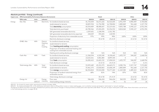|--|

|        | Absolute portfolio - Energy (continued)                            |                    |                |                                                                               |                          |                          |                          |                          |                                 | Table 16    |
|--------|--------------------------------------------------------------------|--------------------|----------------|-------------------------------------------------------------------------------|--------------------------|--------------------------|--------------------------|--------------------------|---------------------------------|-------------|
|        | Impact area EPRA Sustainability Performance Measures (Environment) |                    |                |                                                                               |                          | Retail                   |                          |                          | Other                           |             |
|        | <b>EPRA codes</b>                                                  | Units              | Indicator      |                                                                               | 2019/20                  | 2020/21                  | 2021/22                  | 2019/20                  | 2020/21                         | 2021/22     |
| Energy | Elec-Abs                                                           | <b>kWh</b>         | Electricity    | for landlord shared services                                                  | 41,725,054               | 36,671,626               | 36,510,605               | 6,951,939                | 4,983,459                       | 5,703,846   |
|        |                                                                    |                    |                | (sub)metered to tenants                                                       | 18,829,354               | 11,736,980               | 16,708,804               | 2,883,849                | 961,668                         | 1,227,750   |
|        |                                                                    |                    |                | Total electricity consumption                                                 | 60,554,409               | 48,408,607               | 53,219,410               | 9,835,788                | 5,945,127                       | 6,931,596   |
|        |                                                                    |                    |                | Total electricity purchased                                                   | 60,780,566               | 47,694,435               | 52,236,532               | 8,824,060                | 5,945,127                       | 6,931,596   |
|        |                                                                    |                    |                | Self-generated renewable electricity                                          | 1,029,601                | 1,108,596                | 1,101,782                | $\overline{\phantom{0}}$ |                                 |             |
|        |                                                                    |                    |                | Self-generated renewable electricity exported                                 | 244,029                  | 394,425                  | 118,905                  | $\overline{\phantom{0}}$ |                                 |             |
|        |                                                                    |                    |                | Proportion of electricity from renewable sources                              | 97%                      | 99%                      | 98%                      | 100%                     | 100%                            | 100%        |
|        |                                                                    |                    |                | Electricity disclosure coverage                                               |                          | 30 of 30                 | 19 of 19                 |                          | 22 of 22                        | 32 of 32    |
|        | DH&C-Abs                                                           | <b>kWh</b>         | District       | for landlord shared services                                                  | $\overline{\phantom{0}}$ | $\overline{\phantom{0}}$ |                          | $\overline{\phantom{0}}$ | $\hspace{0.1mm}-\hspace{0.1mm}$ |             |
|        |                                                                    |                    | Heating<br>and | (sub)metered to tenants                                                       | $\overline{\phantom{0}}$ | $\overline{\phantom{0}}$ | $\overline{\phantom{a}}$ | $\overline{\phantom{0}}$ | $\overline{\phantom{0}}$        |             |
|        |                                                                    |                    | Cooling        | Total heating and cooling consumption                                         | $\overline{a}$           | $\overline{\phantom{a}}$ | $\overline{\phantom{0}}$ | $\overline{a}$           | $\overline{\phantom{a}}$        |             |
|        |                                                                    |                    |                | Proportion of landlord-obtained heating and<br>cooling from renewable sources |                          |                          | $\overline{\phantom{a}}$ |                          |                                 |             |
|        |                                                                    |                    |                | Heating and cooling disclosure coverage                                       | N/A                      | N/A                      | N/A                      | N/A                      | N/A                             | N/A         |
|        | Fuels-Abs                                                          | <b>kWh</b>         | <b>Fuels</b>   | for landlord shared services                                                  | 11,368,394               | 6,520,349                | 8,158,665                | 1,433,797                | 544,287                         | 1,668,956   |
|        |                                                                    |                    |                | (sub)metered to tenants                                                       | 14,632,021               | 4,081,883                | 8,899,345                | $\mathcal{O}$            | $\overline{0}$                  | $\mathbf 0$ |
|        |                                                                    |                    |                | Total <b>fuels</b> consumption                                                | 26,000,415               | 10,602,232               | 17,058,010               | 1,433,797                | 544,287                         | 1,668,956   |
|        |                                                                    |                    |                | Fuels disclosure coverage                                                     |                          | 15 of 15                 | 14 of 14                 |                          | 7 of 7                          | $6$ of $6$  |
|        | Total energy-Abs                                                   | kWh                | Total          | for landlord shared services                                                  | 53,093,449               | 43,191,975               | 44,669,271               | 8,385,736                | 5,527,747                       | 7,372,802   |
|        |                                                                    |                    | energy         | (sub)metered to tenants                                                       | 33,461,375               | 15,818,863               | 25,608,149               | 2,883,849                | 961,668                         | 1,227,750   |
|        |                                                                    |                    |                | Total energy consumption                                                      | 86,554,824               | 59,010,838               | 70,277,420               | 11,269,585               | 6,489,415                       | 8,600,551   |
|        |                                                                    |                    |                | Proportion of landlord-obtained energy from<br>renewable sources              | 68%                      | 81%                      | 74%                      | 87%                      | 92%                             | 81%         |
|        |                                                                    |                    |                | Total energy disclosure coverage                                              |                          | 30 of 30                 | 19 of 19                 |                          | 22 of 22                        | 32 of 32    |
|        | Energy-Int                                                         | m <sup>2</sup>     | Energy         | Floor area                                                                    | 946,654                  | 946,654                  | 946,654                  | 360,535                  | 350,947                         | 335,327     |
|        |                                                                    | kWh/m <sup>2</sup> | intensity      | Total building energy intensity                                               | 91                       | 62                       | 74                       | 31                       | 19                              | 26          |

2021/22 – % of data estimated: 0%. In this disclosure, estimation refers to filling either invoice or meter reading gaps, not to whether invoices are based on 'estimated' or 'actual' readings.

The figures for Retail and Other have been restated from previous years due to changes in those portfolios as retail parks were reported under Retail. This year we report retail parks under Other. More information can be f in the methodology section on pages 38-40.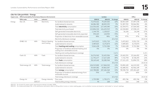| Like-for-Like portfolio – Energy                               |                    |                                                                    |                                                                                                   |             |             |            |              |             | Table 17 |
|----------------------------------------------------------------|--------------------|--------------------------------------------------------------------|---------------------------------------------------------------------------------------------------|-------------|-------------|------------|--------------|-------------|----------|
|                                                                |                    | Impact area EPRA Sustainability Performance Measures (Environment) |                                                                                                   |             | Landsec     |            |              | Office      |          |
| <b>EPRA codes</b>                                              | Units              | Indicator                                                          |                                                                                                   | 2020/21     | 2021/22     | % change   | 2020/21      | 2021/22     | % change |
| Elec-LfL                                                       | kWh                | Electricity                                                        | for landlord shared services                                                                      | 72,470,022  | 79,639,505  | 10%        | 30,967,039   | 37,497,378  | 21%      |
|                                                                |                    |                                                                    | (sub)metered to tenants                                                                           | 44,086,580  | 48,003,535  | 9%         | 31,387,932   | 30,066,981  | $-4%$    |
|                                                                |                    |                                                                    | Total <b>electricity</b> consumption                                                              | 116,556,602 | 127,643,040 | 10%        | 62,354,971   | 67,564,360  | 8%       |
|                                                                |                    |                                                                    | Total electricity purchased                                                                       | 115,806,324 | 126,633,919 | 9%         | 62,318,865   | 67,538,115  | 8%       |
|                                                                |                    |                                                                    | Self-generated renewable electricity                                                              | 1,144,703   | 1,128,027   | $-1%$      | 36,106       | 26,244      | $-27%$   |
|                                                                |                    |                                                                    | Self-generated renewable electricity exported                                                     | 394,425     | 118,905     | $-70%$     | $\circ$      | $\Omega$    | 0%       |
|                                                                |                    |                                                                    | Proportion of electricity from renewable sources                                                  | 98%         | 98%         | 0%         | 97%          | 97%         | $0\%$    |
|                                                                |                    |                                                                    | Electricity disclosure coverage                                                                   |             |             | 62 of 62   |              |             | 14 of 14 |
| DH&C-LfL                                                       | kWh                | District Heating                                                   | for landlord shared services                                                                      | 5,472,813   | 5,551,710   | 1%         | 5,472,813    | 5,551,710   | 1%       |
|                                                                |                    | and Cooling                                                        | (sub)metered to tenants<br>3,589,825<br>Total <b>heating and cooling</b> consumption<br>9,062,638 |             | 4,170,874   | 16%        | 3,589,825    | 4,170,874   | 16%      |
|                                                                |                    |                                                                    |                                                                                                   |             | 9,722,584   | 7%         | 9,062,638    | 9,722,584   | 7%       |
|                                                                |                    |                                                                    | Proportion of landlord-obtained heating and<br>cooling from renewable sources                     | 0%          | 0%          | 0%         | 0%           | 0%          | 0%       |
|                                                                |                    |                                                                    | Heating and cooling disclosure coverage                                                           |             |             | $1$ of $1$ |              |             | 1 of 1   |
| Fuels-LfL                                                      | <b>kWh</b>         | <b>Fuels</b>                                                       | for landlord shared services                                                                      | 26,376,965  | 32,653,306  | 24%        | 19,410,331   | 23,166,432  | 19%      |
|                                                                |                    |                                                                    | (sub)metered to tenants                                                                           | 11,792,677  | 17,627,638  | 49%        | 7,710,794    | 8,728,293   | 13%      |
|                                                                |                    |                                                                    | Total <b>fuels</b> consumption                                                                    | 38,169,642  | 50,280,944  | 32%        | 27, 121, 125 | 31,894,725  | 18%      |
|                                                                |                    |                                                                    | Fuels disclosure coverage                                                                         |             |             | 33 of 33   |              |             | 14 of 14 |
| Total energy-LfL                                               | kWh                | Total energy                                                       | for landlord shared services                                                                      | 104,319,800 | 117,844,520 | 13%        | 55,850,183   | 66,215,520  | 19%      |
|                                                                |                    |                                                                    | (sub)metered to tenants                                                                           | 59,469,082  | 69,802,047  | 17%        | 42,688,551   | 42,966,149  | 1%       |
|                                                                |                    |                                                                    | Total energy consumption                                                                          | 163,788,882 | 187,646,568 | 15%        | 98,538,734   | 109,181,669 | 11%      |
|                                                                |                    |                                                                    | Proportion of landlord-obtained energy from<br>renewable sources                                  | 70%         | 67%         | $-5%$      | 61%          | 60%         | $-2%$    |
|                                                                |                    |                                                                    | Total energy disclosure coverage                                                                  |             |             | 62 of 62   |              |             | 14 of 14 |
| m <sup>2</sup><br>Energy-Int<br>Energy intensity<br>Floor area |                    | 1,739,980                                                          | 1,730,271                                                                                         | 0%          | 455,746     | 455,746    | 0%           |             |          |
|                                                                | kWh/m <sup>2</sup> |                                                                    | Total building energy intensity                                                                   | 94          | 108         | 15%        | 216          | 240         | 11%      |

2021/22 – % of data estimated: 0%. In this disclosure, estimation refers to filling either invoice or meter reading gaps, not to whether invoices are based on 'estimated' or 'actual' readings.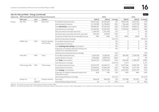|             |                   |                                                                                                                                                             |                         |                                                                                                                                                                                                                                                                                                      |                          |                   |          |                |              | Table 17 |
|-------------|-------------------|-------------------------------------------------------------------------------------------------------------------------------------------------------------|-------------------------|------------------------------------------------------------------------------------------------------------------------------------------------------------------------------------------------------------------------------------------------------------------------------------------------------|--------------------------|-------------------|----------|----------------|--------------|----------|
| Impact area |                   |                                                                                                                                                             |                         |                                                                                                                                                                                                                                                                                                      |                          | Retail            |          |                | Other        |          |
|             | <b>EPRA codes</b> | Units                                                                                                                                                       | Indicator               |                                                                                                                                                                                                                                                                                                      | 2020/21                  | 2021/22           | % change | 2020/21        | 2021/22      | % change |
| Energy      | Elec-Abs          | <b>kWh</b>                                                                                                                                                  | Electricity             | for landlord shared services                                                                                                                                                                                                                                                                         | 36,671,626               | 36,510,605        | 0%       | 4,831,356      | 5,631,521    | 17%      |
|             |                   |                                                                                                                                                             |                         | (sub)metered to tenants                                                                                                                                                                                                                                                                              | 11,736,980               | 16,708,804        | 42%      | 961,668        | 1,227,750    | 28%      |
|             |                   |                                                                                                                                                             |                         | Total <b>electricity</b> consumption                                                                                                                                                                                                                                                                 | 48,408,607               | 53,219,410        | 10%      | 5,793,024      | 6,859,271    | 18%      |
|             |                   | Like-for-Like portfolio – Energy (continued)<br><b>EPRA Sustainability Performance Measures (Environment)</b><br>kWh<br><b>kWh</b><br>kWh<br>m <sup>2</sup> |                         | Total electricity purchased                                                                                                                                                                                                                                                                          | 47,694,435               | 52,236,532        | 10%      | 5,793,024      | 6,859,271    | 18%      |
|             |                   |                                                                                                                                                             |                         | Self-generated renewable electricity                                                                                                                                                                                                                                                                 | 1,108,596                | 1,101,782         | $-1%$    | $\overline{0}$ | $\Omega$     | 0%       |
|             |                   |                                                                                                                                                             |                         | Self-generated renewable electricity exported                                                                                                                                                                                                                                                        | 394,425                  | 118,905           | $-70%$   | $\Omega$       | $\mathbf{0}$ | 0%       |
|             |                   |                                                                                                                                                             |                         | Proportion of electricity from renewable sources                                                                                                                                                                                                                                                     | 99%                      | 98%               | 0%       | 100%           | 100%         | 0%       |
|             |                   |                                                                                                                                                             |                         | Electricity disclosure coverage                                                                                                                                                                                                                                                                      |                          |                   | 19 of 19 |                |              | 29 of 29 |
|             | DH&C-Abs          |                                                                                                                                                             | <b>District Heating</b> | for landlord shared services                                                                                                                                                                                                                                                                         | $\overline{\phantom{a}}$ | $\qquad \qquad -$ | 0%       | $\overline{0}$ | $\mathbf{0}$ | 0%       |
|             |                   |                                                                                                                                                             | and Cooling             | (sub)metered to tenants                                                                                                                                                                                                                                                                              |                          | $-$               | 0%       | $\Omega$       | $\Omega$     | 0%       |
|             |                   |                                                                                                                                                             |                         | Total heating and cooling consumption                                                                                                                                                                                                                                                                |                          | $-$               | 0%       | $\Omega$       | $\Omega$     | 0%       |
|             |                   |                                                                                                                                                             |                         | Proportion of landlord-obtained heating and<br>cooling from renewable sources                                                                                                                                                                                                                        |                          | $\overline{a}$    | 0%       | $\Omega$       | $\Omega$     | 0%       |
|             |                   |                                                                                                                                                             |                         | Heating and cooling disclosure coverage                                                                                                                                                                                                                                                              |                          |                   | N/A      |                |              | N/A      |
|             | Fuels-Abs         |                                                                                                                                                             | Fuels                   | for landlord shared services                                                                                                                                                                                                                                                                         | 6,520,349                | 8,158,665         | 25%      | 446,285        | 1,328,209    | 198%     |
|             |                   |                                                                                                                                                             |                         | (sub)metered to tenants                                                                                                                                                                                                                                                                              | 4,081,883                | 8,899,345         | 118%     | $\Omega$       | $\Omega$     | 0%       |
|             |                   |                                                                                                                                                             |                         | Total fuels consumption<br>Fuels disclosure coverage<br>for landlord shared services<br>(sub)metered to tenants<br>Total energy consumption<br>Proportion of landlord-obtained energy from<br>renewable sources<br>Total energy disclosure coverage<br>Floor area<br>Total building energy intensity | 10,602,232               | 17,058,010        | 61%      | 446,285        | 1,328,209    | 198%     |
|             |                   |                                                                                                                                                             |                         |                                                                                                                                                                                                                                                                                                      |                          |                   | 14 of 14 | $5$ of $5$     |              | 5 of 5   |
|             | Total energy-Abs  |                                                                                                                                                             | Total energy            |                                                                                                                                                                                                                                                                                                      | 43,191,975               | 44,669,271        | 3%       | 5,277,641      | 6,959,730    | 32%      |
|             |                   |                                                                                                                                                             |                         |                                                                                                                                                                                                                                                                                                      | 15,818,863               | 25,608,149        | 62%      | 961,668        | 1,227,750    | 28%      |
|             |                   |                                                                                                                                                             |                         |                                                                                                                                                                                                                                                                                                      | 59,010,838               | 70,277,420        | 19%      | 6,239,309      | 8,187,479    | 31%      |
|             |                   |                                                                                                                                                             |                         |                                                                                                                                                                                                                                                                                                      | 81%                      | 74%               | $-8%$    | 93%            | 84%          | $-10%$   |
|             |                   |                                                                                                                                                             |                         |                                                                                                                                                                                                                                                                                                      |                          |                   | 19 of 19 |                |              | 29 of 29 |
|             | Energy-Int        |                                                                                                                                                             | Energy intensity        |                                                                                                                                                                                                                                                                                                      | 946,654                  | 946,654           | 0%       | 337,580        | 327,871      | 0%       |
|             |                   | kWh/m <sup>2</sup>                                                                                                                                          |                         |                                                                                                                                                                                                                                                                                                      | 62                       | 74                | 19%      | 18             | 25           | 39%      |

2021/22 – % of data estimated: 0%. In this disclosure, estimation refers to filling either invoice or meter reading gaps, not to whether invoices are based on 'estimated' or 'actual' readings.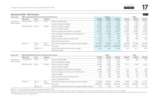|               | Absolute portfolio - GHG emissions                            |                                    |            |                                                              |           |           |           |         |                   | Table 18                 |
|---------------|---------------------------------------------------------------|------------------------------------|------------|--------------------------------------------------------------|-----------|-----------|-----------|---------|-------------------|--------------------------|
| Impact area   | <b>EPRA Sustainability Performance Measures (Environment)</b> |                                    |            |                                                              |           | Landsec   |           |         | Office            |                          |
|               | <b>EPRA codes</b>                                             | Units                              | Indicator  |                                                              | 2019/20   | 2020/21   | 2021/22   | 2019/20 | 2020/21           | 2021/22                  |
| Greenhouse    | GHG-Dir-Abs                                                   | tCO <sub>2</sub> e                 | Direct     | Scope 1 (natural gas)                                        | 7,908     | 5,057     | 6,341     | 5,555   | 3,758             | 4,541                    |
| Gas Emissions |                                                               |                                    |            | Scope 1 (refrigerant gases)                                  | 1,250     | 2,497     | 810       | 245     | 535               | 646                      |
|               | GHG-Indir-Abs                                                 | tCO <sub>2</sub> e                 | Indirect   | Scope 2 (location-based)                                     | 25,382    | 18,434    | 18,338    | 13,141  | 8,889             | 9,584                    |
|               |                                                               |                                    |            | Scope 2 (market-based)                                       | 2,223     | 2,079     | 2,054     | 1,695   | 1,826             | 1,816                    |
|               |                                                               |                                    |            | Scope 3 (energy submetered to occupiers)                     | 29,332    | 16,720    | 18,747    | 19,431  | 12,213            | 11,613                   |
|               |                                                               |                                    |            | Scope 3 (energy transmission and distribution)               | 6,919     | 4,884     | 7,765     | 3,722   | 2,463             | 4,201                    |
|               |                                                               |                                    |            | Scope 3 (waste)                                              |           | 284       | 516       | 141     | 30                | 57                       |
|               |                                                               |                                    |            | Scope 3 (water supply and treatment)                         | 1,120     | 741       | 347       | 383     | 304               | 106                      |
|               |                                                               |                                    |            | Scope 3 (business travel)                                    | 270       | 33        | 40        | 270     | $\qquad \qquad -$ | $\overline{\phantom{0}}$ |
|               | GHG-Int                                                       | tCO <sub>2</sub> e                 | <b>GHG</b> | Total GHG emissions from energy (location-based)             | 69,541    | 45,095    | 51,192    | 41,848  | 27,324            | 29,939                   |
|               |                                                               | m <sup>2</sup>                     | Intensity  | Floor area                                                   | 1,861,431 | 1,826,378 | 1,804,844 | 554,242 | 528,777           | 522,862                  |
|               |                                                               | kgCO <sub>2</sub> e/m <sup>2</sup> |            | Total GHG emission intensity from energy<br>(location-based) | 37.4      | 24.7      | 28.4      | 75.5    | 51.7              | 57.3                     |

| Impact area   | <b>EPRA Sustainability Performance Measures (Environment)</b> |                                    |            |                                                           | Retail    |         |         | Other                    |         |         |
|---------------|---------------------------------------------------------------|------------------------------------|------------|-----------------------------------------------------------|-----------|---------|---------|--------------------------|---------|---------|
|               | <b>EPRA codes</b>                                             | Units                              | Indicator  |                                                           | 2019/20   | 2020/21 | 2021/22 | 2019/20                  | 2020/21 | 2021/22 |
| Greenhouse    | GHG-Dir-Abs                                                   | tCO <sub>2</sub> e                 | Direct     | Scope 1 (natural gas)                                     | 2,090     | 1,199   | 1,494   | 264                      | 100     | 306     |
| Gas Emissions |                                                               |                                    |            | Scope 1 (refrigerant gases)                               | 1,005     | 1,962   | 164     | $\overline{\phantom{a}}$ |         |         |
|               | GHG-Indir-Abs                                                 | tCO <sub>2</sub> e                 | Indirect   | Scope 2 (location-based)                                  | 10,464    | 8,383   | 7,544   | 1,777                    | 1,162   | 1,211   |
|               |                                                               |                                    |            | Scope 2 (market-based)                                    | 528       | 254     | 238     |                          |         |         |
|               |                                                               |                                    |            | Scope 3 (energy submetered to occupiers)                  | 8,990     | 4,230   | 6,776   | 911                      | 277     | 358     |
|               |                                                               |                                    |            | Scope 3 (energy transmission and distribution)            | 2,744     | 2,133   | 3,061   | 454                      | 287     | 503     |
|               |                                                               |                                    |            | Scope 3 (waste)                                           | 523       | 204     | 377     | 105                      | 50      | 83      |
|               |                                                               |                                    |            | Scope 3 (water supply and treatment)                      | 639       | 368     | 200     | 98                       | 69      | 40      |
|               |                                                               |                                    |            | Scope 3 (business travel)                                 |           |         |         |                          |         |         |
|               | GHG-Int                                                       | tCO <sub>2</sub> e                 | <b>GHG</b> | Total GHG emissions from energy (location-based)          | 24,288    | 15,945  | 18,876  | 3,406                    | 1,826   | 2,377   |
|               |                                                               | m <sup>2</sup>                     | Intensity  | Floor area                                                | 1,050,256 | 946,654 | 946,654 | 256,933                  | 350,947 | 335,327 |
|               |                                                               | kgCO <sub>2</sub> e/m <sup>2</sup> |            | Total GHG emission intensity from energy (location-based) | 23.1      | 16.8    | 19.9    | 13.3                     | 5.2     | 7.1     |

<sup>2021/22 – %</sup> of data estimated: 0.04%. In this disclosure, estimation refers to filling either invoice or meter reading gaps, not to whether invoices are based on 'estimated' or 'actual' readings.

The figures for Retail and Other have been restated from previous years due to changes in those portfolios as retail parks were reported under Retail. This year we report retail parks under Other. More information can be f in the methodology section on pages 38-40.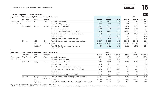|                                                             | Like-for-Like portfolio - GHG emissions                       |                                                        |           |                                                              |           |           |          |          |                | Table 19 |
|-------------------------------------------------------------|---------------------------------------------------------------|--------------------------------------------------------|-----------|--------------------------------------------------------------|-----------|-----------|----------|----------|----------------|----------|
| Impact area                                                 | <b>EPRA Sustainability Performance Measures (Environment)</b> |                                                        |           |                                                              |           | Landsec   |          |          | Office         |          |
|                                                             | <b>EPRA codes</b>                                             | Units                                                  | Indicator |                                                              | 2020/21   | 2021/22   | % change | 2020/21  | 2021/22        | % change |
| Greenhouse                                                  | GHG-Dir-LfL                                                   | tCO <sub>2</sub> e                                     | Direct    | Scope 1 (natural gas)                                        | 4,850     | 5,981     | 23%      | 3,569    | 4,243          | 19%      |
|                                                             |                                                               |                                                        |           | Scope 1 (refrigerant gases)                                  | 2,372     | 810       | $-66%$   | 411      | 646            | 57%      |
|                                                             | GHG-Indir-LfL                                                 | tCO <sub>2</sub> e                                     | Indirect  | Scope 2 (location-based)                                     | 17,992    | 17,950    | 0%       | 8,482    | 9,211          | 9%       |
|                                                             |                                                               |                                                        |           | Scope 2 (market-based)                                       | 2,079     | 2,054     | $-1%$    | 1,826    | 1,816          | $-1%$    |
|                                                             |                                                               |                                                        |           | Scope 3 (energy submetered to occupiers)                     | 15,953    | 18,713    | 17%      | 11,446   | 11,579         | 1%       |
|                                                             |                                                               |                                                        |           | Scope 3 (energy transmission and distribution)               | 4,752     | 7,559     | 59%      | 2,343    | 4,011          | 71%      |
|                                                             |                                                               |                                                        |           | Scope 3 (waste)                                              | 282       | 515       | 83%      | 28       | 56             | 96%      |
|                                                             |                                                               |                                                        |           | Scope 3 (water supply and treatment)                         | 715       | 327       | $-54%$   | 278      | 87             | $-69%$   |
|                                                             | GHG-Int                                                       | tCO <sub>2</sub> e                                     | GHG       | Total GHG emissions from energy (location-based)             | 43,547    | 50,203    | 15%      | 25,840   | 29,045         | 12%      |
|                                                             |                                                               | m <sup>2</sup>                                         | Intensity | Floor area                                                   | 1,739,980 | 1,730,271 | $-1%$    | 455,746  | 455,746        | 0%       |
|                                                             |                                                               | kgCO <sub>2</sub> e/m <sup>2</sup>                     |           | Total GHG emission intensity from energy<br>(location-based) | 25.03     | 29.01     | 16%      | 56.70    | 63.73          | 12%      |
| Gas Emissions<br>Impact area<br>Greenhouse<br>Gas Emissions |                                                               | EPRA Sustainability Performance Measures (Environment) |           |                                                              |           | Retail    |          |          | Other          |          |
|                                                             | <b>EPRA codes</b>                                             | Units                                                  | Indicator |                                                              | 2020/21   | 2021/22   | % change | 2020/21  | 2021/22        | % change |
|                                                             | GHG-Dir-LfL                                                   | tCO <sub>2</sub> e                                     | Direct    | Scope 1 (natural gas)                                        | 1,199     | 1,494     | 25%      | 82       | 243            | 197%     |
|                                                             |                                                               |                                                        |           | Scope 1 (refrigerant gases)                                  | 1,962     | 164       | $-92%$   | $\Omega$ | $\overline{0}$ | 0%       |
|                                                             | GHG-Indir-LfL                                                 | tCO <sub>2</sub> e                                     | Indirect  | Scope 2 (location-based)                                     | 8,383     | 7,544     | $-10%$   | 1,126    | 1,196          | 6%       |
|                                                             |                                                               |                                                        |           | Scope 2 (market-based)                                       | 254       | 238       | -6%      | $\Omega$ | $\Omega$       | 0%       |
|                                                             |                                                               |                                                        |           | Scope 3 (energy submetered to occupiers)                     | 4,230     | 6,776     | 60%      | 277      | 358            | 29%      |
|                                                             |                                                               |                                                        |           | Scope 3 (energy transmission and distribution)               | 2,133     | 3,061     | 44%      | 276      | 486            | 76%      |
|                                                             |                                                               |                                                        |           | Scope 3 (waste)                                              | 204       | 377       | 85%      | 50       | 83             | 65%      |
|                                                             |                                                               |                                                        |           | Scope 3 (water supply and treatment)                         | 368       | 200       | $-46%$   | 69       | 40             | $-42%$   |
|                                                             | GHG-Int                                                       | tCO <sub>2</sub> e                                     | GHG       | Total GHG emissions from energy (location-based)             | 15,945    | 18,876    | 18%      | 1,762    | 2,283          | 30%      |
|                                                             |                                                               | m <sup>2</sup>                                         | Intensity | Floor area                                                   | 946,654   | 946,654   | 0%       | 337,580  | 327,871        | $-3%$    |
|                                                             |                                                               | kgCO <sub>2</sub> e/m <sup>2</sup>                     |           | Total GHG emission intensity from energy (location-based)    | 16.84     | 19.94     | 18%      | 5.22     | 6.96           | 33%      |

2021/22 – % of data estimated: 0.04%. In this disclosure, estimation refers to filling either invoice or meter reading gaps, not to whether invoices are based on 'estimated' or 'actual' readings.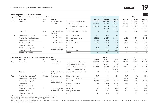|       | Absolute portfolio - water and waste                               |                |                              |                                |              |              |          |         |          | Table 20      |
|-------|--------------------------------------------------------------------|----------------|------------------------------|--------------------------------|--------------|--------------|----------|---------|----------|---------------|
|       | Impact area EPRA Sustainability Performance Measures (Environment) |                |                              |                                |              | Landsec      |          |         | Office   |               |
|       | <b>EPRA codes</b>                                                  | Units          | Indicator                    |                                | 2019/20      | 2020/21      | 2021/22  | 2019/20 | 2020/21  | 2021/22       |
| Water | Water-Abs                                                          | m <sup>3</sup> | Municipal water              | for landlord shared services   | 665,258      | 556,093      | 559,547  | 268,100 | 174,308  | 185,192       |
|       |                                                                    |                | withdrawn                    | (sub)metered to tenants        | 398,936      | 148,480      | 263,894  | 95,498  | 114,688  | 67,704        |
|       |                                                                    |                |                              | Total landlord-obtained water  | 1,064,194    | 704,573      | 823,441  | 363,599 | 288,997  | 252,896       |
|       |                                                                    |                |                              | Water disclosure coverage      |              | 59 of 59     | 57 of 57 |         | 19 of 19 | 17 of 17      |
|       | Water-Int                                                          | $m^3/m^2$      | Water withdrawn<br>intensity | Total building water intensity | 0.57         | 0.57         | 0.46     | 0.66    | 0.55     | 0.48          |
| Waste | Waste-Abs (hazardous)                                              | Tonnes         | Total weight of              | Hazardous waste $1$            | N/A          | N/A          | N/A      | N/A     | N/A      | N/A           |
|       | Waste-Abs (non-hazardous)                                          |                | waste produced               | Non-hazardous waste            | 36,272       | 13,340       | 24,245   | 6,612   | 1,430    | 2,662         |
|       | Waste-Abs (recycled)                                               |                | Total weight of              | Recycled                       | 26,581       | 8,708        | 17,126   | 5,498   | 1,169    | 2,073         |
|       | Waste-Abs (EfW)                                                    |                | waste produced               | Energy from Waste              | 9,690        | 4,632        | 7,119    | 1,114   | 262      | 589           |
|       | Waste-Abs (landfill)                                               |                |                              | Landfill                       | $\mathbf{0}$ | $\mathbf{0}$ | $\circ$  | 0       | $\Omega$ | $\mathcal{O}$ |
|       | Waste-Abs (recycled)                                               | %              | Proportion of waste          | Recycled                       | 73%          | 65%          | 71%      | 83%     | 82%      | 78%           |
|       | Waste-Abs (EfW)                                                    |                | by disposal route            | Energy from Waste              | 27%          | 35%          | 29%      | 17%     | 18%      | 22%           |
|       | Waste-Abs (landfill)                                               |                |                              | Landfill                       | 0%           | 0%           | 0%       | 0%      | 0%       | 0%            |

| Impact area | <b>EPRA Sustainability Performance Measures (Environment)</b> |                |                              |                                |          | Retail   |             |          | Other    |          |
|-------------|---------------------------------------------------------------|----------------|------------------------------|--------------------------------|----------|----------|-------------|----------|----------|----------|
|             | <b>EPRA codes</b>                                             | Units          | Indicator                    |                                | 2019/20  | 2020/21  | 2021/22     | 2019/20  | 2020/21  | 2021/22  |
| Water       | Water-Abs                                                     | m <sup>3</sup> | Municipal water              | for landlord shared services   | 303,731  | 316,048  | 279,780     | 93,427   | 65,737   | 94,575   |
|             |                                                               |                | withdrawn                    | (sub)metered to tenants        | 303,285  | 33,792   | 196,190     | 152      | $\Omega$ | $\Omega$ |
|             |                                                               |                |                              | Total landlord-obtained water  | 607,016  | 349,840  | 475,970     | 93,579   | 65,737   | 94,575   |
|             |                                                               |                |                              | Water disclosure coverage      |          | 22 of 22 | 18 of 18    |          | 18 of 18 | 22 of 22 |
|             | Water-Int                                                     | $m^3/m^2$      | Water withdrawn<br>intensity | Total building water intensity | 0.64     | 0.37     | 0.50        | 0.26     | 0.19     | 0.28     |
| Waste       | Waste-Abs (hazardous)                                         | Tonnes         | Total weight of              | Hazardous waste $1$            | N/A      | N/A      | N/A         | N/A      | N/A      | N/A      |
|             | Waste-Abs (non-hazardous)                                     |                | waste produced               | Non-hazardous waste            | 24,733   | 9,571    | 17,691      | 4,927    | 2,338    | 3,892    |
|             | Waste-Abs (recycled)                                          |                | Total weight of              | Recycled                       | 18,186   | 6,438    | 13,133      | 2,897    | 1,101    | 1,921    |
|             | Waste-Abs (EfW)                                               |                | waste produced               | Energy from Waste              | 6,547    | 3,133    | 4,558       | 2,029    | 1,238    | 1,971    |
|             | Waste-Abs (landfill)                                          |                |                              | Landfill                       | $\Omega$ | $\Omega$ | $\mathbf 0$ | $\Omega$ | $\Omega$ | $\Omega$ |
|             | Waste-Abs (recycled)                                          | %              | Proportion of waste          | Recycled                       | 74%      | 67%      | 74%         | 59%      | 47%      | 49%      |
|             | Waste-Abs (EfW)                                               |                | by disposal route            | Energy from Waste              | 26%      | 33%      | 26%         | 41%      | 53%      | 51%      |
|             | Waste-Abs (landfill)                                          |                |                              | Landfill                       | 0%       | 0%       | 0%          | 0%       | 0%       | 0%       |

1. The amount of hazardous waste produced in our properties is immaterial.

2021/22 – % of total assets within reporting boundaries included: 100%.

2021/22 – % of data estimated: Water – 6%, Waste – 0%.

The figures for Retail and Other have been restated from previous years due to changes in those portfolios as retail parks were reported under Retail. This year we report retail parks under Other. More information can be f in the methodology section on pages 38-40.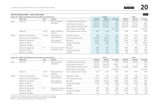|       | Like-for-Like portfolio – water and waste                          |                   |                              |                                |          |          |          |          |                | Table 21 |
|-------|--------------------------------------------------------------------|-------------------|------------------------------|--------------------------------|----------|----------|----------|----------|----------------|----------|
|       | Impact area EPRA Sustainability Performance Measures (Environment) |                   |                              |                                |          | Landsec  |          |          | Office         |          |
|       | <b>EPRA codes</b>                                                  | Units             | Indicator                    |                                | 2020/21  | 2021/22  | % change | 2020/21  | 2021/22        | % change |
| Water | Water-LfL                                                          | m3                | Municipal water              | for landlord shared services   | 536,324  | 514,490  | $-4%$    | 154,628  | 140,174        | -9%      |
|       |                                                                    |                   | withdrawn                    | (sub)metered to tenants        | 143,540  | 262,116  | 83%      | 109,748  | 65,926         | $-40\%$  |
|       |                                                                    |                   |                              | Total landlord-obtained water  | 679,864  | 776,606  | 14%      | 264,376  | 206,100        | $-22%$   |
|       |                                                                    |                   |                              | Water disclosure coverage      |          |          | 53 of 53 |          |                | 14 of 14 |
|       | Water-Int                                                          | m3/m <sup>2</sup> | Water withdrawn<br>intensity | Total building water intensity | 0.39     | 0.45     | 15%      | 0.58     | 0.45           | $-22%$   |
| Waste | Waste-LfL (hazardous)                                              | Tonnes            | Total weight of              | Hazardous waste <sup>1</sup>   | N/A      | N/A      | N/A      | N/A      | N/A            | N/A      |
|       | Waste-LfL (non-hazardous)                                          |                   | waste produced               | Non-hazardous waste            | 13,233   | 24,193   | 83%      | 1,337    | 2,617          | 96%      |
|       | Waste-LfL (recycled)                                               |                   | Total weight of              | Recycled                       | 8,629    | 17,097   | 98%      | 1,090    | 2,043          | 87%      |
|       | Waste-LfL (EfW)                                                    |                   | waste produced               | Energy from Waste              | 4,603    | 7,096    | 54%      | 247      | 574            | 133%     |
|       | Waste-LfL (landfill)                                               |                   |                              | Landfill                       | $\Omega$ | $\Omega$ | 0%       | $\Omega$ | $\overline{0}$ | 0%       |
|       | Waste-LfL (recycled)                                               | %                 | Proportion of waste          | Recycled                       | 65%      | 71%      | 9%       | 82%      | 78%            | $-4%$    |
|       | Waste-LfL (EfW)                                                    |                   | by disposal route            | Energy from Waste              | 35%      | 29%      | $-16%$   | 18%      | 22%            | 19%      |
|       | Waste-LfL (landfill)                                               |                   |                              | Landfill                       | 0%       | 0%       | $0\%$    | 0%       | 0%             | 0%       |

|       | Impact area EPRA Sustainability Performance Measures (Environment) |                   |                              |                                |          | Retail   |          |         | Other    |          |
|-------|--------------------------------------------------------------------|-------------------|------------------------------|--------------------------------|----------|----------|----------|---------|----------|----------|
|       | <b>EPRA codes</b>                                                  | Units             | Indicator                    |                                | 2020/21  | 2021/22  | % change | 2020/21 | 2021/22  | % change |
| Water | Water-LfL                                                          | m <sub>3</sub>    | Municipal water              | for landlord shared services   | 316,048  | 279,780  | $-11\%$  | 65,648  | 94,536   | 44%      |
|       |                                                                    |                   | withdrawn                    | (sub)metered to tenants        | 33,792   | 196,190  | 481%     | 0       | $\Omega$ | 0%       |
|       |                                                                    |                   |                              | Total landlord-obtained water  | 349,840  | 475,970  | 36%      | 65,648  | 94,536   | 44%      |
|       |                                                                    |                   |                              | Water disclosure coverage      |          |          | 18 of 18 |         |          | 21 of 21 |
|       | Water-Int                                                          | m3/m <sup>2</sup> | Water withdrawn<br>intensity | Total building water intensity | 0.37     | 0.50     | 36%      | 0.19    | 29%      | 52%      |
| Waste | Waste-LfL (hazardous)                                              | Tonnes            | Total weight of              | Hazardous waste <sup>1</sup>   | N/A      | N/A      | N/A      | N/A     | N/A      | N/A      |
|       | Waste-LfL (non-hazardous)                                          |                   | waste produced               | Non-hazardous waste            | 9,571    | 17,691   | 85%      | 2,325   | 3,885    | 67%      |
|       | Waste-LfL (recycled)                                               |                   | Total weight of              | Recycled                       | 6,438    | 13,133   | 104%     | 1,101   | 1,921    | 74%      |
|       | Waste-LfL (EfW)                                                    |                   | waste produced               | Energy from Waste              | 3,133    | 4,558    | 46%      | 1,224   | 1,964    | 60%      |
|       | Waste-LfL (landfill)                                               |                   |                              | Landfill                       | $\Omega$ | $\Omega$ | 0%       | 0       | $\Omega$ | 0%       |
|       | Waste-LfL (recycled)                                               | %                 | Proportion of waste          | Recycled                       | 67%      | 74%      | 10%      | 47%     | 49%      | 5%       |
|       | Waste-LfL (EfW)                                                    |                   | by disposal route            | Energy from Waste              | 33%      | 26%      | $-21%$   | 53%     | 51%      | $-5%$    |
|       | Waste-LfL (landfill)                                               |                   |                              | Landfill                       | 0%       | 0%       | 0%       | 0%      | 0%       | 0%       |

1. The amount of hazardous waste produced in our properties is immaterial.

2021/22 – % of total LfL assets within reporting boundaries included: 100%.

2021/22 – % of data estimated: Water – 6.2%, Waste – 0%.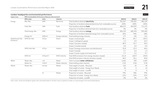|                                                                                                           |                                                               |                                   |                  |                                                                    |          |          | Table 22 |
|-----------------------------------------------------------------------------------------------------------|---------------------------------------------------------------|-----------------------------------|------------------|--------------------------------------------------------------------|----------|----------|----------|
| Impact area                                                                                               | <b>EPRA Sustainability Performance Measures (Environment)</b> |                                   |                  |                                                                    |          |          |          |
|                                                                                                           | <b>EPRA codes</b>                                             | Units                             | Indicator        |                                                                    | 2019/20  | 2020/21  | 2021/22  |
| Landsec headquarters environmental performance<br>Energy<br>Greenhouse Gas<br>Emissions<br>Water<br>Waste | Elec-Abs                                                      | kWh                               | Electricity      | Total landlord-obtained electricity                                | 351,567  | 230,301  | 282,145  |
|                                                                                                           |                                                               |                                   |                  | Proportion of landlord-obtained electricity from renewable sources | 100%     | 100%     | 100%     |
|                                                                                                           | Fuels-Abs                                                     | kWh                               | Fuels            | Total landlord-obtained fuels                                      | 484,572  | 454,993  | 711,275  |
|                                                                                                           |                                                               |                                   |                  | Proportion of landlord-obtained fuels from renewable sources       | 0%       | 0%       | 0%       |
|                                                                                                           | Total energy-Abs                                              | <b>kWh</b>                        | Energy           | Total landlord-obtained energy                                     | 836,139  | 685,294  | 993,420  |
|                                                                                                           |                                                               |                                   |                  | Proportion of landlord-obtained energy from renewable sources      | 42%      | 34%      | 28%      |
|                                                                                                           | Energy-Int                                                    | kWh/m <sup>2</sup>                | Energy intensity | Total building energy intensity                                    | 177      | 145      | 211      |
|                                                                                                           | GHG-Dir-Abs                                                   | tCO <sub>2</sub> e                | Direct           | Scope 1 (natural gas)                                              | 89.1     | 83.7     | 130.3    |
|                                                                                                           |                                                               |                                   |                  | Scope 1 (refrigerant gases)                                        | 1.5      | 0.0      | 10.3     |
|                                                                                                           |                                                               |                                   |                  | Scope 2 (location-based)                                           | 89.9     | 53.7     | 59.9     |
|                                                                                                           |                                                               |                                   |                  | Scope 2 (market-based)                                             | 0.0      | 0.0      | 0.0      |
|                                                                                                           | GHG-Indir-Abs                                                 | tCO <sub>2</sub> e                | Indirect         | Scope 3 (energy transmission and distribution)                     | 32.8     | 23.5     | 44.6     |
|                                                                                                           |                                                               |                                   |                  | Scope 3 (waste)                                                    | 2.7      | 0.6      | 1.3      |
|                                                                                                           |                                                               |                                   |                  | Scope 3 (water supply and treatment)                               | 2.7      | 0.2      | 0.7      |
|                                                                                                           | GHG-Int                                                       | tCO <sub>2</sub> e/m <sup>2</sup> | GHG intensity    | Total GHG emissions from energy (location-based)                   | 211.8    | 160.9    | 234.8    |
|                                                                                                           |                                                               |                                   |                  | Total GHG emission intensity (location-based)                      | 44.9     | 34.1     | 49.8     |
|                                                                                                           | Water-Abs                                                     | m <sub>3</sub>                    | Water            | Total municipal water withdrawn                                    | 2,602    | 205      | 1,605    |
|                                                                                                           | Water-Int                                                     | m3/m <sup>2</sup>                 | Water intensity  | Total building water intensity                                     | 0.55     | 0.04     | 0.34     |
|                                                                                                           | Waste-Abs                                                     | tonnes                            | Waste            | Total weight of waste - Recycled                                   | 102      | 20       | 49       |
|                                                                                                           |                                                               |                                   |                  | Total weight of waste - Energy from Waste                          | 26       | 6        | 13       |
|                                                                                                           |                                                               |                                   |                  | Total weight of waste - Landfill                                   | $\Omega$ | $\Omega$ | $\Omega$ |
|                                                                                                           |                                                               | $\%$                              | Waste            | Proportion of waste - Recycled                                     | 79%      | 78%      | 79%      |
|                                                                                                           |                                                               |                                   |                  | Proportion of waste - Energy from Waste                            | 21%      | 22%      | 21%      |

Proportion of waste – Landfill and the contract of the contract of the contract of the contract of the contract of the contract of the contract of the contract of the contract of the contract of the contract of the contrac

Fuels, water, waste and refrigerant gases were calculated based on the floor area occupied by Landsec as a percentage of the total building figures.

| ı Repo <u>rt</u> |  |
|------------------|--|
|                  |  |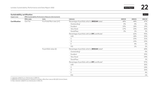|                              |                   |                                                        |                                                              |         |         | Table 23 |
|------------------------------|-------------------|--------------------------------------------------------|--------------------------------------------------------------|---------|---------|----------|
| Impact area                  |                   | EPRA Sustainability Performance Measures (Environment) |                                                              |         |         |          |
|                              | <b>EPRA codes</b> | Units                                                  | Indicator                                                    | 2019/20 | 2020/21 | 2021/22  |
| Certification                | Cert-Tot          | % of total floor area $(m2)$                           | Percentage of portfolio which is <b>BREEAM</b> rated         | 40%     | 44%     | 47%      |
|                              |                   |                                                        | Outstanding <sup>2</sup>                                     | 0%      | 0%      | 0%       |
|                              |                   |                                                        | Excellent                                                    | 19%     | 18%     | 19%      |
|                              |                   |                                                        | Very Good                                                    | 17%     | 23%     | 26%      |
|                              |                   |                                                        | Good/Pass                                                    | 3%      | 2%      | 3%       |
|                              |                   |                                                        | Percentage of portfolio with an EPC certificate <sup>1</sup> |         | 62%     | 95%      |
|                              |                   |                                                        | $\mathsf{A/B}$                                               |         | 18%     | 33%      |
|                              |                   |                                                        | $\subset$                                                    |         | 23%     | 31%      |
| Sustainability certification |                   |                                                        | D                                                            |         | 15%     | 23%      |
|                              |                   |                                                        | Ε                                                            |         | 4%      | 6%       |
|                              |                   |                                                        | F/G                                                          |         | 2%      | 2%       |
|                              |                   | % portfolio value (£)                                  | Percentage of portfolio which is BREEAM rated <sup>3</sup>   |         |         | 60%      |
|                              |                   |                                                        | Outstanding <sup>2</sup>                                     |         |         | 0%       |
|                              |                   |                                                        | Excellent                                                    |         |         | 35%      |
|                              |                   |                                                        | Very Good                                                    |         |         | 24%      |
|                              |                   |                                                        | Good/Pass                                                    |         |         | 1%       |
|                              |                   |                                                        | Percentage of portfolio with an EPC certificate <sup>3</sup> |         |         | 97%      |
|                              |                   |                                                        | A/B                                                          |         |         | 36%      |
|                              |                   |                                                        | C                                                            |         |         | 24%      |
|                              |                   |                                                        | D                                                            |         |         | 32%      |
|                              |                   |                                                        | Ε                                                            |         |         | 4%       |
|                              |                   |                                                        | F/G                                                          |         |         | 1%       |

1. Indicator added to our disclosures in 2020-21.

2. BREEAM Outstanding space is related to Landsec office floor area at 80-100 Victoria Street.

3. New indicator added to our disclosures in 2021-22.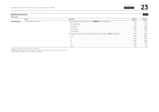Landsec Sustainability Performance and Data Report 2022 **Data Report 2021** 

#### **Additional disclosure** Table 24

| Impact area |  |
|-------------|--|
|-------------|--|

|               | Units                      | Indicator                                                                          | 2020/21 | 2020/21 |
|---------------|----------------------------|------------------------------------------------------------------------------------|---------|---------|
| Certification | $%$ of rental income $(E)$ | Percentage of rental income from BREEAM certified assets <sup>1</sup>              | 62%     | 59%     |
|               |                            | Outstanding <sup>2</sup>                                                           | 0%      | 0%      |
|               |                            | Excellent                                                                          | 32%     | 30%     |
|               |                            | Very Good                                                                          | 28%     | 28%     |
|               |                            | Good/Pass                                                                          | 2%      | 2%      |
|               |                            | Percentage of rental income (ERV) from spaces with an EPC certificate <sup>1</sup> | 75%     | 96%     |
|               |                            | A/B                                                                                | 24%     | 36%     |
|               |                            | $\sim$                                                                             | 25%     | 25%     |
|               |                            |                                                                                    | 20%     | 28%     |
|               |                            |                                                                                    | 4%      | 5%      |
|               |                            | F/G                                                                                | 2%      | 1%      |

1. Indicator added to our disclosures in 2020-21.

2. BREEAM Outstanding space is related to Landsec office floor area at 80-100 Victoria Street.

3. New indicator added to our disclosures in 2021-22.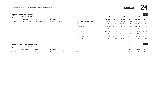<span id="page-24-0"></span>

|             | <b>Employee diversity - Gender</b> | <b>EPRA Sustainability Performance Measures (Social)</b><br>Units<br>Indicator<br>% of employees<br>Gender diversity<br>Gender by level<br>Board<br>Executive<br>Senior Leader<br>Leader<br>Manager<br>Professional<br>Support |           |                      |        |         |         |         |         | Table 25 |
|-------------|------------------------------------|--------------------------------------------------------------------------------------------------------------------------------------------------------------------------------------------------------------------------------|-----------|----------------------|--------|---------|---------|---------|---------|----------|
| Impact area |                                    |                                                                                                                                                                                                                                |           |                      |        | 2019/20 | 2020/21 |         | 2021/22 |          |
|             | <b>EPRA codes</b>                  |                                                                                                                                                                                                                                |           |                      | Female | Male    | Female  | Male    | Female  | Male     |
| Diversity   | Diversity-Emp                      |                                                                                                                                                                                                                                |           | % of total employees | 52.4%  | 47.6%   | 51.6%   | 48.4%   | 51.3%   | 48.7%    |
|             |                                    |                                                                                                                                                                                                                                |           |                      | 44.4%  | 55.5%   | 50.0%   | 50.0%   | 55.6%   | 44.4%    |
|             |                                    |                                                                                                                                                                                                                                |           |                      | 20.0%  | 80.0%   | 11.1%   | 88.9%   | 22.2%   | 77.8%    |
|             |                                    |                                                                                                                                                                                                                                |           |                      | 30.0%  | 70.0%   | 37.5%   | 62.5%   | 30.3%   | 69.7%    |
|             |                                    |                                                                                                                                                                                                                                |           |                      | 24.5%  | 75.5%   | 30.9%   | 69.1%   | 35.0%   | 65.0%    |
|             |                                    |                                                                                                                                                                                                                                |           |                      | 52.6%  | 47.4%   | 52.2%   | 47.8%   | 50.0%   | 50.0%    |
|             |                                    |                                                                                                                                                                                                                                |           |                      | 61.7%  | 38.3%   | 58.2%   | 41.8%   | 57.2%   | 42.8%    |
|             |                                    |                                                                                                                                                                                                                                |           |                      | 71.4%  | 28.6%   | 73.1%   | 26.9%   | 79.2%   | 20.8%    |
|             |                                    |                                                                                                                                                                                                                                |           |                      |        |         |         |         |         |          |
|             | Employee diversity - Gender pay    |                                                                                                                                                                                                                                |           |                      |        |         |         |         |         | Table 26 |
| Impact area |                                    | <b>EPRA Sustainability Performance Measures (Social)</b>                                                                                                                                                                       |           |                      |        |         |         | 2019/20 | 2020/21 | 2021/22  |
|             | <b>EPRA</b> codes                  | Units                                                                                                                                                                                                                          | Indicator |                      |        |         |         | Ratio   | Ratio   | Ratio    |

|           | <b>FPRA codes</b>            | Units        | ndicator                     |                                     | Katıo      | Ratio | Katio    |
|-----------|------------------------------|--------------|------------------------------|-------------------------------------|------------|-------|----------|
| Diversity | $)$ i $\sqrt{2}$ rcit<br>سرب | $P_{\cap V}$ | $)$ 11/ $\rho$ rcit<br>ratic | $\sim$ m $\sim$<br>lotc<br>$\cdots$ | $\bot$ .0. |       | <u>.</u> |
|           |                              |              |                              |                                     |            |       |          |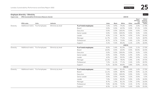#### **Employee diversity – Ethnicity** Table 27

**Impact area EPRA Sustainability Performance Measures (Social) 2019/20**

|           |                                  | Entry papeamapment i criterinance measures (pocial) |                    |                      |       |              |         |       |                                       |                                           |
|-----------|----------------------------------|-----------------------------------------------------|--------------------|----------------------|-------|--------------|---------|-------|---------------------------------------|-------------------------------------------|
|           | <b>EPRA codes</b>                | Units                                               | Indicator          |                      | Asian | <b>Black</b> | White   | Other | Race/<br>ethnicity<br>not<br>recorded | Ethnic<br>minority<br>represen-<br>tation |
| Diversity | Additional metric % of employees |                                                     | Ethnicity by level | % of total employees | 7.6%  | 4.9%         | 79.6%   | 4.9%  | 3.0%                                  | 17.4%                                     |
|           |                                  |                                                     |                    | Board                | 0.0%  | 0.0%         | 42.9%   | 0.0%  | 57.1%                                 | 0.0%                                      |
|           |                                  |                                                     |                    | Executive            | 0.0%  | 0.0%         | 100.0%  | 0.0%  | 0.0%                                  | 0.0%                                      |
|           |                                  |                                                     |                    | Senior Leader        | 0.0%  | 0.0%         | 100.0%  | 0.0%  | 0.0%                                  | 0.0%                                      |
|           |                                  |                                                     |                    | Leader               | 4.3%  | 2.1%         | 86.2%   | 4.3%  | 3.2%                                  | 10.6%                                     |
|           |                                  |                                                     |                    | Manager              | 11.7% | 2.0%         | 77.6%   | 5.1%  | 3.6%                                  | 18.9%                                     |
|           |                                  |                                                     |                    | Professional         | 8.7%  | 8.7%         | 75.8%   | 5.4%  | 1.3%                                  | 22.8%                                     |
|           |                                  |                                                     |                    | Support              | 3.1%  | 9.2%         | 80.6%   | 6.1%  | 1.0%                                  | 18.4%                                     |
|           |                                  |                                                     |                    |                      |       |              | 2020/21 |       |                                       |                                           |
| Diversity | Additional metric % of employees |                                                     | Ethnicity by level | % of total employees | 8.0%  | 5.4%         | 81.0%   | 3.6%  | 2.1%                                  | 17.0%                                     |
|           |                                  |                                                     |                    | Board                | 10.0% | 0.0%         | 60.0%   | 0.0%  | 30.0%                                 | 10.0%                                     |
|           |                                  |                                                     |                    | Executive            | 0.0%  | 0.0%         | 100.0%  | 0.0%  | 0.0%                                  | 0.0%                                      |
|           |                                  |                                                     |                    | Senior Leader        | 0.0%  | 0.0%         | 93.8%   | 6.3%  | 0.0%                                  | 6.3%                                      |
|           |                                  |                                                     |                    | Leader               | 4.5%  | 1.8%         | 90.9%   | 1.8%  | 0.9%                                  | 8.2%                                      |
|           |                                  |                                                     |                    | Manager              | 12.2% | 2.0%         | 78.0%   | 5.4%  | 2.4%                                  | 19.5%                                     |
|           |                                  |                                                     |                    | Professional         | 7.2%  | 11.1%        | 77.1%   | 2.6%  | 2.0%                                  | 20.9%                                     |
|           |                                  |                                                     |                    | Support              | 5.1%  | 10.3%        | 80.8%   | 3.8%  | 0.0%                                  | 19.2%                                     |
|           |                                  |                                                     |                    |                      |       |              | 2021/22 |       |                                       |                                           |
| Diversity | Additional metric % of employees |                                                     | Ethnicity by level | % of total employees | 7.8%  | 4.8%         | 81.4%   | 4.4%  | 1.6%                                  | 17.0%                                     |
|           |                                  |                                                     |                    | Board                | 11.1% | 0.0%         | 88.9%   | 0.0%  | 0.0%                                  | 11.1%                                     |
|           |                                  |                                                     |                    | Executive            | 0.0%  | 0.0%         | 100.0%  | 0.0%  | 0.0%                                  | $0.0\%$                                   |
|           |                                  |                                                     |                    | Senior Leader        | 0.0%  | 0.0%         | 96.8%   | 3.2%  | 0.0%                                  | 3.2%                                      |
|           |                                  |                                                     |                    | Leader               | 7.0%  | 0.0%         | 89.0%   | 3.0%  | 2.0%                                  | 10.0%                                     |
|           |                                  |                                                     |                    | Manager              | 8.7%  | 1.9%         | 81.1%   | 5.3%  | 2.9%                                  | 16.0%                                     |
|           |                                  |                                                     |                    | Professional         | 9.0%  | 10.3%        | 75.9%   | 4.1%  | 0.7%                                  | 23.4%                                     |
|           |                                  |                                                     |                    | Support              | 8.3%  | 11.1%        | 75.0%   | 5.6%  | 0.0%                                  | 25.0%                                     |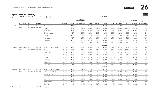#### **Employee diversity – Disability** Table 28

|           |                         | Impact area EPRA Sustainability Performance Measures (Social) |           |                                 |                                 |      |                                                           |                  |          | 2019/20 |       |            |                         |                   |                                       |
|-----------|-------------------------|---------------------------------------------------------------|-----------|---------------------------------|---------------------------------|------|-----------------------------------------------------------|------------------|----------|---------|-------|------------|-------------------------|-------------------|---------------------------------------|
|           | <b>EPRA codes</b> Units |                                                               | Indicator |                                 | Dexterity                       |      | Learning,<br>understanding<br>or<br>Hearing concentrating | Mental<br>health | Mobility | Vision  | Other | disability | No Prefer not<br>to say | Disability<br>not | Disability<br>recorded representation |
| Diversity | Additional              | % of                                                          |           | Disability % of total employees | $\hspace{0.1mm}-\hspace{0.1mm}$ | 0.4% | 0.7%                                                      | 0.5%             | 0.4%     | 0.4%    | 0.9%  | 87.0%      | 3.9%                    | 6.0%              | 3.2%                                  |
|           | metric                  | employees by level                                            |           | Board                           | $\overline{\phantom{m}}$        | 0.0% | 0.0%                                                      | 0.0%             | 0.0%     | 0.0%    | 0.0%  | 0.0%       | 14.3%                   | 85.7%             | 0.0%                                  |
|           |                         |                                                               |           | Executive                       | $\overline{\phantom{a}}$        | 0.0% | 0.0%                                                      | 0.0%             | 0.0%     | 20.0%   | 0.0%  | 60.0%      | 0.0%                    | 20.0%             | 20.0%                                 |
|           |                         |                                                               |           | Senior Leader                   | $\hspace{0.1mm}-\hspace{0.1mm}$ | 0.0% | 0.0%                                                      | 0.0%             | 0.0%     | 0.0%    | 0.0%  | 95.0%      | 0.0%                    | 5.0%              | 0.0%                                  |
|           |                         |                                                               |           | Leader                          | $\overline{\phantom{a}}$        | 0.0% | 0.0%                                                      | 1.1%             | 0.0%     | 1.1%    | 1.1%  | 83.0%      | 7.4%                    | 6.4%              | 3.2%                                  |
|           |                         |                                                               |           | Manager                         | $\hspace{0.1mm}-\hspace{0.1mm}$ | 0.5% | 1.0%                                                      | 0.0%             | 1.0%     | 0.0%    | 1.0%  | 87.2%      | 4.1%                    | 5.1%              | 3.6%                                  |
|           |                         |                                                               |           | Professional                    | $\overline{\phantom{a}}$        | 0.0% | 1.3%                                                      | 0.7%             | 0.0%     | 0.0%    | 0.7%  | 89.9%      | 2.7%                    | 4.7%              | 2.7%                                  |
|           |                         |                                                               |           | Support                         | $\overline{\phantom{m}}$        | 1.0% | 0.0%                                                      | 1.0%             | 0.0%     | 0.0%    | 1.0%  | 91.8%      | 2.0%                    | 3.1%              | 3.1%                                  |
|           |                         |                                                               |           |                                 |                                 |      |                                                           |                  |          | 2020/21 |       |            |                         |                   |                                       |
| Diversity | Additional              | $%$ of                                                        |           | Disability % of total employees | 0.3%                            | 0.2% | 1.0%                                                      | 0.9%             | 0.3%     | 0.5%    | 0.9%  | 90.7%      | 3.3%                    | 2.2%              | 3.8%                                  |
|           | metric                  | employees by level                                            |           | Board                           | $0.0\%$                         | 0.0% | 0.0%                                                      | 0.0%             | 0.0%     | 0.0%    | 0.0%  | 10.0%      | 30.0%                   | 60.0%             | 0.0%                                  |
|           |                         |                                                               |           | Executive                       | $0.0\%$                         | 0.0% | 0.0%                                                      | 0.0%             | 0.0%     | 11.1%   | 0.0%  | 66.7%      | 11.1%                   | 11.1%             | 11.1%                                 |
|           |                         |                                                               |           | Senior Leader                   | 0.0%                            | 0.0% | 0.0%                                                      | 0.0%             | 0.0%     | 0.0%    | 6.3%  | 93.8%      | 0.0%                    | 0.0%              | 6.3%                                  |
|           |                         |                                                               |           | Leader                          | 0.0%                            | 0.0% | 0.0%                                                      | 0.9%             | 0.0%     | 0.9%    | 0.9%  | 93.6%      | 2.7%                    | 0.9%              | 2.8%                                  |
|           |                         |                                                               |           | Manager                         | 1.0%                            | 0.0% | 1.0%                                                      | 0.5%             | 1.0%     | 0.0%    | 0.0%  | 90.7%      | 3.9%                    | 2.0%              | 3.4%                                  |
|           |                         |                                                               |           | Professional                    | 0.0%                            | 0.0% | 2.6%                                                      | 1.3%             | 0.0%     | 0.0%    | 0.7%  | 91.5%      | 2.6%                    | 1.3%              | 4.6%                                  |
|           |                         |                                                               |           | Support                         | 0.0%                            | 1.3% | 0.0%                                                      | 1.3%             | 0.0%     | 1.3%    | 2.6%  | 94.9%      | 1.3%                    | $0.0\%$           | 3.8%                                  |
|           |                         |                                                               |           |                                 |                                 |      |                                                           |                  |          | 2021/22 |       |            |                         |                   |                                       |
| Diversity | Additional              | % of                                                          |           | Disability % of total employees | 0.2%                            | 0.5% | 1.4%                                                      | 1.2%             | 0.2%     | 0.2%    | 1.2%  | 92.2%      | 2.3%                    | 0.7%              | 5.0%                                  |
|           | metric                  | employees by level                                            |           | Board/Executive <sup>1</sup>    | 0.0%                            | 0.0% | 0.0%                                                      | 0.0%             | 0.0%     | 6.7%    | 0.0%  | 0.0%       | 33.3%                   | 20.0%             | 6.7%                                  |
|           |                         |                                                               |           | Senior Leader                   | $0.0\%$                         | 0.0% | 0.0%                                                      | 0.0%             | 0.0%     | 0.0%    | 3.2%  | 96.8%      | 0.0%                    | $0.0\%$           | 3.2%                                  |
|           |                         |                                                               |           | Leader                          | 0.0%                            | 0.0% | 0.0%                                                      | 1.0%             | 0.0%     | 0.0%    | 1.0%  | 95.1%      | 2.0%                    | 1.0%              | 2.0%                                  |
|           |                         |                                                               |           | Manager                         | 0.5%                            | 0.5% | 1.5%                                                      | 1.0%             | 0.5%     | 0.0%    | 1.0%  | 90.8%      | 3.4%                    | 1.0%              | 4.9%                                  |
|           |                         |                                                               |           | Professional                    | $0.0\%$                         | 0.7% | 2.8%                                                      | 0.7%             | 0.0%     | 0.0%    | 1.4%  | 93.1%      | 1.4%                    | $0.0\%$           | 5.5%                                  |
|           |                         |                                                               |           | Support                         | 0.0%                            | 1.4% | 1.4%                                                      | 4.2%             | 0.0%     | 0.0%    | 1.4%  | 90.3%      | 1.4%                    | 0.0%              | 8.3%                                  |

1. Board and Executive have been combined in 2021/22 to preserve anonymity.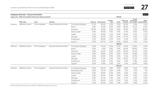|           | Employee diversity - Sexual orientation                       |                |                             |                      |       |                       |                 |         |            |                       | Table 29                                      |
|-----------|---------------------------------------------------------------|----------------|-----------------------------|----------------------|-------|-----------------------|-----------------|---------|------------|-----------------------|-----------------------------------------------|
|           | Impact area EPRA Sustainability Performance Measures (Social) |                |                             |                      |       |                       |                 | 2019/20 |            |                       |                                               |
|           | <b>EPRA codes</b>                                             | Units          | Indicator                   |                      |       | Bisexual Heterosexual | Lesbian/<br>Gay | Other   | Prefer not | Sexual<br>orientation | LGBT+<br>to state not recorded representation |
| Diversity | Additional metric                                             | % of employees | Sexual orientation by level | % of total employees | 0.7%  | 83.3%                 | 2.3%            | 0.2%    | 10.5%      | 3.0%                  | 3.2%                                          |
|           |                                                               |                |                             | Board                | 0.0%  | 14.3%                 | 0.0%            | 0.0%    | 28.6%      | 57.1%                 | 0.0%                                          |
|           |                                                               |                |                             | Executive            | 20.0% | 60.0%                 | 0.0%            | 0.0%    | 20.0%      | 0.0%                  | 20.0%                                         |
|           |                                                               |                |                             | Senior Leader        | 0.0%  | 95.0%                 | 0.0%            | 0.0%    | 5.0%       | 0.0%                  | 0.0%                                          |
|           |                                                               |                |                             | Leader               | 1.1%  | 84.0%                 | 1.1%            | 0.0%    | 10.6%      | 3.2%                  | 2.1%                                          |
|           |                                                               |                |                             | Manager              | 0.5%  | 83.2%                 | 1.0%            | 0.0%    | 11.7%      | 3.6%                  | 1.5%                                          |
|           |                                                               |                |                             | Professional         | 0.7%  | 83.9%                 | 4.7%            | 0.7%    | 8.7%       | 1.3%                  | 6.0%                                          |
|           |                                                               |                |                             | Support              | 0.0%  | 85.7%                 | 3.1%            | 0.0%    | 10.2%      | 1.0%                  | 3.1%                                          |
|           |                                                               |                |                             |                      |       |                       |                 | 2020/21 |            |                       |                                               |
| Diversity | Additional metric                                             | % of employees | Sexual orientation by level | % of total employees | 0.2%  | 75.1%                 | 2.2%            | 0.5%    | 8.5%       | 13.5%                 | 2.9%                                          |
|           |                                                               |                |                             | Board                | 0.0%  | 0.0%                  | 0.0%            | 0.0%    | 20.0%      | 80.0%                 | 0.0%                                          |
|           |                                                               |                |                             | Executive            | 0.0%  | 55.6%                 | 0.0%            | 0.0%    | 22.2%      | 22.2%                 | 0.0%                                          |
|           |                                                               |                |                             | Senior Leader        | 0.0%  | 68.8%                 | 0.0%            | 0.0%    | 12.5%      | 18.8%                 | 0.0%                                          |
|           |                                                               |                |                             | Leader               | 0.0%  | 81.8%                 | 0.9%            | 0.0%    | 6.4%       | 10.9%                 | 0.9%                                          |
|           |                                                               |                |                             | Manager              | 0.0%  | 75.6%                 | 2.0%            | 1.0%    | 10.2%      | 11.2%                 | 2.9%                                          |
|           |                                                               |                |                             | Professional         | 0.7%  | 76.5%                 | 3.9%            | 0.0%    | 9.2%       | 9.8%                  | 4.6%                                          |
|           |                                                               |                |                             | Support              | 0.0%  | 71.8%                 | 2.6%            | 1.3%    | 2.6%       | 21.8%                 | 3.8%                                          |
|           |                                                               |                |                             |                      |       |                       |                 | 2021/22 |            |                       |                                               |
| Diversity | Additional metric                                             | % of employees | Sexual orientation by level | % of total employees | 0.5%  | 84.1%                 | 2.8%            | 0.5%    | 8.0%       | 4.1%                  | 3.9%                                          |
|           |                                                               |                |                             | Board/Executive      | 0.0%  | 46.7%                 | 0.0%            | 0.0%    | 27%        | 27%                   | 0%                                            |
|           |                                                               |                |                             | Senior Leader        | 0.0%  | 83.9%                 | 6.5%            | 0.0%    | 6.5%       | 3.2%                  | 6.5%                                          |
|           |                                                               |                |                             | Leader               | 1.0%  | 89.2%                 | 0.0%            | 0.0%    | 4.9%       | 4.9%                  | 1.0%                                          |
|           |                                                               |                |                             | Manager              | 0.0%  | 81.1%                 | 2.4%            | 1.0%    | 9.7%       | 5.8%                  | 3.4%                                          |
|           |                                                               |                |                             | Professional         | 0.7%  | 86.2%                 | 4.1%            | 0.0%    | 7.6%       | 1.4%                  | 4.8%                                          |
|           |                                                               |                |                             | Support              | 1.4%  | 81.9%                 | 4.2%            | 1.4%    | 8.3%       | 2.8%                  | 6.9%                                          |

Board and Executive have been combined in 2021/22 to preserve anonymity.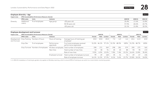|              | Employee diversity – Age          |                                                          |                           |                                                         |        |         |         |        |         |         |        |         | Table 30 |
|--------------|-----------------------------------|----------------------------------------------------------|---------------------------|---------------------------------------------------------|--------|---------|---------|--------|---------|---------|--------|---------|----------|
| Impact area  |                                   | <b>EPRA Sustainability Performance Measures (Social)</b> |                           |                                                         |        |         |         |        |         |         |        |         |          |
|              | <b>EPRA codes</b>                 | Units                                                    | Indicator                 |                                                         |        |         |         |        |         | 2019/20 |        | 2020/21 | 2021/22  |
| Diversity    | Additional                        | % of employees                                           | Age group                 | <30 years old                                           |        |         |         |        |         | 20.4%   |        | 17.6%   | 15.8%    |
|              | metric                            |                                                          |                           | 30-50 years old                                         |        |         |         |        |         | 57.5%   |        | 60.6%   | 63.7%    |
|              |                                   |                                                          |                           | >50 years old                                           |        |         |         |        |         | 22.1%   |        | 21.8%   | 20.5%    |
|              | Employee development and turnover |                                                          |                           |                                                         |        |         |         |        |         |         |        |         | Table 31 |
| Impact area  |                                   | <b>EPRA Sustainability Performance Measures (Social)</b> |                           |                                                         |        | 2019/20 |         |        | 2020/21 |         |        | 2021/22 |          |
|              | <b>EPRA codes</b>                 | Units                                                    | Indicator                 |                                                         | Female | Male    | Landsec | Female | Male    | Landsec | Female | Male    | Landsec  |
| and Turnover |                                   | Development Emp-Training Number of hours                 | Hours of training         | Average hours of training per<br>employee <sup>1</sup>  | 20.8   | 20.8    | 20.8    | 7.0    | 6.3     | 6.6     | 10.6   | 11.0    | 10.8     |
|              | Emp-Dev                           | % of employees                                           | Performance<br>appraisals | % of total employees received<br>performance appraisals | 51.0%  | 46.1%   | 97.1%   | 51.5%  | 48.5%   | 100%    | 51.3%  | 48.7%   | 100%     |
|              |                                   |                                                          |                           |                                                         |        |         |         |        |         |         |        |         |          |

|                                                                                 | appraisals        | performance appraisals            |      |     |                   |      |      |                        |     |             |       |
|---------------------------------------------------------------------------------|-------------------|-----------------------------------|------|-----|-------------------|------|------|------------------------|-----|-------------|-------|
| Emp-Turnover Number of employees All direct employees Total number of employees |                   |                                   | 298  | 271 | 569               | 298  | 281  | 579                    | 290 | 275         | 565   |
|                                                                                 | New hires         | Total number of new hires         | 54   | .38 | 91                | 45   | 43   | 88                     | 94  | 78          | 172   |
|                                                                                 |                   | Rate of new hires                 | 9.0% |     | 6.0% 15.0%        | 7.8% | 7.4% | $15.2\%$               |     | 16.6% 13.8% | 30.4% |
|                                                                                 | Employee turnover | Total number of employee turnover | 99   | -69 | 168               | 45   | -31  | 76                     | 69  | -67         | 136   |
|                                                                                 |                   | Rate of employee turnover         |      |     | 16.1% 11.2% 27.3% | 8.1% |      | 5.6% 13.7% 23.8% 24.1% |     |             | 24.0% |
|                                                                                 |                   |                                   |      |     |                   |      |      |                        |     |             |       |

1. In 2021/22, breakdown of training by gender only applies to Workday Learning, which is around 50% of training as we switch to a more holistic monitoring system.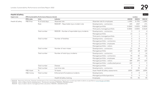| <b>Health &amp; Safety</b> |                                                          |                 |                                                       |                                        |             |                | Table 32       |
|----------------------------|----------------------------------------------------------|-----------------|-------------------------------------------------------|----------------------------------------|-------------|----------------|----------------|
| Impact area                | <b>EPRA Sustainability Performance Measures (Social)</b> | Landsec         |                                                       |                                        |             |                |                |
|                            | <b>EPRA codes</b>                                        | Units           | Indicator                                             |                                        | 2019/20     | 2020/21        | 2021/22        |
| Health & Safety            | H&S-Emp                                                  | % of total days | Absentee rate                                         | Absentee rate for employees            | 1.04%       | 0.75%          | 1.08%          |
|                            |                                                          | Rate            | RIDDOR <sup>1</sup> - Reportable injury incident rate | Developments - contractors             | 635         | 1307           | 271            |
|                            |                                                          |                 |                                                       | Managed portfolio                      | 0.0069      | 0.0035         | 0.0090         |
|                            |                                                          |                 |                                                       | Third-party managed portfolio          | 0.0042      | 0.0055         | 0.0120         |
|                            |                                                          | Total number    | RIDDOR - Number of reportable injury incidents        | Developments - contractors             | 3           | $\overline{2}$ | $\overline{4}$ |
|                            |                                                          |                 |                                                       | Managed portfolio                      | 13          | $\mathbf{1}$   | 10             |
|                            |                                                          |                 |                                                       | Third-party managed portfolio          | 2           |                | 5              |
|                            |                                                          | Total number    | Number of fatalities                                  | Developments - contractors             | $\Omega$    | 0              | 0              |
|                            |                                                          |                 |                                                       | Managed portfolio - contractors        | $\mathbf 0$ | $\circ$        | 0              |
|                            |                                                          |                 |                                                       | Managed portfolio - employees          | $\mathbf 0$ | $\overline{0}$ | $\circ$        |
|                            |                                                          |                 |                                                       | Managed portfolio - visitors           | $\Omega$    | $\circ$        | $\mathbf 0$    |
|                            |                                                          | Total number    | Number of near misses                                 | Developments - contractors             | 21          | 14             | 51             |
|                            |                                                          |                 |                                                       | Managed portfolio                      | 120         | 68             | 103            |
|                            |                                                          | Total number    | Number of total injury incidents                      | Developments - contractors             | 9           | 2              | 16             |
|                            |                                                          |                 |                                                       | Managed portfolio - contractors        | 93          | 83             | 136            |
|                            |                                                          |                 |                                                       | Managed portfolio - employees          | 14          | 14             | $\Omega$       |
|                            |                                                          |                 |                                                       | Managed portfolio - visitors           | 449         | 293            | 633            |
|                            |                                                          |                 |                                                       | Managed portfolio - unallocated person | 122         | 2              | 5              |
|                            |                                                          | Total number    | <b>Disease</b>                                        | Managed portfolio                      | $\Omega$    | $\Omega$       | $\Omega$       |
|                            |                                                          | Total number    | Lost time rate                                        | Developments - contractors             | $\mathbf 0$ | 35             | 15             |
|                            | H&S-Asset                                                | $\%$            | % Assets                                              | Asset Health & Safety assessments      | 100%        | 100%           | 100%           |
|                            | H&S-Comp                                                 | Total number    | Enforcement/Compliance incidents                      | Developments                           | $\mathbf 0$ | $\circ$        | 0              |
|                            |                                                          |                 |                                                       | Managed portfolio/operations           | $\Omega$    | $\Omega$       | $\circ$        |
|                            |                                                          | $\%$            | Health & Safety training                              | <b>Employees</b>                       | 95          | 95             | 99             |

1. RIDDOR – Reporting of Injuries, Diseases and Dangerous Occurrences Regulations: figures only include reportable incidents as specified at [www.hse.gov.uk/riddor](http://www.hse.gov.uk/riddor).

RIDDOR – Injury incident rate for developments – contractors calculation: RIDDOR x 100,000/workers.

RIDDOR – Injury incident rate for managed portfolio calculation: RIDDOR x 100,000/footfall.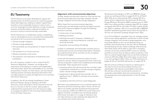## <span id="page-30-0"></span>**EU Taxonomy**

The EU Taxonomy has been developed to support the transformation of the EU economy to meet its European Green Deal objectives, helping to redirect capital flows towards a more sustainable economy. It aims to set a common language and clear definition to help companies, investors and policymakers understand whether an economic activity is environmentally sustainable.

The EU Taxonomy is a classification system, establishing a list of sustainable economic activities that substantially contribute to EU's six environmental objectives:

- → Climate change mitigation
- $\rightarrow$  Climate change adaptation
- $\rightarrow$  The sustainable use and protection of water and marine resources
- $\rightarrow$  The transition to a circular economy
- → Pollution prevention and control
- $\rightarrow$  The protection and restoration of biodiversity and ecosystems

As a UK company, Landsec is not in scope of the EU Taxonomy Regulation. However, we recognise the importance of providing our investors and stakeholders with information about the sustainability of our activities and portfolio of assets. For that reason, we have started working towards voluntarily disclosing information that can help investors to assess the alignment of our activities with the EU Taxonomy.

In addition, the UK has already established a Green Technical Advisory Group to develop a UK Green Taxonomy, which will build on the EU Taxonomy and will focus on net-zero in the UK context. Taking steps to understand the requirements from EU taxonomy helps us to prepare Landsec for the incoming implementation of the UK Green Taxonomy.

#### **Alignment with environmental objectives**

To date, details and technical criteria for only the first two environmental objectives have been released: climate change mitigation and climate change adaptation.

Within these first two environmental objectives, construction and real estate activities are listed as sectors that are EU Taxonomy eligible, through the following economic activities:

- $\rightarrow$  Construction of new buildings
- → Building renovation
- → Individual renovation measures, installation of renewables on-site and professional, scientific and technical activities
- $\rightarrow$  Acquisition and ownership of buildings

Landsec is a developer and real estate company and our business spans across all activities listed above. Therefore, we understand that all our activities can be considered EU Taxonomy eligible.

In line with the Taxonomy technical criteria, for each economic activity, there are requirements that need to be met by companies in order to be considered environmentally sustainable. These requirements include:

- $\rightarrow$  screening criteria that demonstrate that activities make a substantial contribution to climate change mitigation and/or climate change adaptation
- → assessment to demonstrate that activities "do no significant harm" (DNSH) to all other environmental objectives
- $\rightarrow$  compliance with the minimum social safeguards

We haven't yet assessed each of our activities against the Taxonomy technical screening criteria. Hence, we are not able to accurately calculate and disclose the proportion of our revenues, CAPEX and OPEX that are EU Taxonomyaligned. However, we believe that we already disclose information and report on a range of indicators that can help investors to start assessing the alignment of our activities with the EU Taxonomy.

We disclose full breakdown of EPC and BREEAM ratings across our existing portfolio on pages 22-23. As of March 2022, 36% of our total portfolio ERV is already EPC B or above which is aligned with the enhanced UK Minimum Energy Efficiency Standards (MEES) requirements for 2030. 44% of our office portfolio is already rated EPC B or higher compared with 15% for the wider UK office market (Savills UK, 2022). In addition, 30% of our portfolio ERV is BREEAM Excellent representing performance within the top 10% of UK new non-domestic buildings (Knight Frank, 2021).

In our Annual Report, we explain how our strategy ensures that we are making significant contribution to both climate change mitigation and climate change adaptation and we provide details on how we are decarbonising our portfolio and transitioning to net zero. We are designing and developing net zero carbon buildings while ensuring that these assets will be able to cope with a changing climate; we are also investing £135m across our existing portfolio to ensure that we reduce carbon emissions in line with our science-based target and our portfolio achieves a minimum EPC B by 2030. More information can be found in our Annual Report 2022, within our TCFD statement on pages 66-69 and the Build well section on pages 49-52.

We will continue working to improve our disclosures in this area to ensure we are providing investors and stakeholders with relevant sustainability information. We will also continue monitoring the evolution of corporate sustainability disclosure requirements, including the development and implementation of the UK Green Taxonomy.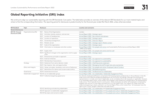## <span id="page-31-0"></span>**Global Reporting Initiative (GRI) index**

We continue to align our sustainability reporting with the GRI Standards: Core option. The table below provides an overview of the relevant GRI Standards for our most material topics and where to find the corresponding information. The reporting period for disclosures is predominantly for the financial year ended 31st March 2022, unless otherwise stated.

| <b>GRI Standard</b>        | Topic                  | <b>Disclosure</b>                                                      | <b>Location and comments</b>                                                                                                                                                                                                                                                                                                                                                                                                                                                                                                                                                                                                                                                                                                                                                                                                                                                          |
|----------------------------|------------------------|------------------------------------------------------------------------|---------------------------------------------------------------------------------------------------------------------------------------------------------------------------------------------------------------------------------------------------------------------------------------------------------------------------------------------------------------------------------------------------------------------------------------------------------------------------------------------------------------------------------------------------------------------------------------------------------------------------------------------------------------------------------------------------------------------------------------------------------------------------------------------------------------------------------------------------------------------------------------|
| <b>General disclosures</b> |                        |                                                                        |                                                                                                                                                                                                                                                                                                                                                                                                                                                                                                                                                                                                                                                                                                                                                                                                                                                                                       |
| GRI 102: General           | Organisational profile | Name of the Organisation<br>102-1                                      | Landsec                                                                                                                                                                                                                                                                                                                                                                                                                                                                                                                                                                                                                                                                                                                                                                                                                                                                               |
| Disclosures 2016           |                        | Activities, brands, products, and services<br>102-2                    | Annual Report 2022 - Strategic report                                                                                                                                                                                                                                                                                                                                                                                                                                                                                                                                                                                                                                                                                                                                                                                                                                                 |
|                            |                        | 102-3 Location of headquarters                                         | Annual Report 2022 - Key contacts and advisers                                                                                                                                                                                                                                                                                                                                                                                                                                                                                                                                                                                                                                                                                                                                                                                                                                        |
|                            |                        | 102-4 Location of operations                                           | Annual Report 2022 - Strategic report                                                                                                                                                                                                                                                                                                                                                                                                                                                                                                                                                                                                                                                                                                                                                                                                                                                 |
|                            |                        | Ownership and legal form<br>102-5                                      | Annual Report 2022 - Directors' Report                                                                                                                                                                                                                                                                                                                                                                                                                                                                                                                                                                                                                                                                                                                                                                                                                                                |
|                            |                        | 102-6 Markets served                                                   | Annual Report 2022 - Strategic report: Market context                                                                                                                                                                                                                                                                                                                                                                                                                                                                                                                                                                                                                                                                                                                                                                                                                                 |
|                            |                        | Scale of the organisation<br>$102 - 7$                                 | Annual Report 2022 - Strategic report                                                                                                                                                                                                                                                                                                                                                                                                                                                                                                                                                                                                                                                                                                                                                                                                                                                 |
|                            |                        | 102-8 Information on employees and other workers                       | Annual Report 2022 - Our people and culture and Sustainability Performance and Data Report 2022<br>$-$ EPRA social tables                                                                                                                                                                                                                                                                                                                                                                                                                                                                                                                                                                                                                                                                                                                                                             |
|                            |                        | 102-9 Supply chain                                                     | Annual Report 2022 - Our people and culture and Act well                                                                                                                                                                                                                                                                                                                                                                                                                                                                                                                                                                                                                                                                                                                                                                                                                              |
|                            |                        | 102-10 Significant changes to the organisation and its supply<br>chain | Annual Report 2022 - Strategic report                                                                                                                                                                                                                                                                                                                                                                                                                                                                                                                                                                                                                                                                                                                                                                                                                                                 |
|                            |                        | 102-11 Precautionary principle or approach                             | Sustainability Policy                                                                                                                                                                                                                                                                                                                                                                                                                                                                                                                                                                                                                                                                                                                                                                                                                                                                 |
|                            |                        | 102-12 External initiatives                                            | Annual Report 2022 - Our approach to sustainability                                                                                                                                                                                                                                                                                                                                                                                                                                                                                                                                                                                                                                                                                                                                                                                                                                   |
|                            |                        | 102-13 Membership of associations                                      | Annual Report 2022 - Our approach to sustainability                                                                                                                                                                                                                                                                                                                                                                                                                                                                                                                                                                                                                                                                                                                                                                                                                                   |
|                            | Strategy               | 102-14 Statement from senior decision-maker                            | Annual Report 2022 - Chief Executive's statement                                                                                                                                                                                                                                                                                                                                                                                                                                                                                                                                                                                                                                                                                                                                                                                                                                      |
|                            |                        | 102-15 Key impacts, risks, and opportunities                           | Annual Report 2022 - Managing risk and Principal risks and uncertainties                                                                                                                                                                                                                                                                                                                                                                                                                                                                                                                                                                                                                                                                                                                                                                                                              |
|                            | Ethics and integrity   | 102-16 Values, principles, standards, and norms of behaviour           | Annual Report 2022 - Our people and culture. Employee Code of Conduct                                                                                                                                                                                                                                                                                                                                                                                                                                                                                                                                                                                                                                                                                                                                                                                                                 |
|                            |                        | 102-17 Mechanisms for advice and concerns about ethics                 | Annual Report 2022 - Whistleblowing policy                                                                                                                                                                                                                                                                                                                                                                                                                                                                                                                                                                                                                                                                                                                                                                                                                                            |
|                            | Governance             | 102-18 Governance structure                                            | Annual Report 2022 - The Board and our stakeholders                                                                                                                                                                                                                                                                                                                                                                                                                                                                                                                                                                                                                                                                                                                                                                                                                                   |
|                            |                        | Stakeholder engagement 102-40 List of stakeholder groups               | Annual Report 2022 - Our stakeholders. Stakeholder Engagement Policy                                                                                                                                                                                                                                                                                                                                                                                                                                                                                                                                                                                                                                                                                                                                                                                                                  |
|                            |                        | 102-41 Collective bargaining agreements                                | Our directly employed staff base is comprised of UK-based property professionals. In this profession in the UK,<br>trade unions and collective bargaining agreements are not found. Accordingly, although we would permit<br>representation in a trade union were it applicable, we do not believe this to be necessary or applicable. However,<br>in our extended supply chains, some workers who engage in both skilled and unskilled labour are represented by<br>trade unions. This is typically found in construction, where employees are either self-employed or employed by<br>suppliers who are two or more steps removed from us in the supply chain. Our support for trade unions and<br>collective bargaining is clearly outlined in our Human Rights Policy, which states that, "all employees have the<br>right to join a union, bargain collectively and take action". |
|                            |                        | 102-42 Identifying and selecting stakeholders                          | Annual Report 2022 - Our stakeholders and Stakeholder Engagement Policy                                                                                                                                                                                                                                                                                                                                                                                                                                                                                                                                                                                                                                                                                                                                                                                                               |
|                            |                        | 102-43 Approach to stakeholder engagement                              | Annual Report 2022 - Our stakeholders and Our people and culture. Stakeholder Engagement Policy                                                                                                                                                                                                                                                                                                                                                                                                                                                                                                                                                                                                                                                                                                                                                                                       |
|                            |                        | 102-44 Key topics and concerns raised                                  | Annual Report 2022 - Our stakeholders and Our people and culture. Stakeholder Engagement Policy                                                                                                                                                                                                                                                                                                                                                                                                                                                                                                                                                                                                                                                                                                                                                                                       |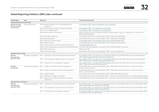

## **Global Reporting Initiative (GRI) index continued**

| <b>GRI Standard</b>                  | <b>Topic</b>        | <b>Disclosure</b> |                                                                             | <b>Location and comments</b>                                                                                                                                             |
|--------------------------------------|---------------------|-------------------|-----------------------------------------------------------------------------|--------------------------------------------------------------------------------------------------------------------------------------------------------------------------|
| General disclosures (continued)      |                     |                   |                                                                             |                                                                                                                                                                          |
| GRI 102: General<br>Disclosures 2016 | Reporting practices |                   | 102-45 Entities included in the consolidated financial<br>statements        | Annual Report 2022 - Basis of preparation and consolidation                                                                                                              |
| (Continued)                          |                     |                   | 102-46 Defining report content and topic Boundaries                         | Annual Report 2022 - Our approach to sustainability                                                                                                                      |
|                                      |                     |                   | 102-47 List of material topics                                              | Annual Report 2022 - Our approach to sustainability                                                                                                                      |
|                                      |                     |                   | 102-48 Restatements of information                                          | Retail and Other portfolio boundaries (change in methodology in relation to retail parks, as outlined in the<br>Reporting Methodology)                                   |
|                                      |                     |                   | 102-49 Changes in reporting                                                 | Sustainability Performance and Data Report 2022 - Reporting methodology                                                                                                  |
|                                      |                     |                   | 102-50 Reporting period                                                     | Sustainability Performance and Data Report 2022 - Reporting methodology                                                                                                  |
|                                      |                     |                   | 102-51 Date of most recent report                                           | Annual Report 2021 and Sustainability Performance and Data Report 2021                                                                                                   |
|                                      |                     |                   | 102-52 Reporting cycle                                                      | Sustainability Performance and Data Report 2022 - Reporting methodology                                                                                                  |
|                                      |                     |                   | 102-53 Contact point for questions regarding the report                     | sustainability@landsec.com                                                                                                                                               |
|                                      |                     |                   | 102-54 Claims of reporting in accordance with the GRI Standards             | This report has been prepared in accordance with the GRI Standards: Core option                                                                                          |
|                                      |                     |                   | 102-55 GRI content index                                                    | GRI content index                                                                                                                                                        |
|                                      |                     |                   | 102-56 External assurance                                                   | Sustainability Performance and Data Report 2022 - Assurance statement                                                                                                    |
| Material topics: Energy              |                     |                   |                                                                             |                                                                                                                                                                          |
| GRI 103:<br>Management               | Management Approach | 103-1             | Explanation of the material topic and its Boundary                          | Annual Report 2022 - Our approach to sustainability: Build well. Sustainability Performance and Data Report<br>2022 - Reporting methodology. Using resources efficiently |
| Approach 2016                        |                     |                   | 103-2 The management approach and its components                            | Annual Report 2022 - Our approach to sustainability: Build well. Sustainability Performance and Data Report<br>2022 - Reporting methodology. Using resources efficiently |
|                                      |                     |                   | 103-3 Evaluation of the management approach                                 | Annual Report 2022 - Our approach to sustainability: Build well. Sustainability Performance and Data Report<br>2022 - Corporate commitments performance                  |
| GRI 302:<br>Energy 2016              |                     |                   | Topic-specific disclosures 302-1 Energy consumption within the organisation | Sustainability Performance and Data Report 2022 - EPRA tables: Absolute portfolio - Energy and Landsec -<br>Scope 1, 2 and 3 emissions                                   |
|                                      |                     |                   | 302-2 Energy consumption outside of the organisation                        | Sustainability Performance and Data Report 2022 - EPRA tables: Absolute portfolio - Energy and Landsec -<br>Scope 1, 2 and 3 emissions                                   |
|                                      |                     |                   | 302-3 Energy intensity                                                      | Sustainability Performance and Data Report 2022 - EPRA table: Absolute energy                                                                                            |
|                                      |                     |                   | 302-4 Reduction of energy consumption                                       | Sustainability Performance and Data Report 2022 - Corporate commitments performance and Reporting Methodology                                                            |
|                                      |                     |                   | 302-5 Reductions in energy requirements of products<br>and services         | Sustainability Performance and Data Report 2022 - Corporate commitments performance and Reporting Methodology                                                            |
| Material topics: Emissions           |                     |                   |                                                                             |                                                                                                                                                                          |
| GRI 103:<br>Management               | Management Approach | 103-1             | Explanation of the material topic and its Boundary                          | Annual Report 2022 - Our approach to sustainability: Build well. Sustainability Performance and Data Report 2022 -<br>Reporting methodology. Using resources efficiently |
| Approach 2016                        |                     |                   | 103-2 The management approach and its components                            | Annual Report 2022 - Our approach to sustainability: Build well. Sustainability Performance and Data Report 2022 -<br>Reporting methodology. Using resources efficiently |
|                                      |                     |                   | 103-3 Evaluation of the management approach                                 | Annual Report 2022 - Our approach to sustainability: Build well. Sustainability Performance and Data Report 2022 -<br>Corporate commitments performance                  |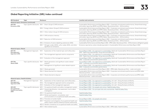## **Global Reporting Initiative (GRI) index continued**

| <b>GRI Standard</b>                              | <b>Topic</b>                     | <b>Disclosure</b> |                                                                                                                       | <b>Location and comments</b>                                                                                                                                                               |
|--------------------------------------------------|----------------------------------|-------------------|-----------------------------------------------------------------------------------------------------------------------|--------------------------------------------------------------------------------------------------------------------------------------------------------------------------------------------|
| Material topics: Emissions (continued)           |                                  |                   |                                                                                                                       |                                                                                                                                                                                            |
| GRI 305:<br>Emissions 2016                       |                                  |                   | Topic-specific disclosures 305-1 Direct (Scope 1) GHG emissions                                                       | Sustainability Performance and Data Report 2022 - Corporate commitments performance, Streamlined energy<br>and carbon reporting (SECR) and EPRA tables: Absolute portfolio - GHG emissions |
|                                                  |                                  |                   | 305-2 Energy indirect (Scope 2) GHG emissions                                                                         | Sustainability Performance and Data Report 2022 - Corporate commitments performance, Streamlined energy<br>and carbon reporting (SECR) and EPRA tables: Absolute portfolio - GHG emissions |
|                                                  |                                  |                   | 305-3 Other indirect (Scope 3) GHG emissions                                                                          | Sustainability Performance and Data Report 2022 - Corporate commitments performance, Streamlined energy<br>and carbon reporting (SECR) and EPRA tables: Absolute portfolio - GHG emissions |
|                                                  |                                  |                   | 305-4 GHG emissions intensity                                                                                         | Sustainability Performance and Data Report 2022 - Corporate commitments performance, Streamlined energy<br>and carbon reporting (SECR) and EPRA tables: Absolute portfolio - GHG emissions |
|                                                  |                                  |                   | 305-5 Reduction of GHG emissions                                                                                      | Sustainability Performance and Data Report 2022 - Corporate commitments performance, Streamlined energy<br>and carbon reporting (SECR) and EPRA tables: Absolute portfolio - GHG emissions |
|                                                  |                                  |                   | 305-6 Emissions of ozone-depleting substances (ODS)                                                                   | Sustainability Performance and Data Report 2022 - EPRA table: Absolute portfolio - GHG emissions (refrigerant gases)                                                                       |
|                                                  |                                  |                   | 305-7 Nitrogen oxides (NOX), sulfur oxides (SOX), and other<br>significant air emissions                              | Emissions reported as carbon dioxide equivalent in Sustainability Performance and Data Report 2022                                                                                         |
| <b>Material topics: Waste</b>                    |                                  |                   |                                                                                                                       |                                                                                                                                                                                            |
| GRI 103:<br>Management                           | Management Approach              | $103 - 1$         | Explanation of the material topic and its Boundary                                                                    | Annual Report 2022 - Our approach to sustainability: Build well. Sustainability Performance and Data Report<br>2022 - Reporting methodology. Using resources efficiently                   |
| Approach 2016                                    |                                  |                   | 103-2 The management approach and its components                                                                      | Annual Report 2022 - Our approach to sustainability: Build well. Sustainability Performance and Data Report<br>2022 - Reporting methodology. Using resources efficiently                   |
|                                                  |                                  |                   | 103-3 Evaluation of the management approach                                                                           | Annual Report 2022 - Our approach to sustainability: Build well. Sustainability Performance and Data Report<br>2022 - Corporate commitments performance                                    |
| GRI 306:<br>Waste 2020                           |                                  |                   | Topic-specific disclosures 306-1 Waste generation and significant waste-related<br>impacts                            | Annual Report 2022 - Our approach to sustainability: Build well. Sustainability Performance and Data Report<br>2022 - Corporate commitments performance                                    |
|                                                  |                                  |                   | 306-2 Management of significant waste-related impacts                                                                 | Annual Report 2022 - Our approach to sustainability: Build well. Sustainability Performance and Data Report<br>2022 - Corporate commitments performance                                    |
|                                                  |                                  |                   | 306-3 Waste generated                                                                                                 | Sustainability Performance and Data Report 2022 - EPRA table: Absolute portfolio - water and waste                                                                                         |
|                                                  |                                  |                   | 306-4 Waste diverted from disposal                                                                                    | Sustainability Performance and Data Report 2022 - Corporate commitments performance and EPRA table:<br>Absolute portfolio - water and waste                                                |
|                                                  |                                  |                   | 306-5 Waste directed to disposal                                                                                      | Sustainability Performance and Data Report 2022 - Corporate commitments performance and EPRA table:<br>Absolute portfolio - water and waste                                                |
| Material topics: Health & Safety                 |                                  |                   |                                                                                                                       |                                                                                                                                                                                            |
| GRI 103:                                         | Management Approach              | 103-1             | Explanation of the material topic and its Boundary                                                                    | Annual Report 2022 - Our approach to sustainability: Act well - Doing the basics brilliantly                                                                                               |
| Management<br>Approach 2016                      |                                  |                   | 103-2 The management approach and its components                                                                      | Annual Report 2022 - Our approach to sustainability: Act well - Doing the basics brilliantly                                                                                               |
|                                                  |                                  |                   | 103-3 Evaluation of the management approach                                                                           | Annual Report 2022 - Our approach to sustainability: Act well - Doing the basics brilliantly                                                                                               |
| GRI 403:                                         | Topic-specific disclosures 403-1 |                   | Occupational health and safety management system                                                                      | Annual Report 2022 - Our people and culture. Health & Safety Policy                                                                                                                        |
| Occupational<br><b>Health And Safety</b><br>2018 |                                  |                   | 403-2 Hazard identification, risk assessment, and incident<br>investigation                                           | Annual Report 2022 - Our principal risks and uncertainties. Health & Safety Policy                                                                                                         |
|                                                  |                                  |                   | 403-3 Occupational health services                                                                                    | Health & Safety Policy                                                                                                                                                                     |
|                                                  |                                  |                   | 403-4 Worker participation, consultation, and<br>communication on occupational health and safety                      | Health & Safety Policy                                                                                                                                                                     |
|                                                  |                                  |                   | 403-6 Promotion of worker health                                                                                      | Annual Report 2022 - Our people and culture                                                                                                                                                |
|                                                  |                                  |                   | 403-7 Prevention and mitigation of occupational health and<br>safety impacts directly linked by business relationship | Health & Safety Policy                                                                                                                                                                     |
|                                                  |                                  |                   | 403-8 Workers covered by an occupational health and safety                                                            | Health & Safety Policy                                                                                                                                                                     |
|                                                  |                                  |                   | 403-9 Work-related injuries                                                                                           | Sustainability Performance and Data Report 2022 - EPRA table: Health & Safety                                                                                                              |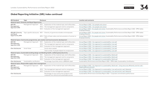

## **Global Reporting Initiative (GRI) index continued**

| <b>GRI Standard</b>             | Topic                                                | <b>Disclosure</b> |                                                                                                | <b>Location and comments</b>                                                                                                            |
|---------------------------------|------------------------------------------------------|-------------------|------------------------------------------------------------------------------------------------|-----------------------------------------------------------------------------------------------------------------------------------------|
|                                 | Material topics: Diversity and Equal Opportunity     |                   |                                                                                                |                                                                                                                                         |
| GRI 103:                        | Management Approach                                  | 103-1             | Explanation of the material topic and its Boundary                                             | Annual Report 2022 - Our people and culture                                                                                             |
| Management<br>Approach 2016     |                                                      |                   | 103-2 The management approach and its components                                               | Annual Report 2022 - Our people and culture                                                                                             |
|                                 |                                                      | $103 - 3$         | Evaluation of the management approach                                                          | Annual Report 2022 - Our people and culture. Sustainability Performance and Data Report 2022 - EPRA tables:<br>Employee diversity       |
| GRI 405: Diversity<br>and Equal | Topic-specific disclosures 405-1                     |                   | Diversity of governance bodies and employees                                                   | Annual Report 2022 - Our people and culture. Sustainability Performance and Data Report 2022 - EPRA tables:<br>Employee diversity       |
| Opportunity 2016                |                                                      |                   | 405-2 Ratio of basic salary and remuneration of women to<br>men                                | Annual Report 2022 - Our people and culture. Sustainability Performance and Data Report 2022 - EPRA tables:<br>Employee diversity       |
|                                 |                                                      |                   | Material topics: Community programmes, job creation and local economic development             |                                                                                                                                         |
| GRI 103:                        | Management Approach                                  | $103 - 1$         | Explanation of the material topic and its Boundary                                             | Annual Report 2022 - Our approach to sustainability: Live well                                                                          |
| Management<br>Approach 2016     |                                                      |                   | 103-2 The management approach and its components                                               | Annual Report 2022 - Our approach to sustainability: Live well                                                                          |
|                                 |                                                      |                   | 103-3 Evaluation of the management approach                                                    | Annual Report 2022 - Our approach to sustainability: Live well                                                                          |
| Own disclosures                 | Social Value                                         |                   | Social value created                                                                           | Annual Report 2022 - Our approach to sustainability: Live well                                                                          |
|                                 |                                                      |                   | Total number of people helped into employment                                                  | Annual Report 2022 - Our approach to sustainability: Live well                                                                          |
|                                 |                                                      |                   | Material topics: Sustainable building design and Building health, wellbeing & productivity     |                                                                                                                                         |
| GRI 103:                        | Management Approach                                  | $103 - 1$         | Explanation of the material topic and its Boundary                                             | Annual Report 2022 - Our approach to sustainability: Build well                                                                         |
| Management<br>Approach 2016     |                                                      | $103 - 2$         | The management approach and its components                                                     | Annual Report 2022 - Our approach to sustainability: Build well                                                                         |
|                                 |                                                      |                   | 103-3 Evaluation of the management approach                                                    | Annual Report 2022 - Our approach to sustainability: Build well                                                                         |
| Own disclosures                 | Sustainability certification                         |                   | Percentage of portfolio which is BREEAM rated                                                  | Sustainability Performance and Data Report 2022 - EPRA table: Sustainability Certification                                              |
|                                 | Material topics: Responsible supply chain management |                   |                                                                                                |                                                                                                                                         |
| GRI 103:<br>Management          | Management Approach                                  | 103-1             | Explanation of the material topic and its Boundary                                             | Annual Report 2022 - Our Approach to sustainability: Build well - Using resources efficiently and Act well -<br>Responsible procurement |
| Approach 2016                   |                                                      |                   | 103-2 The management approach and its components                                               | Annual Report 2022 - Our Approach to sustainability: Live well and Act well. Materials                                                  |
|                                 |                                                      |                   | 103-3 Evaluation of the management approach                                                    | Annual Report 2022 - Our Approach to sustainability: Live well and Act well. Materials                                                  |
| Own disclosures                 |                                                      |                   | Percentage of core construction products and<br>materials from ethical and sustainable sources | Sustainability Performance and Data Report 2022 - Corporate commitments performance                                                     |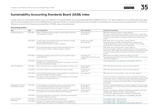## <span id="page-35-0"></span>**Sustainability Accounting Standards Board (SASB) index**

Landsec reports its sustainability performance with reference to the Sustainability Accounting Standards Board (SASB) framework. This report outlines how our existing disclosures align with the recommended metrics for the SASB Real Estate standard. We do not currently disclose all metrics included in the standard, but we will continue to evaluate them in the future. All data is as of or for the financial year ended March 31 2022, unless otherwise stated.<sup>1</sup>

#### **Accounting metrics**

| <b>Topic</b>                                   | Code         | <b>Accounting Metric</b>                                                                                                                                                                | Unit of measure                                                    | Location and comments                                                                                                                                                                                                                                                                                   |
|------------------------------------------------|--------------|-----------------------------------------------------------------------------------------------------------------------------------------------------------------------------------------|--------------------------------------------------------------------|---------------------------------------------------------------------------------------------------------------------------------------------------------------------------------------------------------------------------------------------------------------------------------------------------------|
| <b>Energy Management</b>                       | IF-RE-130a.1 | Energy consumption data coverage as a percentage of total floor<br>area, by property subsector                                                                                          | Percentage (%)<br>by floor area                                    | EPRA table: Absolute portfolio - Energy (Table 16)<br>Disclosure coverage is related to number of assets within our reporting<br>boundary for which data is disclosed. The proportion of portfolio included<br>in the reporting boundaries is provided in the reporting methodology<br>section.         |
|                                                | IF-RE-130a.2 | (1) Total energy consumed by portfolio area with data coverage,<br>(2) percentage grid electricity, and<br>(3) percentage renewable, by property subsector                              | kilowatt-hour (kWh),<br>Percentage (%)                             | EPRA table: Like-for-Like portfolio - Energy (Table 17)<br>Energy data reported in kWh. Total electricity consumption and<br>self-generated electricity data is provided, allowing the % of energy<br>consumption from grid electricity to be calculated.                                               |
|                                                |              | IF-RE-130a.3 Like-for-like percentage change in energy consumption for the<br>portfolio area with data coverage, by property subsector                                                  | Percentage (%)                                                     | EPRA table: Like-for-Like portfolio - Energy (Table 17)<br>Disclosure coverage is related to number of assets within our reporting<br>boundary for which data is disclosed. The proportion of portfolio included<br>in the reporting boundaries is provided in the reporting methodology<br>section.    |
|                                                |              | IF-RE-130a.4 Percentage of eligible portfolio that has an Energy Performance<br>Certificate (EPC)                                                                                       | Percentage (%)<br>by floor area, by portfolio value<br>and FRV     | EPRA table: Sustainability certification (Tables 23 and 24)<br>Percentage of portfolio floor area, value and ERV with EPC certificate and<br>rating (A-G) breakdown.                                                                                                                                    |
|                                                |              | IF-RE-130a.5 Description of how building energy<br>management considerations are integrated into property investment<br>analysis and operational strategy                               |                                                                    | Annual Report 2022 - Our approach to sustainability: Build well                                                                                                                                                                                                                                         |
| Water Management                               |              | IF-RE-140a.1 Water withdrawal data coverage as a percentage of total floor area                                                                                                         | Percentage (%)<br>by floor area                                    | EPRA table: Absolute portfolio: water and waste (Table 20)                                                                                                                                                                                                                                              |
|                                                |              | IF-RE-140a.2 Total water withdrawn by portfolio area with data coverage                                                                                                                 | Thousand cubic<br>meters $(m3)$                                    | EPRA table: Absolute portfolio: water and waste (Table 20)                                                                                                                                                                                                                                              |
|                                                |              | IF-RE-140a.3 Like-for-like percentage change in water withdrawn for portfolio area<br>with data coverage, by property subsector                                                         | Percentage (%)                                                     | EPRA table: Like-for-Like portfolio - water and waste (Table 21)                                                                                                                                                                                                                                        |
|                                                |              | IF-RE-140a.4 Description of water management risks and discussion of strategies<br>and practices to mitigate those risks                                                                |                                                                    | We have committed to undertaking a water management assessment<br>across assets under our operational control and set water targets by 2023,<br>and continue to have our water consumption data third-party assured,<br>ensuring data is accurate to be used to inform a water management<br>programme. |
| Management of Tenant<br>Sustainability Impacts | IF-RE-410a.1 | (1) Percentage of new leases that contain a cost recovery clause<br>for resource efficiency related capital improvements and<br>(2) associated leased floor area, by property subsector | Percentage (%)<br>by floor area,<br>Square feet (ft <sup>2</sup> ) | Our leases include sustainability and resource efficiency clauses but they<br>do not include cost recovery clause for resource efficiency related capital<br>improvements.                                                                                                                              |
|                                                |              | IF-RE-410a.2 Percentage of tenants that are separately metered or submetered for<br>(1) grid electricity consumption and (2) water withdrawals                                          | Percentage (%)<br>by floor area                                    | Electricity consumption and Water withdrawal associated with tenants.<br>(1) EPRA table: Absolute portfolio - Energy (Table 16)<br>(2) EPRA table: Absolute portfolio: water and waste(Table 20)                                                                                                        |
|                                                |              | IF-RE-410a.3 Discussion of approach to measuring, incentivising, and improving<br>sustainability impacts of tenants                                                                     |                                                                    | Annual Report 2022 - Our approach to sustainability: Build well                                                                                                                                                                                                                                         |
| Climate Change                                 |              | IF-RE-450a.1 Area of properties located in 100-year flood zones                                                                                                                         |                                                                    | Annual Report 2022 - TCFD statement                                                                                                                                                                                                                                                                     |
| Adaptation                                     |              | IF-RE-450a.2 Description of climate change risk exposure analysis, degree of<br>systematic portfolio exposure, and strategies for mitigating risks                                      |                                                                    | Annual Report 2022 - TCFD statement<br>Annual Report 2022 - Our approach to sustainability: Build well                                                                                                                                                                                                  |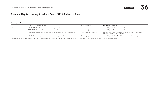## **Sustainability Accounting Standards Board (SASB) index continued**

#### **Activity metrics**

|                  | Code | Activity metric                                                            | Unit of measure                | <b>Location and comments</b>                                                                        |
|------------------|------|----------------------------------------------------------------------------|--------------------------------|-----------------------------------------------------------------------------------------------------|
| Activity metrics |      | IF-RE-000.A Number of assets, by property subsector                        | Number                         | Annual Report 2022 - Business analysis                                                              |
|                  |      | IF-RE-000.B Leasable floor area, by property subsector                     | Square feet (ft <sup>2</sup> ) | Annual Report 2022 - Business analysis                                                              |
|                  |      | IF-RE-000.C Percentage of indirectly managed assets, by property subsector | Percentage (%) by floor area   | Sustainability Performance and Data Report 2022 - Sustainability<br>Reporting Methodology (page 40) |
|                  |      | IF-RE-000.D Average occupancy rate, by property subsector                  | Percentage (%)                 | Annual Report 2022 - Market Context and Business analysis                                           |

1. All energy, carbon and waste data reported for the financial year is for the 12 months to the end of February, as March data is not available in advance of our reporting process.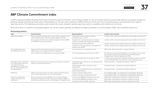## <span id="page-37-0"></span>**BBP Climate Commitment index**

In 2019 we signed the Better Buildings Partnership Climate Change Commitment, committing to publish our net zero carbon pathway and annually disclose our progress towards our pathway through selected reporting metrics. We published our net zero carbon pathway in 2020 and this is the first year that we are disclosing our annual performance against reporting metrics. The table below provides location where information related to selected reporting metrics is available and/or additional comments.

More information on evolution and progress against our net zero carbon pathway and delivery strategy is available in our Annual Report 2022, within the Build well section.

#### **Accounting metrics**

| Topic                                                                                                | Outcomes/Aims                                                                                                                         | <b>Reporting Metric</b>                                                                                 | Location and comments                                                                                                                                                       |
|------------------------------------------------------------------------------------------------------|---------------------------------------------------------------------------------------------------------------------------------------|---------------------------------------------------------------------------------------------------------|-----------------------------------------------------------------------------------------------------------------------------------------------------------------------------|
| Operational Carbon                                                                                   | Reduce operational energy use in our portfolio in support of our<br>science-based carbon reduction target, aligned with 1.5C          | Operational carbon emissions (tCO <sub>2</sub> e),<br>including scope 1, 2 and 3                        | Landsec carbon reduction target performance (Table 1 and Chart 2)                                                                                                           |
|                                                                                                      | Ensure energy intensity of our assets is aligned with the UKGBC<br>and CRREM and net zero pathways                                    | % reduction in operational carbon emissions<br>(tCO <sub>2</sub> e) compared with baseline year 2013/14 | Landsec carbon reduction target performance (Table 1 and Chart 2)                                                                                                           |
|                                                                                                      |                                                                                                                                       | Portfolio energy intensity (kWh/m <sup>2</sup> )                                                        | Landsec energy intensity target performance (Table 4 and Chart 5)                                                                                                           |
|                                                                                                      |                                                                                                                                       | % reduction in energy intensity compared with<br>baseline year 2013/14                                  | Landsec energy intensity target performance (Table 4 and Chart 5)                                                                                                           |
| On-site generation and<br>renewables procurement                                                     | Support the UK grid decarbonisation by increasing the<br>additionality of our energy procurement approach                             | % of electricity from renewable sources                                                                 | EPRA table: Absolute portfolio - Energy (Table 16)                                                                                                                          |
|                                                                                                      | Achieve 3MW of renewable electricity capacity by 2030                                                                                 | % of renewable electricity procured via PPA                                                             | 0%. We continue to explore feasibility of moving part of our energy<br>procurement to direct purchasing from renewable projects<br>through Power Purchase Agreements (PPA). |
|                                                                                                      |                                                                                                                                       | On-site renewable electricity capacity (MW)                                                             | 1.4 MW capacity. We have undertaken feasibility studies to increase<br>on-site renewable electricity capacity in two shopping centres.                                      |
| Embodied carbon associated<br>with capital goods, services,                                          | Reduce construction impacts through asset retention, efficient<br>design and responsible sourcing                                     | Embodied carbon intensity for new developments<br>$(kqCO2e/m2)$ GIA)                                    | Embodied carbon - Development pipeline (Table 15)                                                                                                                           |
| and capital works e.g.<br>management, maintenance,<br>fit-outs, refurbishment and<br>new development |                                                                                                                                       | Total embodied carbon (tCO <sub>2</sub> e) for each<br>development                                      | Embodied carbon - Development pipeline (Table 15)                                                                                                                           |
|                                                                                                      |                                                                                                                                       | % reduction in embodied carbon compared with<br>design stage baseline                                   | Embodied carbon - Development pipeline (Table 15)                                                                                                                           |
| Offsetting                                                                                           | Offset remaining emissions through carefully selected projects                                                                        | Carbon emissions offset (tCO <sub>2</sub> e)                                                            | Annual Report 2022 - Our approach to sustainability: Build well                                                                                                             |
|                                                                                                      | which actively take carbon out of the atmosphere                                                                                      | Number and type of offsetting schemes                                                                   | Annual Report 2022 - Our approach to sustainability: Build well                                                                                                             |
| Third-party verification;                                                                            | Ensure transparency and credibility of our net zero strategy                                                                          | % of portfolio BREEAM certified by floor area                                                           | EPRA table: Sustainability certification (Tables 23 and 24)                                                                                                                 |
| industry standards and<br>certification                                                              | Description of climate change risk exposure analysis, degree of<br>systematic portfolio exposure, and strategies for mitigating risks | % of portfolio BREEAM certified by value                                                                | EPRA table: Sustainability certification (Tables 23 and 24)                                                                                                                 |
|                                                                                                      |                                                                                                                                       | % of spaces with valid EPC certificate                                                                  | EPRA table: Sustainability certification (Tables 23 and 24)                                                                                                                 |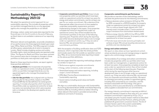## <span id="page-38-0"></span>**Sustainability Reporting Methodology 2021/22**

We adopt the operational control approach for our sustainability reporting. This includes all properties within our portfolio managed directly by us or by appointed agents who manage the properties on our behalf.

All energy, carbon, water and waste data reported for the financial year is for the 12 months to the end of February, as March data is not available in advance of our reporting duties.

Whenever relevant and applicable, we provide a breakdown of our performance into three segments based upon asset type: Office, Retail and Other. The Office segment includes all office space, substantially all of which is located in London. Retail includes shopping centres and outlets. Piccadilly Lights, retail and leisure parks are reported under Other. The figures for Retail and Other have been restated from previous years due to changes to changes in those portfolios as retail parks were reported under retail.

Based on these reporting boundaries, we report against three portfolio definitions:

- → **Absolute portfolio:** this incorporates all properties under our operational control, including all properties within our portfolio managed directly by us or by appointed agents who manage the properties on our behalf.
- → **Like-for-like portfolio:** this is aligned with our finance reporting like-for-like portfolio, based on the EPRA Financial BPR like-for-like definition for rental growth reporting. It includes all properties which have been in the portfolio under our operational control for at least two years, but excluding those which were acquired, sold, or included in the development pipeline at any time since.

→ **Corporate commitments portfolios:** these include only properties within our portfolio which have been under our operational control for at least two years for energy and carbon commitments, and for at least one year for our waste commitment. We understand that these periods reflect the amount of time needed to undertake sustainability assessments and start implementing changes to the assets. Once properties complete the minimum required time under our operational control, they will be included into the commitment portfolio at the start of the following reporting year. Properties which during the reporting year either become development sites or are no longer under our operational control, e.g. if they are sold or become FRIs, are removed from our corporate

commitments portfolios.

With the exception of building certification data and TCFD disclosure, which is reported under the whole portfolio and includes assets that fall outside our operation control (e.g. FRIs), all our environmental data reporting is based on the above portfolio definitions.

The next pages detail the reporting methodology adopted by Landsec to report on:

- → Performance against corporate commitments
- $\rightarrow$  Energy, carbon emissions, water and waste
- → Streamlined energy and carbon reporting, including scope 1, 2 and 3 emissions
- → EPRA Best Practice Recommendations for Sustainability reporting
- $\rightarrow$  Social metrics including social value and health and safety

We align our sustainability disclosures with Sustainability Accounting Standards Board (SASB) and Global Reporting Initiative (GRI) by including reference tables indicating where relevant information is provided and providing additional comments if necessary.

#### **Corporate commitments performance**

We provide an overview of the methodology used to calculate the performance for the following commitments:

- $\rightarrow$  Reduce absolute carbon emissions (tCO<sub>2</sub>e) by 70% by 2030 compared to a 2013/14 baseline, for property under our operational control for at least two years. This is a science-based target aligned with 1.5oC scenario and it includes scope 1, 2 and a portion of scope 3 emissions from downstream leased assets
- $\rightarrow$  Reduce energy intensity (kWh/m<sup>2</sup>) by 45% by 2030 compared to a 2013/14 baseline, for property under our operational for at least two years
- → Promote reuse and circular economy principles and achieve at least 75% annual recycling rate across our portfolio and new developments

#### **Energy and carbon emissions**

We report on sites where we have 'operational control', where we directly procure and manage energy or appoint agents who control energy management.

The boundaries of our energy and carbon commitments include only properties within our portfolio which have been under our management, or operational control, for at least two years. Once properties complete at least two years under our operational control, they will be included at the start of the following reporting year. Properties which during the reporting year either become development sites or are no longer under our operational control, e.g. if they are sold or become FRIs, are removed from our corporate commitments portfolios. We report on all energy procured by Landsec or appointed agents, including that consumed by our customers, and the emissions associated with this energy. Only gas or electricity which is procured directly by units/demises by utility suppliers is excluded from our commitments.

Our energy intensity commitment is reported as kWh/m<sup>2</sup>, where the intensity is based on floor area ( $m<sup>2</sup>$ ); our carbon emissions commitment is reported as  $tCO<sub>2</sub>e$ .  $CO<sub>2</sub>$  is calculated using the 'location-based' method as described by the WRI Greenhouse Gas Protocol, utilising annually published UK government conversion factors. The list of emission factors used in the current sustainability reporting is found at the end of this section.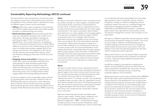#### **Sustainability Reporting Methodology 2021/22 continued**

The reported floor area corresponds to the area served by the energy procured and its associated carbon emissions. A breakdown of the methods used to calculate floor areas for different types of asset can be found below:

- → **Offices:** Office floor areas are based on Gross Internal Area (GIA) but deducting any floor area where Landsec provides no utilities/heating and cooling.
- → **Retail and leisure parks:** Retail and leisure park floor areas are calculated according to the number of car park spaces. We have calculated an average car parking space size of 11.8 $m^2$ , this assumes 5% are disabled bays. The number of spaces is multiplied by 11.8  $\mathrm{m}^2$  to calculate the base floor area. A further 20% is added to account for other landlord areas. Tenant floor area is included where Landsec supplies 100% of the energy to the demise. The exceptions to this rule are Xscape Yorkshire and Xscape Milton Keynes, which are treated as shopping centres due to their form and make-up.
- → **Shopping centres and outlets:** Shopping centre and outlets floor areas are calculated using the same methodology for retail and leisure parks leisure described above, however instead of using the additional 20% allocation for landlord areas, the measured area of common parts is used instead. Tenant floor area is only included where Landsec supplies 100% of the energy feeding the demise.

To ensure consistency and comparability, these methods of calculating floor area have been utilised for both our 2013/14 baseline year as well as the current reporting period. They are used for all data reporting, including Streamlined Energy and Carbon Reporting (SECR) and our European Public Real Estate Association (EPRA) reporting.

#### **Water**

We report on all water withdrawn from municipal sources by Landsec through our water suppliers, including water consumed by those customers on whose behalf we procure water, at all sites under our operational control, as well as the emissions associated with this water supply and treatment. Our water consumption data is based upon data from our water suppliers and managing agents for those sites managed by third party agents. Where consumption data is not available, data has been estimated using the last available actual consumption data, accounting for 6% of the total absolute reported consumption. Where there have been an absence of actual meter readings for an extended period, due e.g. to meter access issues (an issue exacerbated by Covidrelated restrictions), occasionally there are large negative rebills owing to previous over-estimation. If these fall at the beginning of the reporting period and therefore relate to historic consumption and bring the overall account consumption below 0, these values have been removed to ensure that we do not understate our overall water consumption.

#### **Waste**

We report on sites where we have 'operational control', where we directly contract waste management services or appoint agents who control contracting of such services. Our commitment boundary includes all properties within our portfolio which are under our management, or 'operational control', for at least one year. Once properties complete at least one year under our 'operational control', they will be included at the start of the following reporting year. We include all waste services contracted by Landsec or appointed agents and the emissions associated with these, this includes services contracted on behalf of our customers.

Reported mixed recycling includes recyclable waste streams: glass, plastic, metals, paper, cardboard, and some hazardous waste (e.g. Waste Electrical and Electronic Equipment – WEEE – and fluorescent lamps). Landsec produces small amounts of hazardous waste from its operations and developments, which are recorded at an individual site level and excluded from total waste reported due to their immateriality. We do, however, stringently manage our statutory obligations around hazardous waste in line with our combined Energy and Environment management system certified to ISO 14001:2015 and ISO 50001:2011 standards. Confidential paper waste is also reported for some locations where we hold the management contract. This includes our own head office.

We report on different properties and boundaries for waste and recycling compared to energy and carbon. This occurs as some waste is collated in shared loading bays for multiple buildings and because we do not manage the waste facilities and services for every tenant. We crossreference and check the reported property list with that used for energy and carbon reporting.

Waste performance is not normalised. Waste is reported in tonnes and associated carbon emissions are reported as tCO<sub>2</sub>e, utilising annually published UK government conversion factors.

Landfill tax avoided is calculated by multiplying the relevant annual landfill tax rate by the total tonnes of waste diverted from landfill for the same year, through other processes including recycling, composting, anaerobic digestion and incineration.

Waste reporting for construction activities follows BREEAM Wst 01 reporting criteria, presenting the total volume of waste arising from the development, the recycling rates achieved and the diversion of waste from landfill. Data is compiled in this format by the nominated supply chain partner and submitted to Landsec on an annual basis. All construction waste from the commencement of the development until award of practical completion is included. As with operational waste, construction waste excludes hazardous waste, as the amount of hazardous waste produced is immaterial.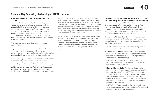

#### **Sustainability Reporting Methodology 2021/22 continued**

#### **Streamlined Energy and Carbon Reporting (SECR)**

Our streamlined energy and carbon reporting figures include energy consumption and carbon emissions associated with all properties under our operational control (i.e. absolute portfolio). Energy consumption is reported as kWh and no normalisation technique is applied. Carbon emissions are reported as tonnes of carbon dioxide equivalent ( $tCO<sub>2</sub>e$ ). We report our full greenhouse gas (GHG) emissions annually in accordance to the WRI GHG Protocol.

GHG emissions are broken down into three scopes: scope 1, 2 and 3.

Scope 1 emissions are direct emissions from activities controlled by us that release emissions into the atmosphere, while scope 2 emissions are indirect emissions associated with our consumption of purchased energy.

At Landsec, scope 1 comprises emissions from natural gas and refrigerant gases. Scope 2 emissions are from electricity, heating and cooling purchased for common areas and shared services. All material sources of scope 1 and 2 emissions are reported. As the remaining sources (e.g. diesel used in generator testing) represent such a small proportion of total emissions, we do not report them.

Scope 2 emissions are reported using both the 'locationbased' and 'market-based' accounting methods. Locationbased emissions are reported using the UK Government's 'Greenhouse gas reporting: conversion factors 2021'. Scope 2 market-based emissions are reported using the conversion factor associated with each individual electricity, heating and cooling supply, either obtained directly from the supplier or from their official company website.

Scope 3 emissions are those that are a consequence of our business activities, but which occur at sources we do not own or control and which are not classified as scope 2 emissions. The GHG Protocol identifies 15 categories of which 8 are directly relevant for Landsec. The table below describes how each scope 3 category is treated in our reporting.

#### **European Public Real Estate Association (EPRA) Sustainability Performance Measures reporting**

Landsec is committed to EPRA Best Practice Recommendations for Sustainability reporting. This common reporting standard is a framework developed by property companies to promote transparency in sustainability reporting. Landsec has won a gold award for EPRA disclosure every year since 2014.

There are 18 EPRA Sustainability impact areas covering energy consumption, GHG emissions, water usage, waste generation and treatment method and sustainability certificate attainment.

Each EPRA impact area is reported on in two portfolios: absolute and like-for-like.

→ **Absolute portfolio:** The absolute portfolio includes all properties where Landsec has 'operational control', where we purchase energy or appoint agents who control the purchase of energy.

 In 2021/22, 78% of the total portfolio was within our reporting boundaries, and therefore included in the absolute portfolio disclosures.

→ **Like-for-like portfolio:** The like-for-like portfolio is aligned with our finance reporting like-for-like portfolio, based on the EPRA Financial BPR like-for-like definition for rental growth reporting. It includes all properties which have been in the portfolio for at least 12 months prior to the reporting period, but excluding those which were acquired, sold, or included in the development pipeline at any time since.

 In 2021/22, 84% of the total like-for-like portfolio was within our reporting boundaries, and therefore included in the like-for-like portfolio disclosures.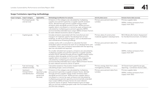

#### **Scope 3 emissions reporting methodology**

| Scope 3 category | Scope 3 category                      | Applicability                                         | Methodology/Justification for exclusion                                                                                                                                                                                                                                                                                                                                                                                                                                                                                 | Activity data source                                              | Emission factor data source(s)                                               |
|------------------|---------------------------------------|-------------------------------------------------------|-------------------------------------------------------------------------------------------------------------------------------------------------------------------------------------------------------------------------------------------------------------------------------------------------------------------------------------------------------------------------------------------------------------------------------------------------------------------------------------------------------------------------|-------------------------------------------------------------------|------------------------------------------------------------------------------|
|                  | Purchased goods<br>and services       | Yes                                                   | Emissions in this category are calculated by multiplying<br>supplier procurement spend by a supplier-specific emission<br>factor, derived through primary supplier energy and/or<br>emissions data alongside annual turnover. Where primary<br>supplier data is not present or cannot be used, emissions are<br>calculated by multiplying procurement spend by DEFRA<br>environmentally extended input output (EEIO) emission factors<br>for each relevant economic sector of spend.                                    | Primary procurement data from<br>Landsec.                         | Primary supplier data<br>DEFRA, Indirect emissions from<br>supply chain 2011 |
| 2                | Capital goods                         | Yes                                                   | Includes emissions associated with the manufacture and<br>transport of materials used for the development of new<br>buildings, as well as portfolio projects, such as refurbishment<br>and maintenance of existing buildings.                                                                                                                                                                                                                                                                                           | Primary data of construction<br>materials applied in developments | RICS Whole Life Carbon Assessment<br>for the Built Environment, 1st Edition  |
|                  |                                       |                                                       | Landsec works with a consultant to calculate the total<br>embodied carbon emissions for each of our developments until<br>completion. Every year, emissions associated with the reporting<br>year are calculated and reported.                                                                                                                                                                                                                                                                                          | Primary procurement data from<br>Landsec                          | Primary supplier data                                                        |
|                  |                                       |                                                       | For smaller refurbishment projects, emissions are calculated by<br>multiplying supplier procurement spend by a supplier-specific<br>emission factor, derived through primary supplier energy and/or<br>emissions data alongside annual turnover. Where primary<br>supplier data is not present or cannot be used, emissions are<br>calculated by multiplying procurement spend by DEFRA<br>environmentally extended input output (EEIO) emission factors<br>for each relevant economic sector of spend.                 |                                                                   | DEFRA, Indirect emissions from<br>supply chain 2011                          |
| 3                | Fuel and eneray<br>related activities | Yes                                                   | Calculation based on the location-based method of<br>calculating Scope 1 and 2 emissions.                                                                                                                                                                                                                                                                                                                                                                                                                               | Primary energy data from areas<br>managed by Landsec.             | UK Government greenhouse gas<br>reporting - Conversion factors 2021          |
| $\overline{4}$   | Upstream                              | Yes (but                                              | Emissions in this category are calculated by multiplying                                                                                                                                                                                                                                                                                                                                                                                                                                                                | Primary procurement data from                                     | Primary supplier data                                                        |
|                  | transportation<br>and distribution    | reported under<br>Purchased<br>goods and<br>services) | procurement spend by a supplier emission factor, derived<br>through primary supplier energy and/or emissions data<br>alongside annual turnover. Where primary supplier data is<br>not present or cannot be used, emissions are calculated by<br>multiplying procurement spend by environmentally extended<br>input output (EEIO) emission factors for each relevant<br>economic sector of spend. These emissions have not been<br>split out and are instead grouped under the Purchased Goods<br>and Services category. | Landsec.                                                          | DEFRA, Indirect emissions from<br>supply chain 2011                          |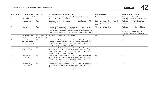

| Scope 3 category | Scope 3 category                                 | Applicability                    | Methodology/Justification for exclusion                                                                                                                                                                                                                       | Activity data source                                                          | Emission factor data source(s)                                      |
|------------------|--------------------------------------------------|----------------------------------|---------------------------------------------------------------------------------------------------------------------------------------------------------------------------------------------------------------------------------------------------------------|-------------------------------------------------------------------------------|---------------------------------------------------------------------|
| 5                | Waste generated<br>in operations                 | Yes                              | Calculated by multiplying weight of waste and treatment<br>method by UK emission factor.                                                                                                                                                                      | Waste data from waste contractors.                                            | UK Government greenhouse gas<br>reporting - Conversion factors 2021 |
| 6                | <b>Business travel</b>                           | Yes                              | Calculated by multiplying distance and type of travel by UK<br>emission factor.                                                                                                                                                                               | Distance data provided by travel<br>provider, combined with expenses<br>data. | UK Government greenhouse gas<br>reporting - Conversion factors 2021 |
| $\overline{7}$   | Employee<br>commuting                            | Yes                              | Number of FTEs multiplied by average commuting distances<br>and distribution across transportation modes. These distances<br>were multiplied by transport emission factors published by UK<br>Department for Business, Energy and Industrial Strategy (BEIS). | FTE data from Landsec.                                                        | UK Government - National Travel<br>Survey 2015                      |
|                  |                                                  |                                  |                                                                                                                                                                                                                                                               |                                                                               | UK Government greenhouse gas<br>reporting - Conversion factors 2021 |
| 8                | Upstream leased<br>assets                        | No (Covered in<br>scope 1 and 2) | Reported as scope 1 and 2 emissions.                                                                                                                                                                                                                          | n/a                                                                           | n/a                                                                 |
| 9                | Downstream<br>transportation<br>and distribution | No.                              | Landsec is a Real Estate Investment Trust which develops and<br>manages property assets, which we lease to our customers.<br>We do not manufacture products and therefore there are no<br>emissions to report under this category.                            | n/a                                                                           | n/a                                                                 |
| 10               | Processing of<br>sold products                   | No.                              | Landsec is a Real Estate Investment Trust which develops and<br>manages property assets, which we lease to our customers.<br>We do not manufacture products and therefore there are no<br>emissions to report under this category.                            | n/a                                                                           | n/a                                                                 |
| 11               | Use of sold<br>products                          | <b>No</b>                        | Landsec is a Real Estate Investment Trust which develops and<br>manages property assets, which we lease to our customers.<br>We do not manufacture products and therefore there are no<br>emissions to report under this category.                            | n/a                                                                           | n/a                                                                 |
| 12               | End-of-life<br>treatment of<br>sold products     | <b>No</b>                        | Landsec is a Real Estate Investment Trust which develops and<br>manages property assets, which we lease to our customers.<br>We do not manufacture products and therefore there are no<br>emissions to report under this category.                            | n/a                                                                           | n/a                                                                 |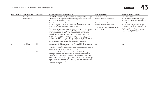

|    | Scope 3 category Scope 3 category | Applicability | Methodology/Justification for exclusion                                                                                                                                                                                                                                                                                                                                                                                                                                                                | Activity data source                                                              | Emission factor data source(s)                                                                                                                      |
|----|-----------------------------------|---------------|--------------------------------------------------------------------------------------------------------------------------------------------------------------------------------------------------------------------------------------------------------------------------------------------------------------------------------------------------------------------------------------------------------------------------------------------------------------------------------------------------------|-----------------------------------------------------------------------------------|-----------------------------------------------------------------------------------------------------------------------------------------------------|
| 13 | Downstream<br>leased assets       | Yes           | Tenants for whom Landsec procures energy and recharges<br>Calculated by multiplying metered energy consumption from<br>tenants by UK emission factors.                                                                                                                                                                                                                                                                                                                                                 | Landsec-procured<br>Primary data from tenants.                                    | Landsec-procured<br>UK Government greenhouse gas<br>reporting - Conversion factors 2021                                                             |
|    |                                   |               | Tenants who procure their own energy<br>Actual energy consumption data is requested from tenants<br>who occupy large floorspaces, particularly FRIs.                                                                                                                                                                                                                                                                                                                                                   | Tenant-procured<br>Primary data from tenants.<br>Data on Net Lettable Areas (NLA) | Tenant-procured<br>UK Government greenhouse gas<br>reporting - Conversion factors 2021<br>'2019 Real Estate Environmental<br>Benchmarks' (BBP REEB) |
|    |                                   |               | When there is no actual data received from tenants, emissions<br>are calculated by multiplying the Net Lettable Area (NLA)<br>of let space Landsec owns but does not have operational<br>control over, by an energy benchmark. This benchmark is<br>drawn from '2019 Real Estate Environmental Benchmarks',<br>published by BBP in January 2020, relating to 2018/2019 data.<br>The benchmark used is the typical practice electricity and<br>gas intensity for offices and enclosed shopping centres. | of let spaces.                                                                    |                                                                                                                                                     |
| 14 | Franchises                        | <b>No</b>     | Landsec is a Real Estate Investment Trust which develops and<br>manages property assets, which we lease to our customers.<br>There are no franchises within the business and therefore there<br>are no emissions to report under this category.                                                                                                                                                                                                                                                        | n/a                                                                               | n/a                                                                                                                                                 |
| 15 | Investments                       | <b>No</b>     | Landsec is a Real Estate Investment Trust which develops and<br>manages property assets, which we lease to our customers.<br>There are no investments in addition to the investment in our<br>own property portfolio and there are therefore no emissions to<br>report under this category. Any scope 3 emissions associated<br>with our portfolio are reported under the appropriate<br>emissions categories.                                                                                         | n/a                                                                               | n/a                                                                                                                                                 |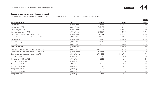

#### **Carbon emission factors – location-based**

The table below outlines the location-based emission factors used for 2021/22 and how they compare with previous year.

|                                                 |                            |           |           | Table 33 |
|-------------------------------------------------|----------------------------|-----------|-----------|----------|
| <b>Emission factor name</b>                     | Unit                       | 2021/22   | 2020/21   | % change |
| Natural Gas                                     | kgCO <sub>2</sub> e/kWh    | 0.18316   | 0.18387   | $-0.4%$  |
| Natural Gas - WTT                               | kgCO <sub>2</sub> e/kWh    | 0.03135   | 0.02391   | 31.1%    |
| Electricity generated                           | kgCO <sub>2</sub> e/kWh    | 0.21233   | 0.23314   | $-8.9\%$ |
| Electricity generated - WTT                     | kgCO <sub>2</sub> e/kWh    | 0.05529   | 0.03217   | 71.9%    |
| Electricity Transmission and Distribution       | kgCO <sub>2</sub> e/kWh    | 0.01879   | 0.02005   | $-6.3%$  |
| Electricity Transmission and Distribution - WTT | kgCO <sub>2</sub> e/kWh    | 0.00489   | 0.00277   | 76.5%    |
| District Heating                                | kgCO <sub>2</sub> e/kWh    | 0.28920   | 0.30000   | $-3.6\%$ |
| District Cooling                                | kgCO <sub>2</sub> e/kWh    | 0.10540   | 0.11270   | $-6.5%$  |
| Water Supply                                    | kgCO <sub>2</sub> e/CUM    | 0.14900   | 0.34400   | $-56.7%$ |
| Water Treatment                                 | kgCO <sub>2</sub> e/CUM    | 0.27200   | 0.70800   | $-61.6%$ |
| Commercial and industrial waste - Closed loop   | kgCO <sub>2</sub> e/Tonnes | 21.29357  | 21.31670  | $-0.1%$  |
| Commercial and industrial waste - Combustion    | kgCO <sub>2</sub> e/Tonnes | 21.29357  | 21.31670  | $-0.1%$  |
| Commercial and industrial waste - Landfill      | kgCO <sub>2</sub> e/Tonnes | 467.04580 | 458.17630 | 1.9%     |
| Refrigerant - FM200                             | kgCO <sub>2</sub> e/kg     | 3220      | 3220      | 0%       |
| Refrigerant - HCFC-22/R22                       | kgCO <sub>2</sub> e/kg     | 1810      | 1810      | 0%       |
| Refrigerant - HFC-134a                          | kgCO <sub>2</sub> e/kg     | 1430      | 1430      | 0%       |
| Refrigerant - R402A                             | kgCO <sub>2</sub> e/kg     | 2788      | 2788      | 0%       |
| Refrigerant - R404A                             | kgCO <sub>2</sub> e/kg     | 3922      | 3922      | 0%       |
| Refrigerant - R407C                             | kgCO <sub>2</sub> e/kg     | 1774      | 1774      | 0%       |
| Refrigerant - R410A                             | kgCO <sub>2</sub> e/kg     | 2088      | 2088      | 0%       |
| Refrigerant - R417A                             | kgCO <sub>2</sub> e/kg     | 2346      | 2346      | 0%       |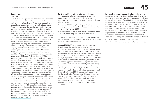#### **Social value**

#### *Overview*

To understand the quantifiable difference we are making to people, communities and society as a whole, we partner with the Social Value Portal which specialises in measuring and reporting social value. The Social Value Portal has estimated the social value that Landsec has unlocked through our various initiatives by developing a bespoke social value measurement framework which is based on the widely used National Themes, Measures and Outcomes (TOMs) Social Value Measurement Framework. The TOMs measurement framework was launched by the National Social Value Taskforce in 2017 – and was built following extensive consultation by 40 cross sector organisation including the Landsec Social Sustainability team, our delivery partners and our employees. The majority of the financial values in our social value reporting have their roots in the Unit Cost Database (UCD) that is managed by the Greater Manchester Combined Authority and was adopted as supplementary guidance to HM Treasury's Green Book in 2014 for monetising economic, environmental and social impact, with specific regard to potential savings for the public sector. Where the UCD does not provide a proxy value for a certain measure, then one has been developed following relevant governmental guidance, where it exists. The Social Value Portal recognises that for some of the proxy values adopted, in particular the one for employing people experiencing homelessness, there is a relatively limited availability of recent data and analysis. Their approach has been to design a conservative model to estimate the associated costs and benefits for those outcomes where relevant research and analysis exists. All proxies are high-level estimates and are based on secondary data and figures. They should not be interpreted as a precise measurement of the specific change experienced by the beneficiaries of an intervention, but as an estimate of the average benefits that could be generated. Where available, primary data has been used to address potential double counting. For more information, please visit [www.socialvalueportal.com.](http://www.socialvalueportal.com)

**Our Live well Commitment:** Landsec will create opportunities and inclusive places to change lives, supporting communities to thrive. By creating opportunities and tackling local issues, Landsec will, from a 2020 baseline:

- $\rightarrow$  Empower 30,000 people facing barriers into employment with the skills and opportunities to enter the world of work by 2030
- → Deliver £200m of social value in our local communities by 2030, addressing social issues to each areas

Our revised social value target accounts not only for our corporate work, but the potential value generated through our wider development pipeline.

**National TOMs** (Themes, Outcomes and Measures): To understand the social value created by these programmes we work with Social Value Portal who apply the national TOMs framework to our work. The founding principle of the TOMs is to provide the connection between a broad vision for social improvement ("Themes") with strategic objectives ("Outcomes"), which in turn can then be expressed as measurable activities ("Measures"). This conceptual approach enables meaningful direct action to be steered both by local need and by the overarching strategic aims of the organisation aiming to deliver social value. Implemented effectively, the TOMs framework then creates a mutually reinforcing link between strategy and delivery. The National TOMs framework is made up of five themes: 1. Jobs: Promote local skills and employment 2. Growth: supporting growth of responsible regional business 3. Social: healthier, safer and more resilient communities 4. Environment: decarbonising and safeguarding our world 5. Innovation: promoting social innovation.

**How Landsec calculates social value:** Social value is generated, measured and reported across all the measures used in the Landsec measurement frameworks which have a proxy values assigned. The initiatives themselves will vary and so will the proxy value that is assigned to each activity but these can be things such as supporting people from disadvantaged backgrounds into employment through donations made by Landsec to organisations such as Bounce Back, hours dedicated to supporting unemployed people into work, donations to charities etc. The Social Value frameworks used across Landsec's sustainability programmes primarily focus on the following two themes:

- → Jobs: promote local skills and employment
- $\rightarrow$  Social: healthier, safer and more resilient communities.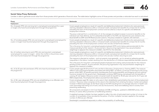

#### **Social Value Proxy Rationale**

Landsec is able to generate social value from those proxies which generate a financial value. The table below highlights some of those proxies and provides a rationale how each is calculated:

| Proxy                                                                                                                                                                                                | Table 34<br>Rationale                                                                                                                                                                                                                                                                                                                                                                                                                                                                                                                                                                                                                         |
|------------------------------------------------------------------------------------------------------------------------------------------------------------------------------------------------------|-----------------------------------------------------------------------------------------------------------------------------------------------------------------------------------------------------------------------------------------------------------------------------------------------------------------------------------------------------------------------------------------------------------------------------------------------------------------------------------------------------------------------------------------------------------------------------------------------------------------------------------------------|
| Employment                                                                                                                                                                                           |                                                                                                                                                                                                                                                                                                                                                                                                                                                                                                                                                                                                                                               |
| No. of people (FTE) who are long-term unemployed (unemployed for a year<br>or longer) who have found employment through the programme                                                                | Covers people employed as a result of a specific and deliberate employment initiative who were previously<br>claiming Jobseeker's Allowance (JSA) or Universal Credit unemployment benefits for at least the 12 months<br>preceding the start of the employment contract and recruited as a result of a specific and deliberate<br>employment initiative.                                                                                                                                                                                                                                                                                     |
|                                                                                                                                                                                                      | The proxy is derived from a combination of: (i) the average annualised increase in economic benefits to the<br>individual over their lifetime; (ii) Annualised fiscal benefits to the NHS; (iii) Operational costs related to the<br>fiscal benefit to DWP and HM Revenue and Customs. The proxy is based on a generic JSA claimant.                                                                                                                                                                                                                                                                                                          |
| No. of homeless people (FTE) who are long-term unemployed (unemployed for<br>a year or longer) have found employment through the programme                                                           | Covers people employed as a result of a specific and deliberate employment initiative who were previously<br>claiming Jobseeker's Allowance (JSA) or Universal Credit unemployment benefits for at least the 12 months<br>preceding the start of the employment contract who are also armed forces veterans.                                                                                                                                                                                                                                                                                                                                  |
|                                                                                                                                                                                                      | This is the proxy for long-term unemployed people employed (NT3) and is being used provisionally for this<br>measure pending further research. At procurement, the procuring organisation may use prioritisation<br>weightings to signpost this measure to bidders. See NT3 for the rationale.                                                                                                                                                                                                                                                                                                                                                |
| No. of mothers returning to work (FTE) who are long-term unemployed<br>(unemployed for a year or longer) - (when the mother is the primary carer)<br>who have found employment through the programme | Covers people employed as a result of a specific and deliberate employment initiative who were previously<br>claiming Jobseeker's Allowance (JSA) or Universal Credit unemployment benefits for at least the 12 months<br>preceding the start of the employment contract who are also mothers returning to work.                                                                                                                                                                                                                                                                                                                              |
|                                                                                                                                                                                                      | The measure is directed at mothers - and not parents more generally - as it is aimed at redressing gender<br>inequalities in the labour market resulting from the distribution of childcare responsibilities between parents.                                                                                                                                                                                                                                                                                                                                                                                                                 |
|                                                                                                                                                                                                      | This is the proxy for long-term unemployed people employed and is being used provisionally for this measure<br>pending further research. At procurement, the procuring organisation may use prioritisation weightings to<br>signpost this measure to bidders.                                                                                                                                                                                                                                                                                                                                                                                 |
| No. of 16-25 year-old care leavers (FTE) who have found employment through<br>the programme                                                                                                          | Covers people aged 18-24 and 16-17 who are Not in Education, Employment or Training (NEET). The measure<br>reflects costs and forgone benefits associated with being NEET, as follows: (i) the loss of earnings to the young<br>person whilst NEET; (ii) benefit payments (worklessness and housing benefits) and foregone tax and national<br>insurance receipts for the government. Deadweight combines NEETs being unemployed with the benefits of<br>coming off Job Seekers Allowance and/or Universal Credit SA-benefit for 18-24-year-old and for 16-17-year-old<br>NEETs respectively. The employment data is sourced from Stat-Xplore |
| No. of 18+ year-old people (FTE) who are rehabilitating or ex-offenders who<br>have found employment through the programme                                                                           | Covers employees aged 18+ taken on who were in their rehabilitation period before the start of the employment<br>contract. The proxy value comprises (i) the value to the individual from entering the labour market (annualised<br>increase in lifetime earnings); (ii) the fiscal value to the NHS resulting from an average reduction in health care<br>costs associated with being out of work; and (iii) the economic, fiscal and wellbeing value to society from<br>preventing reoffending.                                                                                                                                             |
|                                                                                                                                                                                                      | All components are based on Unit Cost Database (UCDB) v2.0 figures, updated to 2020/2021 prices, and<br>Ministry of Justice (MoJ) prevention of reoffending statistics.                                                                                                                                                                                                                                                                                                                                                                                                                                                                       |
|                                                                                                                                                                                                      | A weighted average multiplier has been applied to reflect the ratio of estimated total number of crimes to the<br>number of comparable crimes recorded by the police. A further multiplier has been applied to the average<br>number of offences per offender.                                                                                                                                                                                                                                                                                                                                                                                |
|                                                                                                                                                                                                      | Deadweight is established separately to reflect the probability of reoffending.                                                                                                                                                                                                                                                                                                                                                                                                                                                                                                                                                               |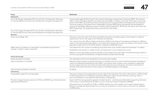

| Proxy                                                                                                                                           | Rationale                                                                                                                                                                                                                                                                                                                                                                                                                                                                                                                                                                                                                                      |
|-------------------------------------------------------------------------------------------------------------------------------------------------|------------------------------------------------------------------------------------------------------------------------------------------------------------------------------------------------------------------------------------------------------------------------------------------------------------------------------------------------------------------------------------------------------------------------------------------------------------------------------------------------------------------------------------------------------------------------------------------------------------------------------------------------|
| Employment                                                                                                                                      |                                                                                                                                                                                                                                                                                                                                                                                                                                                                                                                                                                                                                                                |
| No. of 18-24-year-old people (FTE) who are Not in Employment, Education,<br>or Training (NEETs) who have found employment through the programme | Covers people aged 18-24 and 16-17 who are Not in Education, Employment or Training (NEET). The measure<br>reflects costs and forgone benefits associated with being NEET, as follows: (i) the loss of earnings to the young<br>person whilst NEET; (ii) benefit payments (worklessness and housing benefits) and foregone tax and national<br>insurance receipts for the government. Deadweight combines NEETs being unemployed with the benefits of<br>coming off Job Seekers Allowance and/or Universal Credit SA-benefit for 18-24-year-old and for 16-17-year-old<br>NEETs respectively. The employment data is sourced from Stat-Xplore. |
| No. of 16-17 year old people (FTE) who are Not in Employment, Education,<br>or Training (NEETs) who have found employment through the programme | As above.                                                                                                                                                                                                                                                                                                                                                                                                                                                                                                                                                                                                                                      |
| Education                                                                                                                                       |                                                                                                                                                                                                                                                                                                                                                                                                                                                                                                                                                                                                                                                |
| School and College visits                                                                                                                       | The proxy covers the value of the time provided by the person providing support and is based on a generic<br>replacement cost for the wage of the individual volunteering.                                                                                                                                                                                                                                                                                                                                                                                                                                                                     |
|                                                                                                                                                 | This is drawn from the Office of National Statistics (ONS) hourly value of volunteering and based on different<br>types of volunteering being identified in survey data (Community Life Survey) and valued at the closest market<br>equivalent wage rate from the ASHE dataset. Updated to 2020/2021 prices.                                                                                                                                                                                                                                                                                                                                   |
| Weeks spent by students on meaningful work experience placements                                                                                | Calculated from the number of qualifying work placements (only student placements between 1-6 weeks).                                                                                                                                                                                                                                                                                                                                                                                                                                                                                                                                          |
| (unpaid - at least 1 week in duration)                                                                                                          | Multiplied by the duration in weeks of each work placement or pre-employment course.                                                                                                                                                                                                                                                                                                                                                                                                                                                                                                                                                           |
|                                                                                                                                                 | Based on current equivalent economic benefit to the individual from equivalent increased earnings, based on<br>minimum pay, given the distribution of apprenticeships achievements by age.                                                                                                                                                                                                                                                                                                                                                                                                                                                     |
| <b>Charity Partnerships</b>                                                                                                                     |                                                                                                                                                                                                                                                                                                                                                                                                                                                                                                                                                                                                                                                |
| Money donated to charities                                                                                                                      | The calculation for this is £1 donated for £1 of social value created.                                                                                                                                                                                                                                                                                                                                                                                                                                                                                                                                                                         |
| Value of donations to charities                                                                                                                 | Reported values of space and other donations to charities over the course of the financial year are based on<br>metrics including Estimated Rental Value (ERV); commercial value of space; costs covered by Landsec like<br>service charge, insurance and rates; the value of donated resources and goods; and reports received from<br>charities and internal functions on the outputs of charitable appeals or campaigns.                                                                                                                                                                                                                    |
| Value of space donated to charities                                                                                                             | As above.                                                                                                                                                                                                                                                                                                                                                                                                                                                                                                                                                                                                                                      |
| Volunteering                                                                                                                                    |                                                                                                                                                                                                                                                                                                                                                                                                                                                                                                                                                                                                                                                |
| Employability support for young people                                                                                                          | The proxy is based on the estimated economic value to the individual. The value is derived from a 2021 sample<br>of 16 pricing points from 9 different companies offering CV advice and job interview coaching, either in<br>one-to-one sessions or one-day/half-day courses in small groups.                                                                                                                                                                                                                                                                                                                                                  |
| Provision of expert business advice to VCSEs and MSMEs (e.g. financial advice/<br>legal advice/HR advice)                                       | Expert staff time (as opposed to general volunteering time - see Glossary) dedicated to supporting Voluntary<br>Community or Social Enterprises (VCSEs) or micro, small and medium enterprises (MSMEs).                                                                                                                                                                                                                                                                                                                                                                                                                                        |
|                                                                                                                                                 | Estimated economic benefits to VCSEs or MSMEs resulting from the avoided cost of expert advice/support.<br>Based on average self-reported fees from a survey of consultants in various sectors across the UK, updated<br>to 2020 prices.                                                                                                                                                                                                                                                                                                                                                                                                       |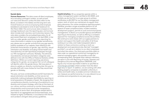#### **Social data**

**Human Resources:** This data covers all direct employees, thus excluding contingent workers, as well as both non-executive directors (unless the data refers to the Board, as stated in the tables) and the long-term sick. Overall headcount and accompanying total employee breakdowns are based on end-of-year headcount to 31st March 2022. Hire and turnover data is based on the average headcount over the reporting year, and turnover data includes both voluntary and involuntary leavers. Pay ratio data considers the annualised base salary for all permanent/fixed-term employees to 1st April 2022, in line with our wider gender and ethnicity pay reporting; for more information in relation to our gender and ethnicity pay, please see our gender and ethnicity pay gap reports, publicly available on our website. Data relating to the protected characteristics of gender, age, ethnicity, sexual orientation and disability (including mental health and neurodiversity) are self-reported by employees through our HR management software, Workday. The ethnicity, neurodiversity and sexual orientation categories were defined in line with the Office of National Statistics (ONS) definitions. Whilst our current reporting uses binary categories for gender, we recognise that not all colleagues will identify within this gender binary. We have plans in place to update our diversity monitoring later this year to provide staff with more choices for how they record their gender on Workday.

This year, we have combined Board and ELT-level data for sexual orientation and disability, so that we are not potentially making employees identifiable by reporting on small populations (10 people or fewer). We recognise that comprehensive diversity monitoring is foundational to our diversity and inclusion strategy, which lies at the heart of our culture, and thus continue to monitor these protected characteristics and to promote further transparency, particularly at senior level. All employee-related data is reported on an aggregated and anonymised basis, and treated as highly confidential, in accordance with the law and Landsec's stringent data privacy guidelines.

**Health & Safety:** All our properties operate within a safety management system certified to ISO 45001, and similarly we are the first in our peer group to achieve certification to BS 9997 for our fire safety management system, both of which are maintained via regular thirdparty assurance. Our online compliance reporting system, RiskWise, provides a single accessible platform for all aspects of asset compliance data, incident statistics, development projects, permits to work and environmental management. It allows us to provide rigorous and efficient reporting to the business, as well as offering a consistent approach for managing compliance across the portfolio. We continue to work closely with our supply partners to protect and support the health and safety of all those working on our sites, and make transparent data in relation to these contractors working on both our development and operational sites (termed "managed portfolio"), as well as in relation to our direct employees and other site visitors. Our third-party portfolio refers to sites under our operational control but managed by an external managing agent, who provide us with the corresponding data. Alongside other relevant indicators, we report in line with Reporting of Injuries, Diseases and Dangerous Occurrences Regulations (RIDDOR), and figures only include reportable incidents as specified at [www.hse.gov.uk/riddor](http://www.hse.gov.uk/riddor) where Landsec have the direct legal duty to report. In addition, we are working with other leading property companies to establish uniformity in safety and health data, to enable common indicators we can measure our performance by, in a way relevant to our activities and comparative to our peer group.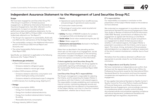## <span id="page-49-0"></span>**Independent Assurance Statement to the Management of Land Securities Group PLC**

#### **Scope**

We have been engaged by Land Securities Group PLC ("the Group") to perform a 'limited assurance engagement,' as defined by International Standards on Assurance Engagements, here after referred to as the engagement, to report on Landsec's selected performance data and qualitative statements, for the period from 01 April 2021 to 31 March 2022, in the following (collectively referred to as "the Report"):

- → The Group's Our approach to sustainability, Build well, Live Well and Act well sections of the Strategic Report
- $\rightarrow$  The sustainability content in the Additional Information section of the Group's 2022 Annual Report and Accounts; and
- → The online Sustainability Performance and Data Report 2022.

Specifically, our statement is applicable to the following disclosures (the "Subject Matter"):

#### → **Greenhouse gas emissions:**

- Direct GHG emissions (tCO<sub>2</sub>e):
- Emissions related to refrigerant gases
- Emissions related to natural gas usage
- $\bullet$  Indirect GHG emissions (tCO<sub>2</sub>e):
- Emissions related to electricity consumption and district heating & cooling consumption
- Emissions related to all disclosed scope 3 categories
- $\bullet$  GHG intensity from building energy (KgCO<sub>2</sub>e/m<sup>2</sup>)

#### → **Energy:**

- Energy consumption (kWh):
- Energy from landlord-obtained fuels
- Energy from landlord-obtained electricity
- Energy from landlord-obtained district heating & cooling
- Renewable electricity consumption
- Energy intensity (kWh/m<sup>2</sup>/year)

#### → **Waste:**

- Operational waste diverted from landfill (tonnes), and percentage of operational waste recycled
- Construction waste (tonnes)
- Percentage of construction waste recycled and diverted from landfill
- → **Safety:** Number of RIDDOR incidents for Landsec's managed portfolio and development assets
- → **Social value:** Social value created during the year (£)
- → **Water:** Water usage (m<sup>3</sup>)
- → **Statements and assertions** disclosed in the Report, selected on a risk basis.

Other than as described in the preceding section, which sets out the scope of our engagement, we did not perform assurance procedures on the remaining information included in the Report, and accordingly, we do not express a conclusion on this information.

#### *Criteria applied by Land Securities Group Plc*

In preparing the Subject Matter, the Group applied its sustainability reporting methodologies as set out in the Sustainability Performance and Data Report 2022 (the "Criteria")

#### *Land Securities Group PLC's responsibilities*

The Group's management is responsible for selecting the Criteria, and for presenting the Subject Matter in accordance with that Criteria, in all material respects. This responsibility includes establishing and maintaining internal controls, maintaining adequate records and making estimates that are relevant to the preparation of the Subject Matter, such that it is free from material misstatement, whether due to fraud or error.

#### *EY's responsibilities*

Our responsibility is to express a conclusion on the presentation of the Subject Matter based on the evidence we have obtained.

We conducted our engagement in accordance with the *International Standard for Assurance Engagements Other Than Audits or Reviews of Historical Financial Information*  ('ISAE 3000' Revised), and the terms of reference for this engagement as agreed with the Group on 2nd March 2022. Those standards require that we plan and perform our engagement to obtain limited assurance about whether, in all material respects, the Subject Matter is presented in accordance with the Criteria, and to issue a report. The nature, timing, and extent of the procedures selected depend on our judgment, including an assessment of the risk of material misstatement, whether due to fraud or error.

We believe that the evidence obtained is sufficient and appropriate to provide a basis for our limited assurance conclusions.

#### *Our Independence and Quality Control*

We have maintained our independence and confirm that we have met the requirements of the Code of Ethics for Professional Accountants issued by the International Ethics Standards Board for Accountants and have the required competencies and experience to conduct this assurance engagement.

EY also applies International Standard on Quality Control 1, *Quality Control for Firms that Perform Audits and Reviews of Financial Statements, and Other Assurance and*  Related Services *Engagements*, and accordingly maintains a comprehensive system of quality control including documented policies and procedures regarding compliance with ethical requirements, professional standards and applicable legal and regulatory requirements.